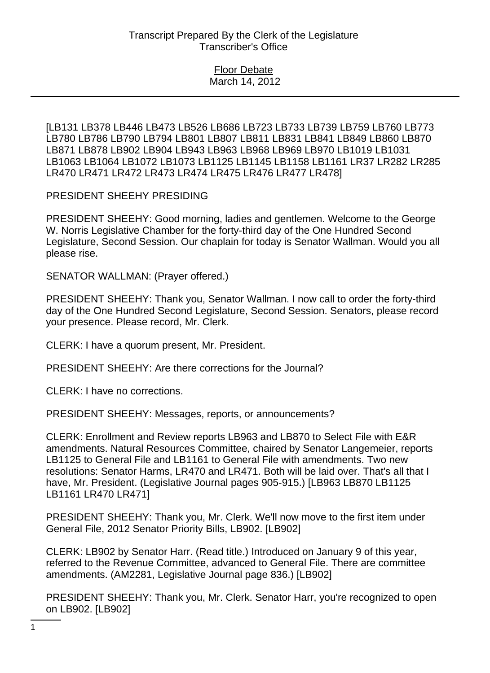[LB131 LB378 LB446 LB473 LB526 LB686 LB723 LB733 LB739 LB759 LB760 LB773 LB780 LB786 LB790 LB794 LB801 LB807 LB811 LB831 LB841 LB849 LB860 LB870 LB871 LB878 LB902 LB904 LB943 LB963 LB968 LB969 LB970 LB1019 LB1031 LB1063 LB1064 LB1072 LB1073 LB1125 LB1145 LB1158 LB1161 LR37 LR282 LR285 LR470 LR471 LR472 LR473 LR474 LR475 LR476 LR477 LR478]

PRESIDENT SHEEHY PRESIDING

PRESIDENT SHEEHY: Good morning, ladies and gentlemen. Welcome to the George W. Norris Legislative Chamber for the forty-third day of the One Hundred Second Legislature, Second Session. Our chaplain for today is Senator Wallman. Would you all please rise.

SENATOR WALLMAN: (Prayer offered.)

PRESIDENT SHEEHY: Thank you, Senator Wallman. I now call to order the forty-third day of the One Hundred Second Legislature, Second Session. Senators, please record your presence. Please record, Mr. Clerk.

CLERK: I have a quorum present, Mr. President.

PRESIDENT SHEEHY: Are there corrections for the Journal?

CLERK: I have no corrections.

PRESIDENT SHEEHY: Messages, reports, or announcements?

CLERK: Enrollment and Review reports LB963 and LB870 to Select File with E&R amendments. Natural Resources Committee, chaired by Senator Langemeier, reports LB1125 to General File and LB1161 to General File with amendments. Two new resolutions: Senator Harms, LR470 and LR471. Both will be laid over. That's all that I have, Mr. President. (Legislative Journal pages 905-915.) [LB963 LB870 LB1125 LB1161 LR470 LR471]

PRESIDENT SHEEHY: Thank you, Mr. Clerk. We'll now move to the first item under General File, 2012 Senator Priority Bills, LB902. [LB902]

CLERK: LB902 by Senator Harr. (Read title.) Introduced on January 9 of this year, referred to the Revenue Committee, advanced to General File. There are committee amendments. (AM2281, Legislative Journal page 836.) [LB902]

PRESIDENT SHEEHY: Thank you, Mr. Clerk. Senator Harr, you're recognized to open on LB902. [LB902]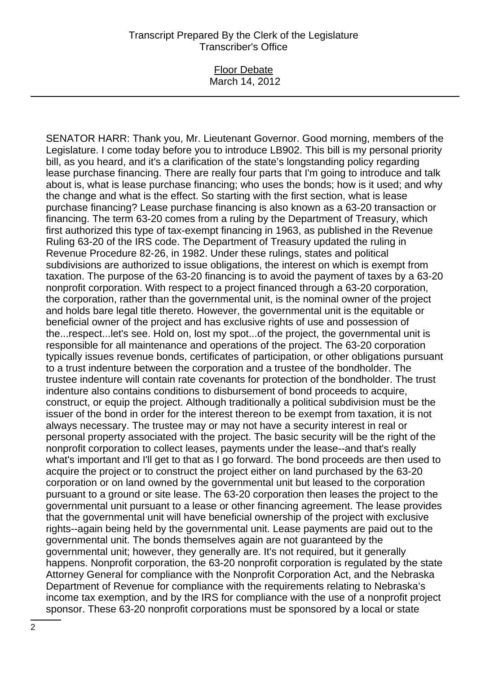#### Floor Debate March 14, 2012

SENATOR HARR: Thank you, Mr. Lieutenant Governor. Good morning, members of the Legislature. I come today before you to introduce LB902. This bill is my personal priority bill, as you heard, and it's a clarification of the state's longstanding policy regarding lease purchase financing. There are really four parts that I'm going to introduce and talk about is, what is lease purchase financing; who uses the bonds; how is it used; and why the change and what is the effect. So starting with the first section, what is lease purchase financing? Lease purchase financing is also known as a 63-20 transaction or financing. The term 63-20 comes from a ruling by the Department of Treasury, which first authorized this type of tax-exempt financing in 1963, as published in the Revenue Ruling 63-20 of the IRS code. The Department of Treasury updated the ruling in Revenue Procedure 82-26, in 1982. Under these rulings, states and political subdivisions are authorized to issue obligations, the interest on which is exempt from taxation. The purpose of the 63-20 financing is to avoid the payment of taxes by a 63-20 nonprofit corporation. With respect to a project financed through a 63-20 corporation, the corporation, rather than the governmental unit, is the nominal owner of the project and holds bare legal title thereto. However, the governmental unit is the equitable or beneficial owner of the project and has exclusive rights of use and possession of the...respect...let's see. Hold on, lost my spot...of the project, the governmental unit is responsible for all maintenance and operations of the project. The 63-20 corporation typically issues revenue bonds, certificates of participation, or other obligations pursuant to a trust indenture between the corporation and a trustee of the bondholder. The trustee indenture will contain rate covenants for protection of the bondholder. The trust indenture also contains conditions to disbursement of bond proceeds to acquire, construct, or equip the project. Although traditionally a political subdivision must be the issuer of the bond in order for the interest thereon to be exempt from taxation, it is not always necessary. The trustee may or may not have a security interest in real or personal property associated with the project. The basic security will be the right of the nonprofit corporation to collect leases, payments under the lease--and that's really what's important and I'll get to that as I go forward. The bond proceeds are then used to acquire the project or to construct the project either on land purchased by the 63-20 corporation or on land owned by the governmental unit but leased to the corporation pursuant to a ground or site lease. The 63-20 corporation then leases the project to the governmental unit pursuant to a lease or other financing agreement. The lease provides that the governmental unit will have beneficial ownership of the project with exclusive rights--again being held by the governmental unit. Lease payments are paid out to the governmental unit. The bonds themselves again are not guaranteed by the governmental unit; however, they generally are. It's not required, but it generally happens. Nonprofit corporation, the 63-20 nonprofit corporation is regulated by the state Attorney General for compliance with the Nonprofit Corporation Act, and the Nebraska Department of Revenue for compliance with the requirements relating to Nebraska's income tax exemption, and by the IRS for compliance with the use of a nonprofit project sponsor. These 63-20 nonprofit corporations must be sponsored by a local or state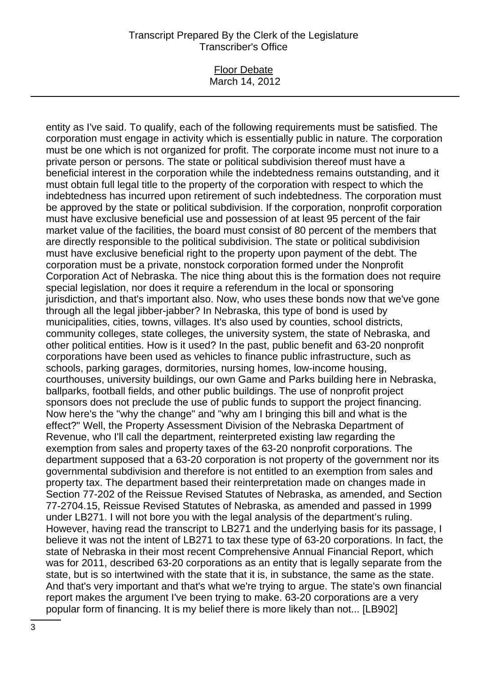#### Floor Debate March 14, 2012

entity as I've said. To qualify, each of the following requirements must be satisfied. The corporation must engage in activity which is essentially public in nature. The corporation must be one which is not organized for profit. The corporate income must not inure to a private person or persons. The state or political subdivision thereof must have a beneficial interest in the corporation while the indebtedness remains outstanding, and it must obtain full legal title to the property of the corporation with respect to which the indebtedness has incurred upon retirement of such indebtedness. The corporation must be approved by the state or political subdivision. If the corporation, nonprofit corporation must have exclusive beneficial use and possession of at least 95 percent of the fair market value of the facilities, the board must consist of 80 percent of the members that are directly responsible to the political subdivision. The state or political subdivision must have exclusive beneficial right to the property upon payment of the debt. The corporation must be a private, nonstock corporation formed under the Nonprofit Corporation Act of Nebraska. The nice thing about this is the formation does not require special legislation, nor does it require a referendum in the local or sponsoring jurisdiction, and that's important also. Now, who uses these bonds now that we've gone through all the legal jibber-jabber? In Nebraska, this type of bond is used by municipalities, cities, towns, villages. It's also used by counties, school districts, community colleges, state colleges, the university system, the state of Nebraska, and other political entities. How is it used? In the past, public benefit and 63-20 nonprofit corporations have been used as vehicles to finance public infrastructure, such as schools, parking garages, dormitories, nursing homes, low-income housing, courthouses, university buildings, our own Game and Parks building here in Nebraska, ballparks, football fields, and other public buildings. The use of nonprofit project sponsors does not preclude the use of public funds to support the project financing. Now here's the "why the change" and "why am I bringing this bill and what is the effect?" Well, the Property Assessment Division of the Nebraska Department of Revenue, who I'll call the department, reinterpreted existing law regarding the exemption from sales and property taxes of the 63-20 nonprofit corporations. The department supposed that a 63-20 corporation is not property of the government nor its governmental subdivision and therefore is not entitled to an exemption from sales and property tax. The department based their reinterpretation made on changes made in Section 77-202 of the Reissue Revised Statutes of Nebraska, as amended, and Section 77-2704.15, Reissue Revised Statutes of Nebraska, as amended and passed in 1999 under LB271. I will not bore you with the legal analysis of the department's ruling. However, having read the transcript to LB271 and the underlying basis for its passage, I believe it was not the intent of LB271 to tax these type of 63-20 corporations. In fact, the state of Nebraska in their most recent Comprehensive Annual Financial Report, which was for 2011, described 63-20 corporations as an entity that is legally separate from the state, but is so intertwined with the state that it is, in substance, the same as the state. And that's very important and that's what we're trying to argue. The state's own financial report makes the argument I've been trying to make. 63-20 corporations are a very popular form of financing. It is my belief there is more likely than not... [LB902]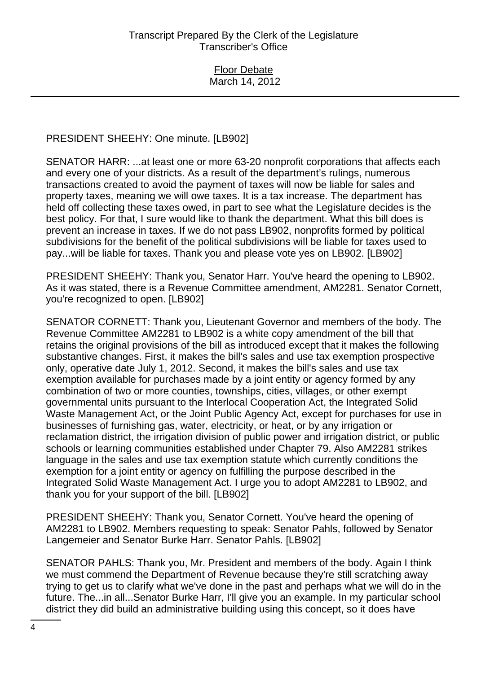PRESIDENT SHEEHY: One minute. [LB902]

SENATOR HARR: ...at least one or more 63-20 nonprofit corporations that affects each and every one of your districts. As a result of the department's rulings, numerous transactions created to avoid the payment of taxes will now be liable for sales and property taxes, meaning we will owe taxes. It is a tax increase. The department has held off collecting these taxes owed, in part to see what the Legislature decides is the best policy. For that, I sure would like to thank the department. What this bill does is prevent an increase in taxes. If we do not pass LB902, nonprofits formed by political subdivisions for the benefit of the political subdivisions will be liable for taxes used to pay...will be liable for taxes. Thank you and please vote yes on LB902. [LB902]

PRESIDENT SHEEHY: Thank you, Senator Harr. You've heard the opening to LB902. As it was stated, there is a Revenue Committee amendment, AM2281. Senator Cornett, you're recognized to open. [LB902]

SENATOR CORNETT: Thank you, Lieutenant Governor and members of the body. The Revenue Committee AM2281 to LB902 is a white copy amendment of the bill that retains the original provisions of the bill as introduced except that it makes the following substantive changes. First, it makes the bill's sales and use tax exemption prospective only, operative date July 1, 2012. Second, it makes the bill's sales and use tax exemption available for purchases made by a joint entity or agency formed by any combination of two or more counties, townships, cities, villages, or other exempt governmental units pursuant to the Interlocal Cooperation Act, the Integrated Solid Waste Management Act, or the Joint Public Agency Act, except for purchases for use in businesses of furnishing gas, water, electricity, or heat, or by any irrigation or reclamation district, the irrigation division of public power and irrigation district, or public schools or learning communities established under Chapter 79. Also AM2281 strikes language in the sales and use tax exemption statute which currently conditions the exemption for a joint entity or agency on fulfilling the purpose described in the Integrated Solid Waste Management Act. I urge you to adopt AM2281 to LB902, and thank you for your support of the bill. [LB902]

PRESIDENT SHEEHY: Thank you, Senator Cornett. You've heard the opening of AM2281 to LB902. Members requesting to speak: Senator Pahls, followed by Senator Langemeier and Senator Burke Harr. Senator Pahls. [LB902]

SENATOR PAHLS: Thank you, Mr. President and members of the body. Again I think we must commend the Department of Revenue because they're still scratching away trying to get us to clarify what we've done in the past and perhaps what we will do in the future. The...in all...Senator Burke Harr, I'll give you an example. In my particular school district they did build an administrative building using this concept, so it does have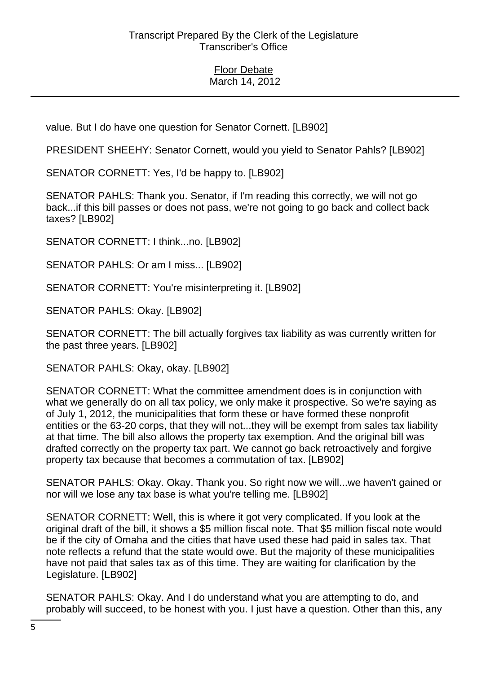value. But I do have one question for Senator Cornett. [LB902]

PRESIDENT SHEEHY: Senator Cornett, would you yield to Senator Pahls? [LB902]

SENATOR CORNETT: Yes, I'd be happy to. [LB902]

SENATOR PAHLS: Thank you. Senator, if I'm reading this correctly, we will not go back...if this bill passes or does not pass, we're not going to go back and collect back taxes? [LB902]

SENATOR CORNETT: I think...no. [LB902]

SENATOR PAHLS: Or am I miss... [LB902]

SENATOR CORNETT: You're misinterpreting it. [LB902]

SENATOR PAHLS: Okay. [LB902]

SENATOR CORNETT: The bill actually forgives tax liability as was currently written for the past three years. [LB902]

SENATOR PAHLS: Okay, okay. [LB902]

SENATOR CORNETT: What the committee amendment does is in conjunction with what we generally do on all tax policy, we only make it prospective. So we're saying as of July 1, 2012, the municipalities that form these or have formed these nonprofit entities or the 63-20 corps, that they will not...they will be exempt from sales tax liability at that time. The bill also allows the property tax exemption. And the original bill was drafted correctly on the property tax part. We cannot go back retroactively and forgive property tax because that becomes a commutation of tax. [LB902]

SENATOR PAHLS: Okay. Okay. Thank you. So right now we will...we haven't gained or nor will we lose any tax base is what you're telling me. [LB902]

SENATOR CORNETT: Well, this is where it got very complicated. If you look at the original draft of the bill, it shows a \$5 million fiscal note. That \$5 million fiscal note would be if the city of Omaha and the cities that have used these had paid in sales tax. That note reflects a refund that the state would owe. But the majority of these municipalities have not paid that sales tax as of this time. They are waiting for clarification by the Legislature. [LB902]

SENATOR PAHLS: Okay. And I do understand what you are attempting to do, and probably will succeed, to be honest with you. I just have a question. Other than this, any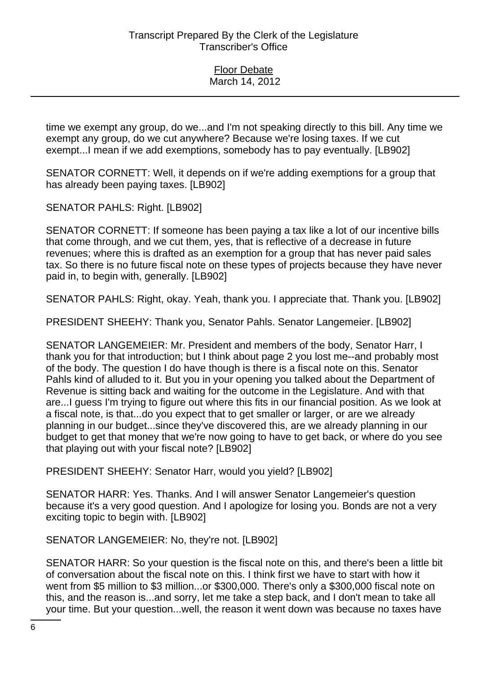time we exempt any group, do we...and I'm not speaking directly to this bill. Any time we exempt any group, do we cut anywhere? Because we're losing taxes. If we cut exempt...I mean if we add exemptions, somebody has to pay eventually. [LB902]

SENATOR CORNETT: Well, it depends on if we're adding exemptions for a group that has already been paying taxes. [LB902]

SENATOR PAHLS: Right. [LB902]

SENATOR CORNETT: If someone has been paying a tax like a lot of our incentive bills that come through, and we cut them, yes, that is reflective of a decrease in future revenues; where this is drafted as an exemption for a group that has never paid sales tax. So there is no future fiscal note on these types of projects because they have never paid in, to begin with, generally. [LB902]

SENATOR PAHLS: Right, okay. Yeah, thank you. I appreciate that. Thank you. [LB902]

PRESIDENT SHEEHY: Thank you, Senator Pahls. Senator Langemeier. [LB902]

SENATOR LANGEMEIER: Mr. President and members of the body, Senator Harr, I thank you for that introduction; but I think about page 2 you lost me--and probably most of the body. The question I do have though is there is a fiscal note on this. Senator Pahls kind of alluded to it. But you in your opening you talked about the Department of Revenue is sitting back and waiting for the outcome in the Legislature. And with that are...I guess I'm trying to figure out where this fits in our financial position. As we look at a fiscal note, is that...do you expect that to get smaller or larger, or are we already planning in our budget...since they've discovered this, are we already planning in our budget to get that money that we're now going to have to get back, or where do you see that playing out with your fiscal note? [LB902]

PRESIDENT SHEEHY: Senator Harr, would you yield? [LB902]

SENATOR HARR: Yes. Thanks. And I will answer Senator Langemeier's question because it's a very good question. And I apologize for losing you. Bonds are not a very exciting topic to begin with. [LB902]

SENATOR LANGEMEIER: No, they're not. [LB902]

SENATOR HARR: So your question is the fiscal note on this, and there's been a little bit of conversation about the fiscal note on this. I think first we have to start with how it went from \$5 million to \$3 million...or \$300,000. There's only a \$300,000 fiscal note on this, and the reason is...and sorry, let me take a step back, and I don't mean to take all your time. But your question...well, the reason it went down was because no taxes have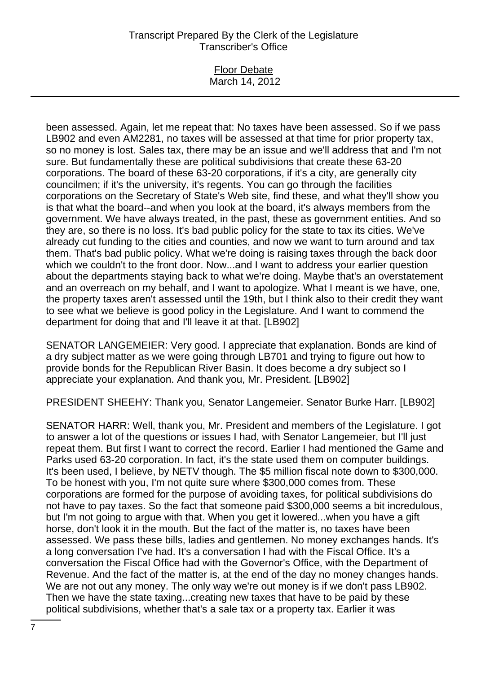#### Floor Debate March 14, 2012

been assessed. Again, let me repeat that: No taxes have been assessed. So if we pass LB902 and even AM2281, no taxes will be assessed at that time for prior property tax, so no money is lost. Sales tax, there may be an issue and we'll address that and I'm not sure. But fundamentally these are political subdivisions that create these 63-20 corporations. The board of these 63-20 corporations, if it's a city, are generally city councilmen; if it's the university, it's regents. You can go through the facilities corporations on the Secretary of State's Web site, find these, and what they'll show you is that what the board--and when you look at the board, it's always members from the government. We have always treated, in the past, these as government entities. And so they are, so there is no loss. It's bad public policy for the state to tax its cities. We've already cut funding to the cities and counties, and now we want to turn around and tax them. That's bad public policy. What we're doing is raising taxes through the back door which we couldn't to the front door. Now...and I want to address your earlier question about the departments staying back to what we're doing. Maybe that's an overstatement and an overreach on my behalf, and I want to apologize. What I meant is we have, one, the property taxes aren't assessed until the 19th, but I think also to their credit they want to see what we believe is good policy in the Legislature. And I want to commend the department for doing that and I'll leave it at that. [LB902]

SENATOR LANGEMEIER: Very good. I appreciate that explanation. Bonds are kind of a dry subject matter as we were going through LB701 and trying to figure out how to provide bonds for the Republican River Basin. It does become a dry subject so I appreciate your explanation. And thank you, Mr. President. [LB902]

PRESIDENT SHEEHY: Thank you, Senator Langemeier. Senator Burke Harr. [LB902]

SENATOR HARR: Well, thank you, Mr. President and members of the Legislature. I got to answer a lot of the questions or issues I had, with Senator Langemeier, but I'll just repeat them. But first I want to correct the record. Earlier I had mentioned the Game and Parks used 63-20 corporation. In fact, it's the state used them on computer buildings. It's been used, I believe, by NETV though. The \$5 million fiscal note down to \$300,000. To be honest with you, I'm not quite sure where \$300,000 comes from. These corporations are formed for the purpose of avoiding taxes, for political subdivisions do not have to pay taxes. So the fact that someone paid \$300,000 seems a bit incredulous, but I'm not going to argue with that. When you get it lowered...when you have a gift horse, don't look it in the mouth. But the fact of the matter is, no taxes have been assessed. We pass these bills, ladies and gentlemen. No money exchanges hands. It's a long conversation I've had. It's a conversation I had with the Fiscal Office. It's a conversation the Fiscal Office had with the Governor's Office, with the Department of Revenue. And the fact of the matter is, at the end of the day no money changes hands. We are not out any money. The only way we're out money is if we don't pass LB902. Then we have the state taxing...creating new taxes that have to be paid by these political subdivisions, whether that's a sale tax or a property tax. Earlier it was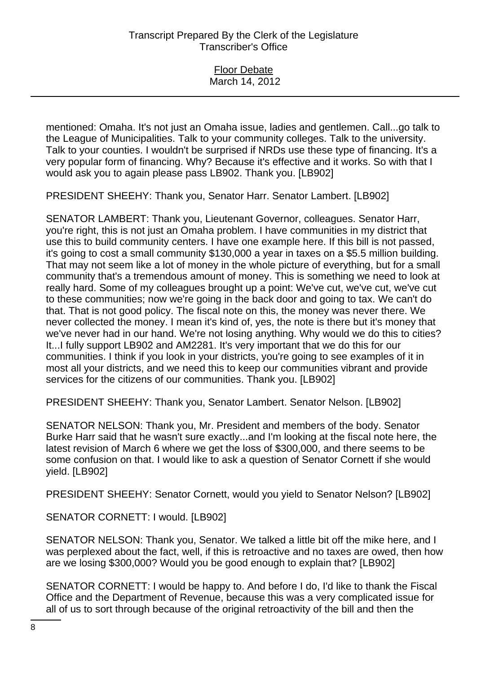Floor Debate March 14, 2012

mentioned: Omaha. It's not just an Omaha issue, ladies and gentlemen. Call...go talk to the League of Municipalities. Talk to your community colleges. Talk to the university. Talk to your counties. I wouldn't be surprised if NRDs use these type of financing. It's a very popular form of financing. Why? Because it's effective and it works. So with that I would ask you to again please pass LB902. Thank you. [LB902]

PRESIDENT SHEEHY: Thank you, Senator Harr. Senator Lambert. [LB902]

SENATOR LAMBERT: Thank you, Lieutenant Governor, colleagues. Senator Harr, you're right, this is not just an Omaha problem. I have communities in my district that use this to build community centers. I have one example here. If this bill is not passed, it's going to cost a small community \$130,000 a year in taxes on a \$5.5 million building. That may not seem like a lot of money in the whole picture of everything, but for a small community that's a tremendous amount of money. This is something we need to look at really hard. Some of my colleagues brought up a point: We've cut, we've cut, we've cut to these communities; now we're going in the back door and going to tax. We can't do that. That is not good policy. The fiscal note on this, the money was never there. We never collected the money. I mean it's kind of, yes, the note is there but it's money that we've never had in our hand. We're not losing anything. Why would we do this to cities? It...I fully support LB902 and AM2281. It's very important that we do this for our communities. I think if you look in your districts, you're going to see examples of it in most all your districts, and we need this to keep our communities vibrant and provide services for the citizens of our communities. Thank you. [LB902]

PRESIDENT SHEEHY: Thank you, Senator Lambert. Senator Nelson. [LB902]

SENATOR NELSON: Thank you, Mr. President and members of the body. Senator Burke Harr said that he wasn't sure exactly...and I'm looking at the fiscal note here, the latest revision of March 6 where we get the loss of \$300,000, and there seems to be some confusion on that. I would like to ask a question of Senator Cornett if she would yield. [LB902]

PRESIDENT SHEEHY: Senator Cornett, would you yield to Senator Nelson? [LB902]

SENATOR CORNETT: I would. [LB902]

SENATOR NELSON: Thank you, Senator. We talked a little bit off the mike here, and I was perplexed about the fact, well, if this is retroactive and no taxes are owed, then how are we losing \$300,000? Would you be good enough to explain that? [LB902]

SENATOR CORNETT: I would be happy to. And before I do, I'd like to thank the Fiscal Office and the Department of Revenue, because this was a very complicated issue for all of us to sort through because of the original retroactivity of the bill and then the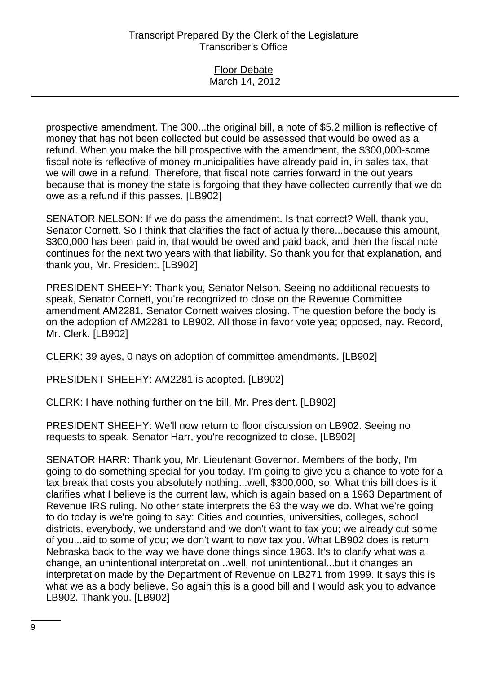Floor Debate March 14, 2012

prospective amendment. The 300...the original bill, a note of \$5.2 million is reflective of money that has not been collected but could be assessed that would be owed as a refund. When you make the bill prospective with the amendment, the \$300,000-some fiscal note is reflective of money municipalities have already paid in, in sales tax, that we will owe in a refund. Therefore, that fiscal note carries forward in the out years because that is money the state is forgoing that they have collected currently that we do owe as a refund if this passes. [LB902]

SENATOR NELSON: If we do pass the amendment. Is that correct? Well, thank you, Senator Cornett. So I think that clarifies the fact of actually there...because this amount, \$300,000 has been paid in, that would be owed and paid back, and then the fiscal note continues for the next two years with that liability. So thank you for that explanation, and thank you, Mr. President. [LB902]

PRESIDENT SHEEHY: Thank you, Senator Nelson. Seeing no additional requests to speak, Senator Cornett, you're recognized to close on the Revenue Committee amendment AM2281. Senator Cornett waives closing. The question before the body is on the adoption of AM2281 to LB902. All those in favor vote yea; opposed, nay. Record, Mr. Clerk. [LB902]

CLERK: 39 ayes, 0 nays on adoption of committee amendments. [LB902]

PRESIDENT SHEEHY: AM2281 is adopted. [LB902]

CLERK: I have nothing further on the bill, Mr. President. [LB902]

PRESIDENT SHEEHY: We'll now return to floor discussion on LB902. Seeing no requests to speak, Senator Harr, you're recognized to close. [LB902]

SENATOR HARR: Thank you, Mr. Lieutenant Governor. Members of the body, I'm going to do something special for you today. I'm going to give you a chance to vote for a tax break that costs you absolutely nothing...well, \$300,000, so. What this bill does is it clarifies what I believe is the current law, which is again based on a 1963 Department of Revenue IRS ruling. No other state interprets the 63 the way we do. What we're going to do today is we're going to say: Cities and counties, universities, colleges, school districts, everybody, we understand and we don't want to tax you; we already cut some of you...aid to some of you; we don't want to now tax you. What LB902 does is return Nebraska back to the way we have done things since 1963. It's to clarify what was a change, an unintentional interpretation...well, not unintentional...but it changes an interpretation made by the Department of Revenue on LB271 from 1999. It says this is what we as a body believe. So again this is a good bill and I would ask you to advance LB902. Thank you. [LB902]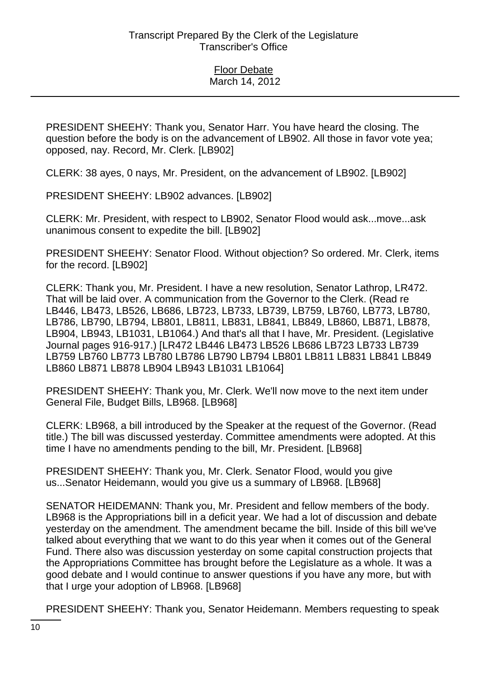PRESIDENT SHEEHY: Thank you, Senator Harr. You have heard the closing. The question before the body is on the advancement of LB902. All those in favor vote yea; opposed, nay. Record, Mr. Clerk. [LB902]

CLERK: 38 ayes, 0 nays, Mr. President, on the advancement of LB902. [LB902]

PRESIDENT SHEEHY: LB902 advances. [LB902]

CLERK: Mr. President, with respect to LB902, Senator Flood would ask...move...ask unanimous consent to expedite the bill. [LB902]

PRESIDENT SHEEHY: Senator Flood. Without objection? So ordered. Mr. Clerk, items for the record. [LB902]

CLERK: Thank you, Mr. President. I have a new resolution, Senator Lathrop, LR472. That will be laid over. A communication from the Governor to the Clerk. (Read re LB446, LB473, LB526, LB686, LB723, LB733, LB739, LB759, LB760, LB773, LB780, LB786, LB790, LB794, LB801, LB811, LB831, LB841, LB849, LB860, LB871, LB878, LB904, LB943, LB1031, LB1064.) And that's all that I have, Mr. President. (Legislative Journal pages 916-917.) [LR472 LB446 LB473 LB526 LB686 LB723 LB733 LB739 LB759 LB760 LB773 LB780 LB786 LB790 LB794 LB801 LB811 LB831 LB841 LB849 LB860 LB871 LB878 LB904 LB943 LB1031 LB1064]

PRESIDENT SHEEHY: Thank you, Mr. Clerk. We'll now move to the next item under General File, Budget Bills, LB968. [LB968]

CLERK: LB968, a bill introduced by the Speaker at the request of the Governor. (Read title.) The bill was discussed yesterday. Committee amendments were adopted. At this time I have no amendments pending to the bill, Mr. President. [LB968]

PRESIDENT SHEEHY: Thank you, Mr. Clerk. Senator Flood, would you give us...Senator Heidemann, would you give us a summary of LB968. [LB968]

SENATOR HEIDEMANN: Thank you, Mr. President and fellow members of the body. LB968 is the Appropriations bill in a deficit year. We had a lot of discussion and debate yesterday on the amendment. The amendment became the bill. Inside of this bill we've talked about everything that we want to do this year when it comes out of the General Fund. There also was discussion yesterday on some capital construction projects that the Appropriations Committee has brought before the Legislature as a whole. It was a good debate and I would continue to answer questions if you have any more, but with that I urge your adoption of LB968. [LB968]

PRESIDENT SHEEHY: Thank you, Senator Heidemann. Members requesting to speak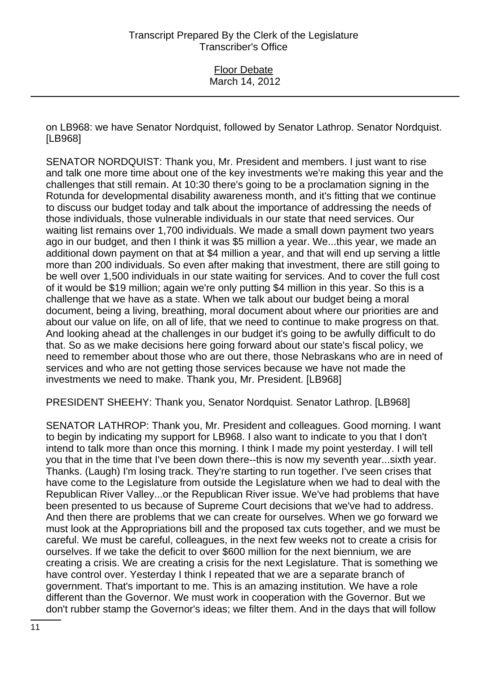on LB968: we have Senator Nordquist, followed by Senator Lathrop. Senator Nordquist. [LB968]

SENATOR NORDQUIST: Thank you, Mr. President and members. I just want to rise and talk one more time about one of the key investments we're making this year and the challenges that still remain. At 10:30 there's going to be a proclamation signing in the Rotunda for developmental disability awareness month, and it's fitting that we continue to discuss our budget today and talk about the importance of addressing the needs of those individuals, those vulnerable individuals in our state that need services. Our waiting list remains over 1,700 individuals. We made a small down payment two years ago in our budget, and then I think it was \$5 million a year. We...this year, we made an additional down payment on that at \$4 million a year, and that will end up serving a little more than 200 individuals. So even after making that investment, there are still going to be well over 1,500 individuals in our state waiting for services. And to cover the full cost of it would be \$19 million; again we're only putting \$4 million in this year. So this is a challenge that we have as a state. When we talk about our budget being a moral document, being a living, breathing, moral document about where our priorities are and about our value on life, on all of life, that we need to continue to make progress on that. And looking ahead at the challenges in our budget it's going to be awfully difficult to do that. So as we make decisions here going forward about our state's fiscal policy, we need to remember about those who are out there, those Nebraskans who are in need of services and who are not getting those services because we have not made the investments we need to make. Thank you, Mr. President. [LB968]

PRESIDENT SHEEHY: Thank you, Senator Nordquist. Senator Lathrop. [LB968]

SENATOR LATHROP: Thank you, Mr. President and colleagues. Good morning. I want to begin by indicating my support for LB968. I also want to indicate to you that I don't intend to talk more than once this morning. I think I made my point yesterday. I will tell you that in the time that I've been down there--this is now my seventh year...sixth year. Thanks. (Laugh) I'm losing track. They're starting to run together. I've seen crises that have come to the Legislature from outside the Legislature when we had to deal with the Republican River Valley...or the Republican River issue. We've had problems that have been presented to us because of Supreme Court decisions that we've had to address. And then there are problems that we can create for ourselves. When we go forward we must look at the Appropriations bill and the proposed tax cuts together, and we must be careful. We must be careful, colleagues, in the next few weeks not to create a crisis for ourselves. If we take the deficit to over \$600 million for the next biennium, we are creating a crisis. We are creating a crisis for the next Legislature. That is something we have control over. Yesterday I think I repeated that we are a separate branch of government. That's important to me. This is an amazing institution. We have a role different than the Governor. We must work in cooperation with the Governor. But we don't rubber stamp the Governor's ideas; we filter them. And in the days that will follow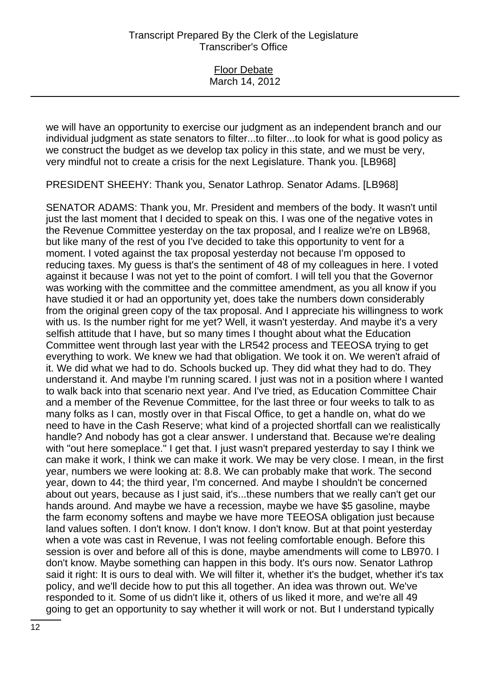| <b>Floor Debate</b> |  |
|---------------------|--|
| March 14, 2012      |  |

we will have an opportunity to exercise our judgment as an independent branch and our individual judgment as state senators to filter...to filter...to look for what is good policy as we construct the budget as we develop tax policy in this state, and we must be very, very mindful not to create a crisis for the next Legislature. Thank you. [LB968]

PRESIDENT SHEEHY: Thank you, Senator Lathrop. Senator Adams. [LB968]

SENATOR ADAMS: Thank you, Mr. President and members of the body. It wasn't until just the last moment that I decided to speak on this. I was one of the negative votes in the Revenue Committee yesterday on the tax proposal, and I realize we're on LB968, but like many of the rest of you I've decided to take this opportunity to vent for a moment. I voted against the tax proposal yesterday not because I'm opposed to reducing taxes. My guess is that's the sentiment of 48 of my colleagues in here. I voted against it because I was not yet to the point of comfort. I will tell you that the Governor was working with the committee and the committee amendment, as you all know if you have studied it or had an opportunity yet, does take the numbers down considerably from the original green copy of the tax proposal. And I appreciate his willingness to work with us. Is the number right for me yet? Well, it wasn't yesterday. And maybe it's a very selfish attitude that I have, but so many times I thought about what the Education Committee went through last year with the LR542 process and TEEOSA trying to get everything to work. We knew we had that obligation. We took it on. We weren't afraid of it. We did what we had to do. Schools bucked up. They did what they had to do. They understand it. And maybe I'm running scared. I just was not in a position where I wanted to walk back into that scenario next year. And I've tried, as Education Committee Chair and a member of the Revenue Committee, for the last three or four weeks to talk to as many folks as I can, mostly over in that Fiscal Office, to get a handle on, what do we need to have in the Cash Reserve; what kind of a projected shortfall can we realistically handle? And nobody has got a clear answer. I understand that. Because we're dealing with "out here someplace." I get that. I just wasn't prepared yesterday to say I think we can make it work, I think we can make it work. We may be very close. I mean, in the first year, numbers we were looking at: 8.8. We can probably make that work. The second year, down to 44; the third year, I'm concerned. And maybe I shouldn't be concerned about out years, because as I just said, it's...these numbers that we really can't get our hands around. And maybe we have a recession, maybe we have \$5 gasoline, maybe the farm economy softens and maybe we have more TEEOSA obligation just because land values soften. I don't know. I don't know. I don't know. But at that point yesterday when a vote was cast in Revenue, I was not feeling comfortable enough. Before this session is over and before all of this is done, maybe amendments will come to LB970. I don't know. Maybe something can happen in this body. It's ours now. Senator Lathrop said it right: It is ours to deal with. We will filter it, whether it's the budget, whether it's tax policy, and we'll decide how to put this all together. An idea was thrown out. We've responded to it. Some of us didn't like it, others of us liked it more, and we're all 49 going to get an opportunity to say whether it will work or not. But I understand typically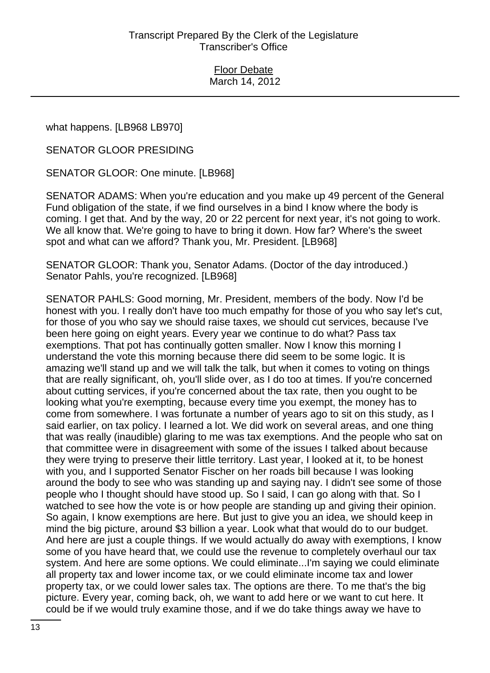what happens. [LB968 LB970]

SENATOR GLOOR PRESIDING

SENATOR GLOOR: One minute. [LB968]

SENATOR ADAMS: When you're education and you make up 49 percent of the General Fund obligation of the state, if we find ourselves in a bind I know where the body is coming. I get that. And by the way, 20 or 22 percent for next year, it's not going to work. We all know that. We're going to have to bring it down. How far? Where's the sweet spot and what can we afford? Thank you, Mr. President. [LB968]

SENATOR GLOOR: Thank you, Senator Adams. (Doctor of the day introduced.) Senator Pahls, you're recognized. [LB968]

SENATOR PAHLS: Good morning, Mr. President, members of the body. Now I'd be honest with you. I really don't have too much empathy for those of you who say let's cut, for those of you who say we should raise taxes, we should cut services, because I've been here going on eight years. Every year we continue to do what? Pass tax exemptions. That pot has continually gotten smaller. Now I know this morning I understand the vote this morning because there did seem to be some logic. It is amazing we'll stand up and we will talk the talk, but when it comes to voting on things that are really significant, oh, you'll slide over, as I do too at times. If you're concerned about cutting services, if you're concerned about the tax rate, then you ought to be looking what you're exempting, because every time you exempt, the money has to come from somewhere. I was fortunate a number of years ago to sit on this study, as I said earlier, on tax policy. I learned a lot. We did work on several areas, and one thing that was really (inaudible) glaring to me was tax exemptions. And the people who sat on that committee were in disagreement with some of the issues I talked about because they were trying to preserve their little territory. Last year, I looked at it, to be honest with you, and I supported Senator Fischer on her roads bill because I was looking around the body to see who was standing up and saying nay. I didn't see some of those people who I thought should have stood up. So I said, I can go along with that. So I watched to see how the vote is or how people are standing up and giving their opinion. So again, I know exemptions are here. But just to give you an idea, we should keep in mind the big picture, around \$3 billion a year. Look what that would do to our budget. And here are just a couple things. If we would actually do away with exemptions, I know some of you have heard that, we could use the revenue to completely overhaul our tax system. And here are some options. We could eliminate...I'm saying we could eliminate all property tax and lower income tax, or we could eliminate income tax and lower property tax, or we could lower sales tax. The options are there. To me that's the big picture. Every year, coming back, oh, we want to add here or we want to cut here. It could be if we would truly examine those, and if we do take things away we have to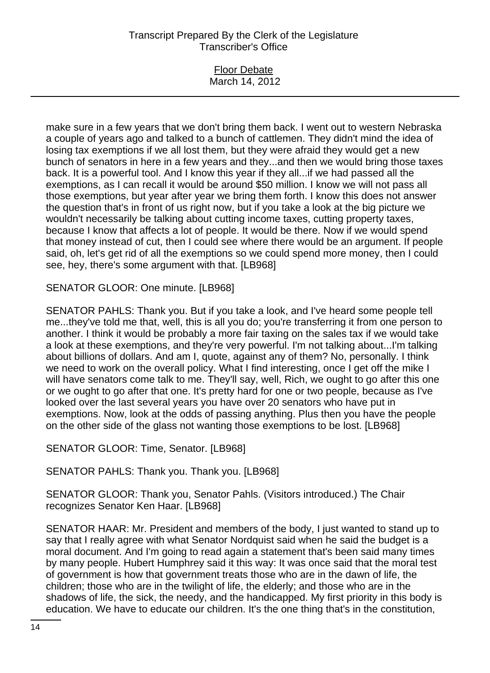### Floor Debate March 14, 2012

make sure in a few years that we don't bring them back. I went out to western Nebraska a couple of years ago and talked to a bunch of cattlemen. They didn't mind the idea of losing tax exemptions if we all lost them, but they were afraid they would get a new bunch of senators in here in a few years and they...and then we would bring those taxes back. It is a powerful tool. And I know this year if they all...if we had passed all the exemptions, as I can recall it would be around \$50 million. I know we will not pass all those exemptions, but year after year we bring them forth. I know this does not answer the question that's in front of us right now, but if you take a look at the big picture we wouldn't necessarily be talking about cutting income taxes, cutting property taxes, because I know that affects a lot of people. It would be there. Now if we would spend that money instead of cut, then I could see where there would be an argument. If people said, oh, let's get rid of all the exemptions so we could spend more money, then I could see, hey, there's some argument with that. [LB968]

SENATOR GLOOR: One minute. [LB968]

SENATOR PAHLS: Thank you. But if you take a look, and I've heard some people tell me...they've told me that, well, this is all you do; you're transferring it from one person to another. I think it would be probably a more fair taxing on the sales tax if we would take a look at these exemptions, and they're very powerful. I'm not talking about...I'm talking about billions of dollars. And am I, quote, against any of them? No, personally. I think we need to work on the overall policy. What I find interesting, once I get off the mike I will have senators come talk to me. They'll say, well, Rich, we ought to go after this one or we ought to go after that one. It's pretty hard for one or two people, because as I've looked over the last several years you have over 20 senators who have put in exemptions. Now, look at the odds of passing anything. Plus then you have the people on the other side of the glass not wanting those exemptions to be lost. [LB968]

SENATOR GLOOR: Time, Senator. [LB968]

SENATOR PAHLS: Thank you. Thank you. [LB968]

SENATOR GLOOR: Thank you, Senator Pahls. (Visitors introduced.) The Chair recognizes Senator Ken Haar. [LB968]

SENATOR HAAR: Mr. President and members of the body, I just wanted to stand up to say that I really agree with what Senator Nordquist said when he said the budget is a moral document. And I'm going to read again a statement that's been said many times by many people. Hubert Humphrey said it this way: It was once said that the moral test of government is how that government treats those who are in the dawn of life, the children; those who are in the twilight of life, the elderly; and those who are in the shadows of life, the sick, the needy, and the handicapped. My first priority in this body is education. We have to educate our children. It's the one thing that's in the constitution,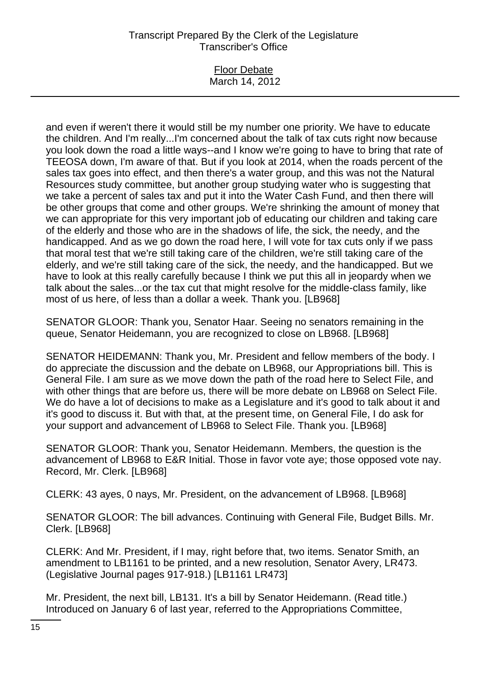#### Floor Debate March 14, 2012

and even if weren't there it would still be my number one priority. We have to educate the children. And I'm really...I'm concerned about the talk of tax cuts right now because you look down the road a little ways--and I know we're going to have to bring that rate of TEEOSA down, I'm aware of that. But if you look at 2014, when the roads percent of the sales tax goes into effect, and then there's a water group, and this was not the Natural Resources study committee, but another group studying water who is suggesting that we take a percent of sales tax and put it into the Water Cash Fund, and then there will be other groups that come and other groups. We're shrinking the amount of money that we can appropriate for this very important job of educating our children and taking care of the elderly and those who are in the shadows of life, the sick, the needy, and the handicapped. And as we go down the road here, I will vote for tax cuts only if we pass that moral test that we're still taking care of the children, we're still taking care of the elderly, and we're still taking care of the sick, the needy, and the handicapped. But we have to look at this really carefully because I think we put this all in jeopardy when we talk about the sales...or the tax cut that might resolve for the middle-class family, like most of us here, of less than a dollar a week. Thank you. [LB968]

SENATOR GLOOR: Thank you, Senator Haar. Seeing no senators remaining in the queue, Senator Heidemann, you are recognized to close on LB968. [LB968]

SENATOR HEIDEMANN: Thank you, Mr. President and fellow members of the body. I do appreciate the discussion and the debate on LB968, our Appropriations bill. This is General File. I am sure as we move down the path of the road here to Select File, and with other things that are before us, there will be more debate on LB968 on Select File. We do have a lot of decisions to make as a Legislature and it's good to talk about it and it's good to discuss it. But with that, at the present time, on General File, I do ask for your support and advancement of LB968 to Select File. Thank you. [LB968]

SENATOR GLOOR: Thank you, Senator Heidemann. Members, the question is the advancement of LB968 to E&R Initial. Those in favor vote aye; those opposed vote nay. Record, Mr. Clerk. [LB968]

CLERK: 43 ayes, 0 nays, Mr. President, on the advancement of LB968. [LB968]

SENATOR GLOOR: The bill advances. Continuing with General File, Budget Bills. Mr. Clerk. [LB968]

CLERK: And Mr. President, if I may, right before that, two items. Senator Smith, an amendment to LB1161 to be printed, and a new resolution, Senator Avery, LR473. (Legislative Journal pages 917-918.) [LB1161 LR473]

Mr. President, the next bill, LB131. It's a bill by Senator Heidemann. (Read title.) Introduced on January 6 of last year, referred to the Appropriations Committee,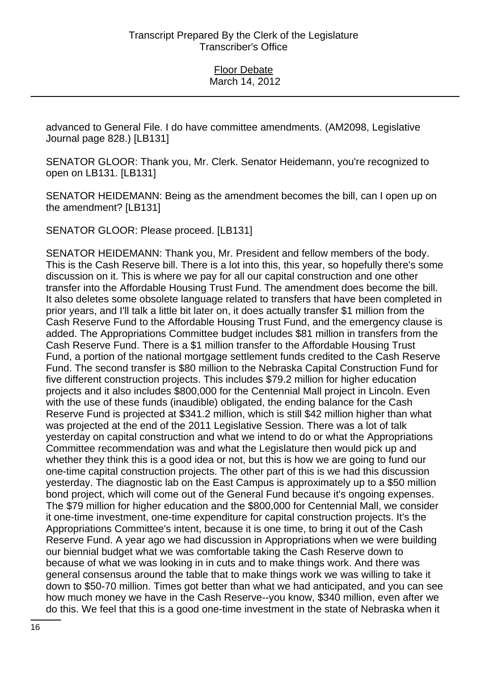advanced to General File. I do have committee amendments. (AM2098, Legislative Journal page 828.) [LB131]

SENATOR GLOOR: Thank you, Mr. Clerk. Senator Heidemann, you're recognized to open on LB131. [LB131]

SENATOR HEIDEMANN: Being as the amendment becomes the bill, can I open up on the amendment? [LB131]

SENATOR GLOOR: Please proceed. [LB131]

SENATOR HEIDEMANN: Thank you, Mr. President and fellow members of the body. This is the Cash Reserve bill. There is a lot into this, this year, so hopefully there's some discussion on it. This is where we pay for all our capital construction and one other transfer into the Affordable Housing Trust Fund. The amendment does become the bill. It also deletes some obsolete language related to transfers that have been completed in prior years, and I'll talk a little bit later on, it does actually transfer \$1 million from the Cash Reserve Fund to the Affordable Housing Trust Fund, and the emergency clause is added. The Appropriations Committee budget includes \$81 million in transfers from the Cash Reserve Fund. There is a \$1 million transfer to the Affordable Housing Trust Fund, a portion of the national mortgage settlement funds credited to the Cash Reserve Fund. The second transfer is \$80 million to the Nebraska Capital Construction Fund for five different construction projects. This includes \$79.2 million for higher education projects and it also includes \$800,000 for the Centennial Mall project in Lincoln. Even with the use of these funds (inaudible) obligated, the ending balance for the Cash Reserve Fund is projected at \$341.2 million, which is still \$42 million higher than what was projected at the end of the 2011 Legislative Session. There was a lot of talk yesterday on capital construction and what we intend to do or what the Appropriations Committee recommendation was and what the Legislature then would pick up and whether they think this is a good idea or not, but this is how we are going to fund our one-time capital construction projects. The other part of this is we had this discussion yesterday. The diagnostic lab on the East Campus is approximately up to a \$50 million bond project, which will come out of the General Fund because it's ongoing expenses. The \$79 million for higher education and the \$800,000 for Centennial Mall, we consider it one-time investment, one-time expenditure for capital construction projects. It's the Appropriations Committee's intent, because it is one time, to bring it out of the Cash Reserve Fund. A year ago we had discussion in Appropriations when we were building our biennial budget what we was comfortable taking the Cash Reserve down to because of what we was looking in in cuts and to make things work. And there was general consensus around the table that to make things work we was willing to take it down to \$50-70 million. Times got better than what we had anticipated, and you can see how much money we have in the Cash Reserve--you know, \$340 million, even after we do this. We feel that this is a good one-time investment in the state of Nebraska when it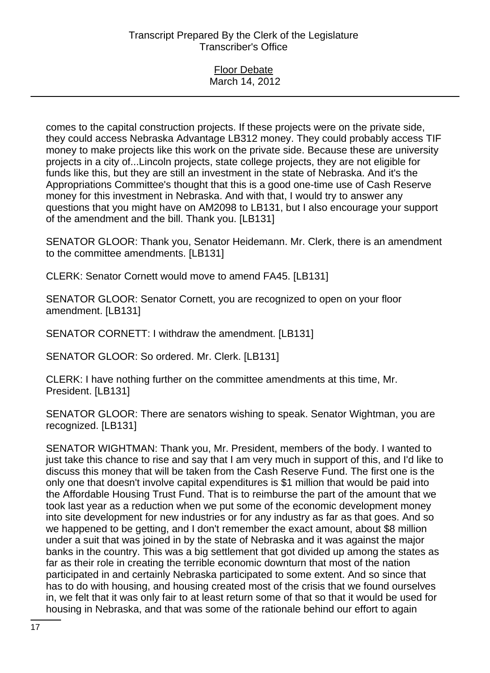#### Floor Debate March 14, 2012

comes to the capital construction projects. If these projects were on the private side, they could access Nebraska Advantage LB312 money. They could probably access TIF money to make projects like this work on the private side. Because these are university projects in a city of...Lincoln projects, state college projects, they are not eligible for funds like this, but they are still an investment in the state of Nebraska. And it's the Appropriations Committee's thought that this is a good one-time use of Cash Reserve money for this investment in Nebraska. And with that, I would try to answer any questions that you might have on AM2098 to LB131, but I also encourage your support of the amendment and the bill. Thank you. [LB131]

SENATOR GLOOR: Thank you, Senator Heidemann. Mr. Clerk, there is an amendment to the committee amendments. [LB131]

CLERK: Senator Cornett would move to amend FA45. [LB131]

SENATOR GLOOR: Senator Cornett, you are recognized to open on your floor amendment. [LB131]

SENATOR CORNETT: I withdraw the amendment. [LB131]

SENATOR GLOOR: So ordered. Mr. Clerk. [LB131]

CLERK: I have nothing further on the committee amendments at this time, Mr. President. [LB131]

SENATOR GLOOR: There are senators wishing to speak. Senator Wightman, you are recognized. [LB131]

SENATOR WIGHTMAN: Thank you, Mr. President, members of the body. I wanted to just take this chance to rise and say that I am very much in support of this, and I'd like to discuss this money that will be taken from the Cash Reserve Fund. The first one is the only one that doesn't involve capital expenditures is \$1 million that would be paid into the Affordable Housing Trust Fund. That is to reimburse the part of the amount that we took last year as a reduction when we put some of the economic development money into site development for new industries or for any industry as far as that goes. And so we happened to be getting, and I don't remember the exact amount, about \$8 million under a suit that was joined in by the state of Nebraska and it was against the major banks in the country. This was a big settlement that got divided up among the states as far as their role in creating the terrible economic downturn that most of the nation participated in and certainly Nebraska participated to some extent. And so since that has to do with housing, and housing created most of the crisis that we found ourselves in, we felt that it was only fair to at least return some of that so that it would be used for housing in Nebraska, and that was some of the rationale behind our effort to again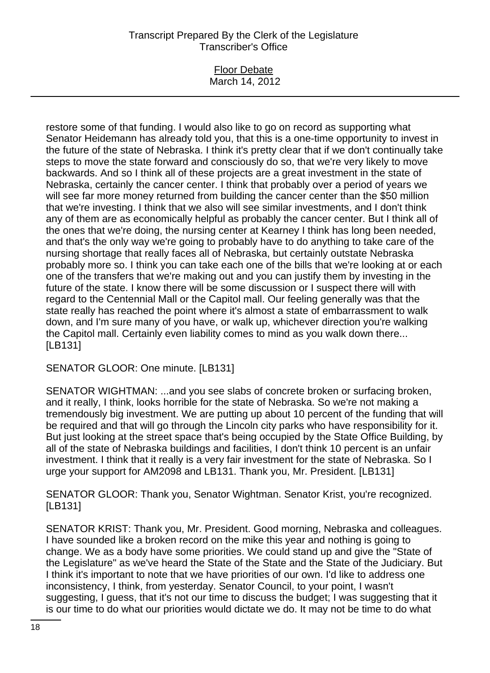### Floor Debate March 14, 2012

restore some of that funding. I would also like to go on record as supporting what Senator Heidemann has already told you, that this is a one-time opportunity to invest in the future of the state of Nebraska. I think it's pretty clear that if we don't continually take steps to move the state forward and consciously do so, that we're very likely to move backwards. And so I think all of these projects are a great investment in the state of Nebraska, certainly the cancer center. I think that probably over a period of years we will see far more money returned from building the cancer center than the \$50 million that we're investing. I think that we also will see similar investments, and I don't think any of them are as economically helpful as probably the cancer center. But I think all of the ones that we're doing, the nursing center at Kearney I think has long been needed, and that's the only way we're going to probably have to do anything to take care of the nursing shortage that really faces all of Nebraska, but certainly outstate Nebraska probably more so. I think you can take each one of the bills that we're looking at or each one of the transfers that we're making out and you can justify them by investing in the future of the state. I know there will be some discussion or I suspect there will with regard to the Centennial Mall or the Capitol mall. Our feeling generally was that the state really has reached the point where it's almost a state of embarrassment to walk down, and I'm sure many of you have, or walk up, whichever direction you're walking the Capitol mall. Certainly even liability comes to mind as you walk down there... [LB131]

SENATOR GLOOR: One minute. [LB131]

SENATOR WIGHTMAN: ...and you see slabs of concrete broken or surfacing broken, and it really, I think, looks horrible for the state of Nebraska. So we're not making a tremendously big investment. We are putting up about 10 percent of the funding that will be required and that will go through the Lincoln city parks who have responsibility for it. But just looking at the street space that's being occupied by the State Office Building, by all of the state of Nebraska buildings and facilities, I don't think 10 percent is an unfair investment. I think that it really is a very fair investment for the state of Nebraska. So I urge your support for AM2098 and LB131. Thank you, Mr. President. [LB131]

SENATOR GLOOR: Thank you, Senator Wightman. Senator Krist, you're recognized. [LB131]

SENATOR KRIST: Thank you, Mr. President. Good morning, Nebraska and colleagues. I have sounded like a broken record on the mike this year and nothing is going to change. We as a body have some priorities. We could stand up and give the "State of the Legislature" as we've heard the State of the State and the State of the Judiciary. But I think it's important to note that we have priorities of our own. I'd like to address one inconsistency, I think, from yesterday. Senator Council, to your point, I wasn't suggesting, I guess, that it's not our time to discuss the budget; I was suggesting that it is our time to do what our priorities would dictate we do. It may not be time to do what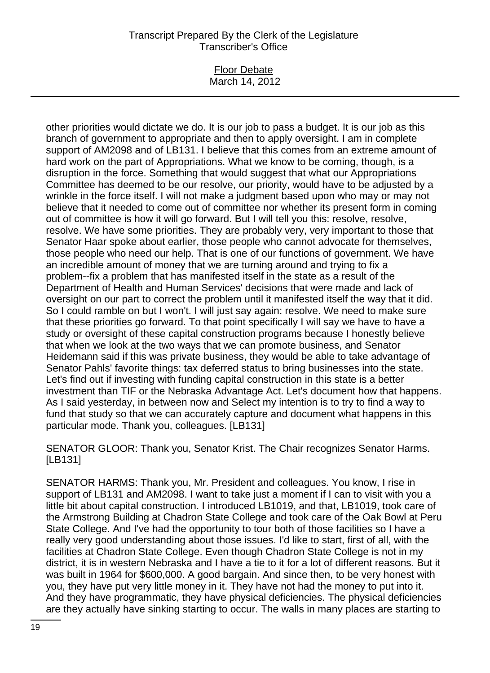#### Floor Debate March 14, 2012

other priorities would dictate we do. It is our job to pass a budget. It is our job as this branch of government to appropriate and then to apply oversight. I am in complete support of AM2098 and of LB131. I believe that this comes from an extreme amount of hard work on the part of Appropriations. What we know to be coming, though, is a disruption in the force. Something that would suggest that what our Appropriations Committee has deemed to be our resolve, our priority, would have to be adjusted by a wrinkle in the force itself. I will not make a judgment based upon who may or may not believe that it needed to come out of committee nor whether its present form in coming out of committee is how it will go forward. But I will tell you this: resolve, resolve, resolve. We have some priorities. They are probably very, very important to those that Senator Haar spoke about earlier, those people who cannot advocate for themselves, those people who need our help. That is one of our functions of government. We have an incredible amount of money that we are turning around and trying to fix a problem--fix a problem that has manifested itself in the state as a result of the Department of Health and Human Services' decisions that were made and lack of oversight on our part to correct the problem until it manifested itself the way that it did. So I could ramble on but I won't. I will just say again: resolve. We need to make sure that these priorities go forward. To that point specifically I will say we have to have a study or oversight of these capital construction programs because I honestly believe that when we look at the two ways that we can promote business, and Senator Heidemann said if this was private business, they would be able to take advantage of Senator Pahls' favorite things: tax deferred status to bring businesses into the state. Let's find out if investing with funding capital construction in this state is a better investment than TIF or the Nebraska Advantage Act. Let's document how that happens. As I said yesterday, in between now and Select my intention is to try to find a way to fund that study so that we can accurately capture and document what happens in this particular mode. Thank you, colleagues. [LB131]

SENATOR GLOOR: Thank you, Senator Krist. The Chair recognizes Senator Harms. [LB131]

SENATOR HARMS: Thank you, Mr. President and colleagues. You know, I rise in support of LB131 and AM2098. I want to take just a moment if I can to visit with you a little bit about capital construction. I introduced LB1019, and that, LB1019, took care of the Armstrong Building at Chadron State College and took care of the Oak Bowl at Peru State College. And I've had the opportunity to tour both of those facilities so I have a really very good understanding about those issues. I'd like to start, first of all, with the facilities at Chadron State College. Even though Chadron State College is not in my district, it is in western Nebraska and I have a tie to it for a lot of different reasons. But it was built in 1964 for \$600,000. A good bargain. And since then, to be very honest with you, they have put very little money in it. They have not had the money to put into it. And they have programmatic, they have physical deficiencies. The physical deficiencies are they actually have sinking starting to occur. The walls in many places are starting to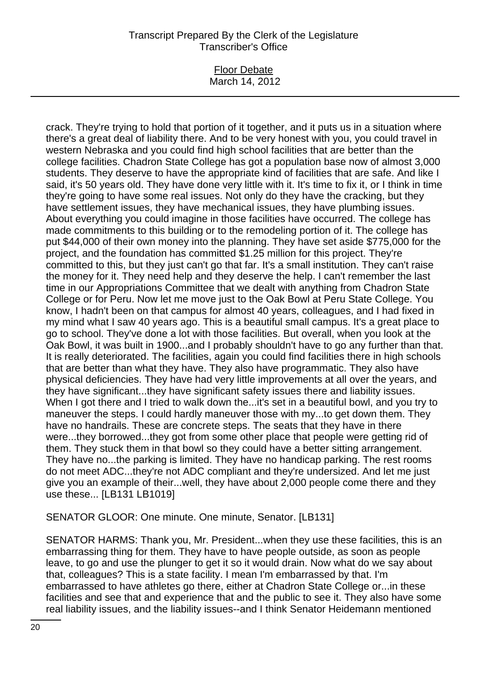#### Floor Debate March 14, 2012

crack. They're trying to hold that portion of it together, and it puts us in a situation where there's a great deal of liability there. And to be very honest with you, you could travel in western Nebraska and you could find high school facilities that are better than the college facilities. Chadron State College has got a population base now of almost 3,000 students. They deserve to have the appropriate kind of facilities that are safe. And like I said, it's 50 years old. They have done very little with it. It's time to fix it, or I think in time they're going to have some real issues. Not only do they have the cracking, but they have settlement issues, they have mechanical issues, they have plumbing issues. About everything you could imagine in those facilities have occurred. The college has made commitments to this building or to the remodeling portion of it. The college has put \$44,000 of their own money into the planning. They have set aside \$775,000 for the project, and the foundation has committed \$1.25 million for this project. They're committed to this, but they just can't go that far. It's a small institution. They can't raise the money for it. They need help and they deserve the help. I can't remember the last time in our Appropriations Committee that we dealt with anything from Chadron State College or for Peru. Now let me move just to the Oak Bowl at Peru State College. You know, I hadn't been on that campus for almost 40 years, colleagues, and I had fixed in my mind what I saw 40 years ago. This is a beautiful small campus. It's a great place to go to school. They've done a lot with those facilities. But overall, when you look at the Oak Bowl, it was built in 1900...and I probably shouldn't have to go any further than that. It is really deteriorated. The facilities, again you could find facilities there in high schools that are better than what they have. They also have programmatic. They also have physical deficiencies. They have had very little improvements at all over the years, and they have significant...they have significant safety issues there and liability issues. When I got there and I tried to walk down the...it's set in a beautiful bowl, and you try to maneuver the steps. I could hardly maneuver those with my...to get down them. They have no handrails. These are concrete steps. The seats that they have in there were...they borrowed...they got from some other place that people were getting rid of them. They stuck them in that bowl so they could have a better sitting arrangement. They have no...the parking is limited. They have no handicap parking. The rest rooms do not meet ADC...they're not ADC compliant and they're undersized. And let me just give you an example of their...well, they have about 2,000 people come there and they use these... [LB131 LB1019]

SENATOR GLOOR: One minute. One minute, Senator. [LB131]

SENATOR HARMS: Thank you, Mr. President...when they use these facilities, this is an embarrassing thing for them. They have to have people outside, as soon as people leave, to go and use the plunger to get it so it would drain. Now what do we say about that, colleagues? This is a state facility. I mean I'm embarrassed by that. I'm embarrassed to have athletes go there, either at Chadron State College or...in these facilities and see that and experience that and the public to see it. They also have some real liability issues, and the liability issues--and I think Senator Heidemann mentioned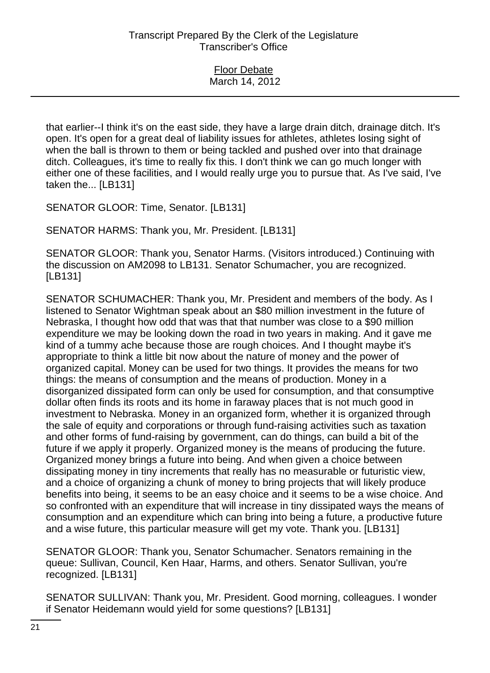### Floor Debate March 14, 2012

that earlier--I think it's on the east side, they have a large drain ditch, drainage ditch. It's open. It's open for a great deal of liability issues for athletes, athletes losing sight of when the ball is thrown to them or being tackled and pushed over into that drainage ditch. Colleagues, it's time to really fix this. I don't think we can go much longer with either one of these facilities, and I would really urge you to pursue that. As I've said, I've taken the... [LB131]

SENATOR GLOOR: Time, Senator. [LB131]

SENATOR HARMS: Thank you, Mr. President. [LB131]

SENATOR GLOOR: Thank you, Senator Harms. (Visitors introduced.) Continuing with the discussion on AM2098 to LB131. Senator Schumacher, you are recognized. [LB131]

SENATOR SCHUMACHER: Thank you, Mr. President and members of the body. As I listened to Senator Wightman speak about an \$80 million investment in the future of Nebraska, I thought how odd that was that that number was close to a \$90 million expenditure we may be looking down the road in two years in making. And it gave me kind of a tummy ache because those are rough choices. And I thought maybe it's appropriate to think a little bit now about the nature of money and the power of organized capital. Money can be used for two things. It provides the means for two things: the means of consumption and the means of production. Money in a disorganized dissipated form can only be used for consumption, and that consumptive dollar often finds its roots and its home in faraway places that is not much good in investment to Nebraska. Money in an organized form, whether it is organized through the sale of equity and corporations or through fund-raising activities such as taxation and other forms of fund-raising by government, can do things, can build a bit of the future if we apply it properly. Organized money is the means of producing the future. Organized money brings a future into being. And when given a choice between dissipating money in tiny increments that really has no measurable or futuristic view, and a choice of organizing a chunk of money to bring projects that will likely produce benefits into being, it seems to be an easy choice and it seems to be a wise choice. And so confronted with an expenditure that will increase in tiny dissipated ways the means of consumption and an expenditure which can bring into being a future, a productive future and a wise future, this particular measure will get my vote. Thank you. [LB131]

SENATOR GLOOR: Thank you, Senator Schumacher. Senators remaining in the queue: Sullivan, Council, Ken Haar, Harms, and others. Senator Sullivan, you're recognized. [LB131]

SENATOR SULLIVAN: Thank you, Mr. President. Good morning, colleagues. I wonder if Senator Heidemann would yield for some questions? [LB131]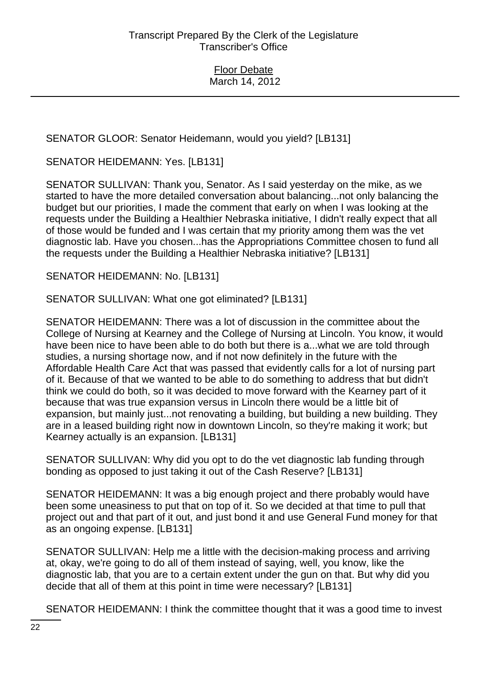SENATOR GLOOR: Senator Heidemann, would you yield? [LB131]

SENATOR HEIDEMANN: Yes. [LB131]

SENATOR SULLIVAN: Thank you, Senator. As I said yesterday on the mike, as we started to have the more detailed conversation about balancing...not only balancing the budget but our priorities, I made the comment that early on when I was looking at the requests under the Building a Healthier Nebraska initiative, I didn't really expect that all of those would be funded and I was certain that my priority among them was the vet diagnostic lab. Have you chosen...has the Appropriations Committee chosen to fund all the requests under the Building a Healthier Nebraska initiative? [LB131]

SENATOR HEIDEMANN: No. [LB131]

SENATOR SULLIVAN: What one got eliminated? [LB131]

SENATOR HEIDEMANN: There was a lot of discussion in the committee about the College of Nursing at Kearney and the College of Nursing at Lincoln. You know, it would have been nice to have been able to do both but there is a...what we are told through studies, a nursing shortage now, and if not now definitely in the future with the Affordable Health Care Act that was passed that evidently calls for a lot of nursing part of it. Because of that we wanted to be able to do something to address that but didn't think we could do both, so it was decided to move forward with the Kearney part of it because that was true expansion versus in Lincoln there would be a little bit of expansion, but mainly just...not renovating a building, but building a new building. They are in a leased building right now in downtown Lincoln, so they're making it work; but Kearney actually is an expansion. [LB131]

SENATOR SULLIVAN: Why did you opt to do the vet diagnostic lab funding through bonding as opposed to just taking it out of the Cash Reserve? [LB131]

SENATOR HEIDEMANN: It was a big enough project and there probably would have been some uneasiness to put that on top of it. So we decided at that time to pull that project out and that part of it out, and just bond it and use General Fund money for that as an ongoing expense. [LB131]

SENATOR SULLIVAN: Help me a little with the decision-making process and arriving at, okay, we're going to do all of them instead of saying, well, you know, like the diagnostic lab, that you are to a certain extent under the gun on that. But why did you decide that all of them at this point in time were necessary? [LB131]

SENATOR HEIDEMANN: I think the committee thought that it was a good time to invest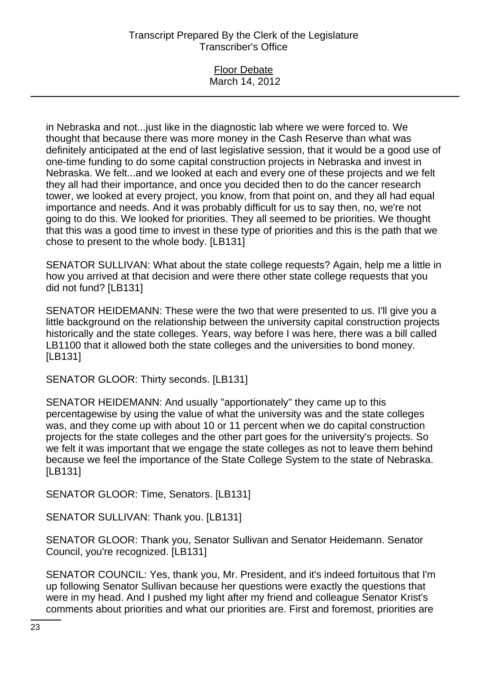#### Floor Debate March 14, 2012

in Nebraska and not...just like in the diagnostic lab where we were forced to. We thought that because there was more money in the Cash Reserve than what was definitely anticipated at the end of last legislative session, that it would be a good use of one-time funding to do some capital construction projects in Nebraska and invest in Nebraska. We felt...and we looked at each and every one of these projects and we felt they all had their importance, and once you decided then to do the cancer research tower, we looked at every project, you know, from that point on, and they all had equal importance and needs. And it was probably difficult for us to say then, no, we're not going to do this. We looked for priorities. They all seemed to be priorities. We thought that this was a good time to invest in these type of priorities and this is the path that we chose to present to the whole body. [LB131]

SENATOR SULLIVAN: What about the state college requests? Again, help me a little in how you arrived at that decision and were there other state college requests that you did not fund? [LB131]

SENATOR HEIDEMANN: These were the two that were presented to us. I'll give you a little background on the relationship between the university capital construction projects historically and the state colleges. Years, way before I was here, there was a bill called LB1100 that it allowed both the state colleges and the universities to bond money. [LB131]

SENATOR GLOOR: Thirty seconds. [LB131]

SENATOR HEIDEMANN: And usually "apportionately" they came up to this percentagewise by using the value of what the university was and the state colleges was, and they come up with about 10 or 11 percent when we do capital construction projects for the state colleges and the other part goes for the university's projects. So we felt it was important that we engage the state colleges as not to leave them behind because we feel the importance of the State College System to the state of Nebraska. [LB131]

SENATOR GLOOR: Time, Senators. [LB131]

SENATOR SULLIVAN: Thank you. [LB131]

SENATOR GLOOR: Thank you, Senator Sullivan and Senator Heidemann. Senator Council, you're recognized. [LB131]

SENATOR COUNCIL: Yes, thank you, Mr. President, and it's indeed fortuitous that I'm up following Senator Sullivan because her questions were exactly the questions that were in my head. And I pushed my light after my friend and colleague Senator Krist's comments about priorities and what our priorities are. First and foremost, priorities are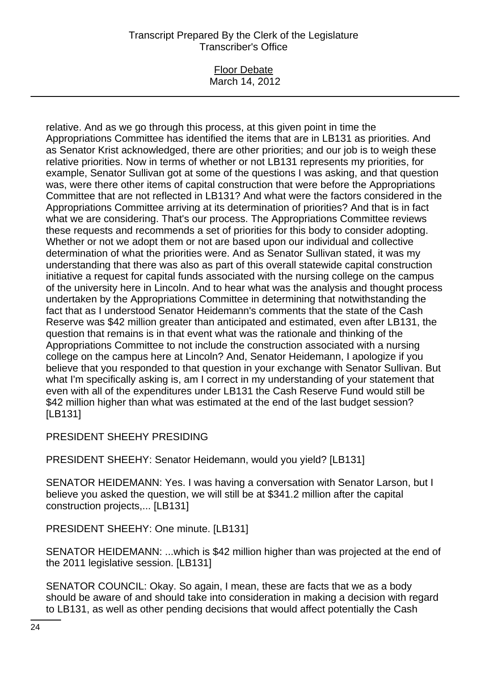#### Floor Debate March 14, 2012

relative. And as we go through this process, at this given point in time the Appropriations Committee has identified the items that are in LB131 as priorities. And as Senator Krist acknowledged, there are other priorities; and our job is to weigh these relative priorities. Now in terms of whether or not LB131 represents my priorities, for example, Senator Sullivan got at some of the questions I was asking, and that question was, were there other items of capital construction that were before the Appropriations Committee that are not reflected in LB131? And what were the factors considered in the Appropriations Committee arriving at its determination of priorities? And that is in fact what we are considering. That's our process. The Appropriations Committee reviews these requests and recommends a set of priorities for this body to consider adopting. Whether or not we adopt them or not are based upon our individual and collective determination of what the priorities were. And as Senator Sullivan stated, it was my understanding that there was also as part of this overall statewide capital construction initiative a request for capital funds associated with the nursing college on the campus of the university here in Lincoln. And to hear what was the analysis and thought process undertaken by the Appropriations Committee in determining that notwithstanding the fact that as I understood Senator Heidemann's comments that the state of the Cash Reserve was \$42 million greater than anticipated and estimated, even after LB131, the question that remains is in that event what was the rationale and thinking of the Appropriations Committee to not include the construction associated with a nursing college on the campus here at Lincoln? And, Senator Heidemann, I apologize if you believe that you responded to that question in your exchange with Senator Sullivan. But what I'm specifically asking is, am I correct in my understanding of your statement that even with all of the expenditures under LB131 the Cash Reserve Fund would still be \$42 million higher than what was estimated at the end of the last budget session? [LB131]

# PRESIDENT SHEEHY PRESIDING

PRESIDENT SHEEHY: Senator Heidemann, would you yield? [LB131]

SENATOR HEIDEMANN: Yes. I was having a conversation with Senator Larson, but I believe you asked the question, we will still be at \$341.2 million after the capital construction projects,... [LB131]

PRESIDENT SHEEHY: One minute. [LB131]

SENATOR HEIDEMANN: ...which is \$42 million higher than was projected at the end of the 2011 legislative session. [LB131]

SENATOR COUNCIL: Okay. So again, I mean, these are facts that we as a body should be aware of and should take into consideration in making a decision with regard to LB131, as well as other pending decisions that would affect potentially the Cash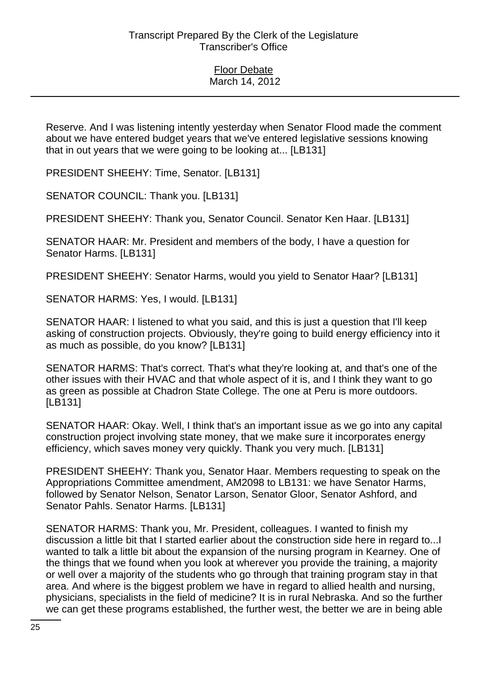Reserve. And I was listening intently yesterday when Senator Flood made the comment about we have entered budget years that we've entered legislative sessions knowing that in out years that we were going to be looking at... [LB131]

PRESIDENT SHEEHY: Time, Senator. [LB131]

SENATOR COUNCIL: Thank you. [LB131]

PRESIDENT SHEEHY: Thank you, Senator Council. Senator Ken Haar. [LB131]

SENATOR HAAR: Mr. President and members of the body, I have a question for Senator Harms. [LB131]

PRESIDENT SHEEHY: Senator Harms, would you yield to Senator Haar? [LB131]

SENATOR HARMS: Yes, I would. [LB131]

SENATOR HAAR: I listened to what you said, and this is just a question that I'll keep asking of construction projects. Obviously, they're going to build energy efficiency into it as much as possible, do you know? [LB131]

SENATOR HARMS: That's correct. That's what they're looking at, and that's one of the other issues with their HVAC and that whole aspect of it is, and I think they want to go as green as possible at Chadron State College. The one at Peru is more outdoors. [LB131]

SENATOR HAAR: Okay. Well, I think that's an important issue as we go into any capital construction project involving state money, that we make sure it incorporates energy efficiency, which saves money very quickly. Thank you very much. [LB131]

PRESIDENT SHEEHY: Thank you, Senator Haar. Members requesting to speak on the Appropriations Committee amendment, AM2098 to LB131: we have Senator Harms, followed by Senator Nelson, Senator Larson, Senator Gloor, Senator Ashford, and Senator Pahls. Senator Harms. [LB131]

SENATOR HARMS: Thank you, Mr. President, colleagues. I wanted to finish my discussion a little bit that I started earlier about the construction side here in regard to...I wanted to talk a little bit about the expansion of the nursing program in Kearney. One of the things that we found when you look at wherever you provide the training, a majority or well over a majority of the students who go through that training program stay in that area. And where is the biggest problem we have in regard to allied health and nursing, physicians, specialists in the field of medicine? It is in rural Nebraska. And so the further we can get these programs established, the further west, the better we are in being able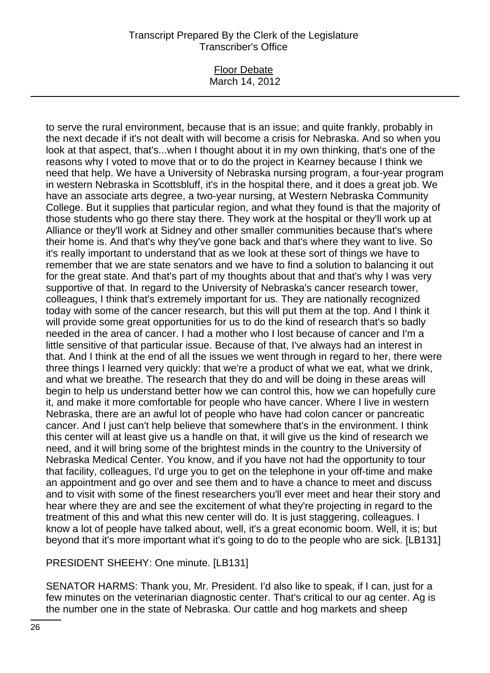#### Floor Debate March 14, 2012

to serve the rural environment, because that is an issue; and quite frankly, probably in the next decade if it's not dealt with will become a crisis for Nebraska. And so when you look at that aspect, that's...when I thought about it in my own thinking, that's one of the reasons why I voted to move that or to do the project in Kearney because I think we need that help. We have a University of Nebraska nursing program, a four-year program in western Nebraska in Scottsbluff, it's in the hospital there, and it does a great job. We have an associate arts degree, a two-year nursing, at Western Nebraska Community College. But it supplies that particular region, and what they found is that the majority of those students who go there stay there. They work at the hospital or they'll work up at Alliance or they'll work at Sidney and other smaller communities because that's where their home is. And that's why they've gone back and that's where they want to live. So it's really important to understand that as we look at these sort of things we have to remember that we are state senators and we have to find a solution to balancing it out for the great state. And that's part of my thoughts about that and that's why I was very supportive of that. In regard to the University of Nebraska's cancer research tower, colleagues, I think that's extremely important for us. They are nationally recognized today with some of the cancer research, but this will put them at the top. And I think it will provide some great opportunities for us to do the kind of research that's so badly needed in the area of cancer. I had a mother who I lost because of cancer and I'm a little sensitive of that particular issue. Because of that, I've always had an interest in that. And I think at the end of all the issues we went through in regard to her, there were three things I learned very quickly: that we're a product of what we eat, what we drink, and what we breathe. The research that they do and will be doing in these areas will begin to help us understand better how we can control this, how we can hopefully cure it, and make it more comfortable for people who have cancer. Where I live in western Nebraska, there are an awful lot of people who have had colon cancer or pancreatic cancer. And I just can't help believe that somewhere that's in the environment. I think this center will at least give us a handle on that, it will give us the kind of research we need, and it will bring some of the brightest minds in the country to the University of Nebraska Medical Center. You know, and if you have not had the opportunity to tour that facility, colleagues, I'd urge you to get on the telephone in your off-time and make an appointment and go over and see them and to have a chance to meet and discuss and to visit with some of the finest researchers you'll ever meet and hear their story and hear where they are and see the excitement of what they're projecting in regard to the treatment of this and what this new center will do. It is just staggering, colleagues. I know a lot of people have talked about, well, it's a great economic boom. Well, it is; but beyond that it's more important what it's going to do to the people who are sick. [LB131]

PRESIDENT SHEEHY: One minute. [LB131]

SENATOR HARMS: Thank you, Mr. President. I'd also like to speak, if I can, just for a few minutes on the veterinarian diagnostic center. That's critical to our ag center. Ag is the number one in the state of Nebraska. Our cattle and hog markets and sheep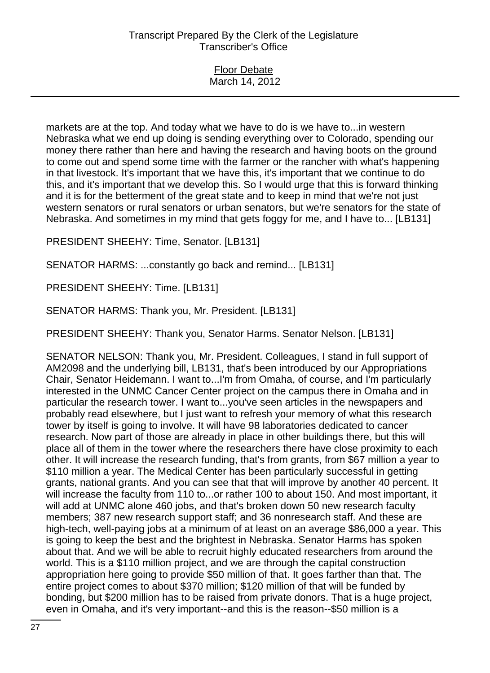| <b>Floor Debate</b> |  |
|---------------------|--|
| March 14, 2012      |  |

markets are at the top. And today what we have to do is we have to...in western Nebraska what we end up doing is sending everything over to Colorado, spending our money there rather than here and having the research and having boots on the ground to come out and spend some time with the farmer or the rancher with what's happening in that livestock. It's important that we have this, it's important that we continue to do this, and it's important that we develop this. So I would urge that this is forward thinking and it is for the betterment of the great state and to keep in mind that we're not just western senators or rural senators or urban senators, but we're senators for the state of Nebraska. And sometimes in my mind that gets foggy for me, and I have to... [LB131]

PRESIDENT SHEEHY: Time, Senator. [LB131]

SENATOR HARMS: ...constantly go back and remind... [LB131]

PRESIDENT SHEEHY: Time. [LB131]

SENATOR HARMS: Thank you, Mr. President. [LB131]

PRESIDENT SHEEHY: Thank you, Senator Harms. Senator Nelson. [LB131]

SENATOR NELSON: Thank you, Mr. President. Colleagues, I stand in full support of AM2098 and the underlying bill, LB131, that's been introduced by our Appropriations Chair, Senator Heidemann. I want to...I'm from Omaha, of course, and I'm particularly interested in the UNMC Cancer Center project on the campus there in Omaha and in particular the research tower. I want to...you've seen articles in the newspapers and probably read elsewhere, but I just want to refresh your memory of what this research tower by itself is going to involve. It will have 98 laboratories dedicated to cancer research. Now part of those are already in place in other buildings there, but this will place all of them in the tower where the researchers there have close proximity to each other. It will increase the research funding, that's from grants, from \$67 million a year to \$110 million a year. The Medical Center has been particularly successful in getting grants, national grants. And you can see that that will improve by another 40 percent. It will increase the faculty from 110 to...or rather 100 to about 150. And most important, it will add at UNMC alone 460 jobs, and that's broken down 50 new research faculty members; 387 new research support staff; and 36 nonresearch staff. And these are high-tech, well-paying jobs at a minimum of at least on an average \$86,000 a year. This is going to keep the best and the brightest in Nebraska. Senator Harms has spoken about that. And we will be able to recruit highly educated researchers from around the world. This is a \$110 million project, and we are through the capital construction appropriation here going to provide \$50 million of that. It goes farther than that. The entire project comes to about \$370 million; \$120 million of that will be funded by bonding, but \$200 million has to be raised from private donors. That is a huge project, even in Omaha, and it's very important--and this is the reason--\$50 million is a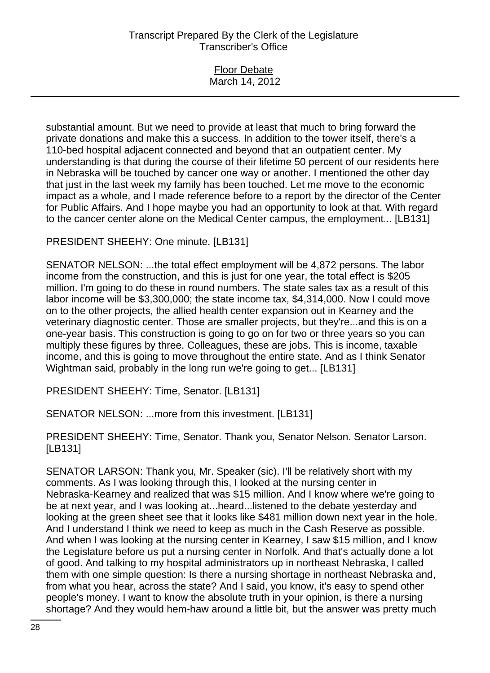| <b>Floor Debate</b> |  |
|---------------------|--|
| March 14, 2012      |  |
|                     |  |

substantial amount. But we need to provide at least that much to bring forward the private donations and make this a success. In addition to the tower itself, there's a 110-bed hospital adjacent connected and beyond that an outpatient center. My understanding is that during the course of their lifetime 50 percent of our residents here in Nebraska will be touched by cancer one way or another. I mentioned the other day that just in the last week my family has been touched. Let me move to the economic impact as a whole, and I made reference before to a report by the director of the Center for Public Affairs. And I hope maybe you had an opportunity to look at that. With regard to the cancer center alone on the Medical Center campus, the employment... [LB131]

PRESIDENT SHEEHY: One minute. [LB131]

SENATOR NELSON: ...the total effect employment will be 4,872 persons. The labor income from the construction, and this is just for one year, the total effect is \$205 million. I'm going to do these in round numbers. The state sales tax as a result of this labor income will be \$3,300,000; the state income tax, \$4,314,000. Now I could move on to the other projects, the allied health center expansion out in Kearney and the veterinary diagnostic center. Those are smaller projects, but they're...and this is on a one-year basis. This construction is going to go on for two or three years so you can multiply these figures by three. Colleagues, these are jobs. This is income, taxable income, and this is going to move throughout the entire state. And as I think Senator Wightman said, probably in the long run we're going to get... [LB131]

PRESIDENT SHEEHY: Time, Senator. [LB131]

SENATOR NELSON: ...more from this investment. [LB131]

PRESIDENT SHEEHY: Time, Senator. Thank you, Senator Nelson. Senator Larson. [LB131]

SENATOR LARSON: Thank you, Mr. Speaker (sic). I'll be relatively short with my comments. As I was looking through this, I looked at the nursing center in Nebraska-Kearney and realized that was \$15 million. And I know where we're going to be at next year, and I was looking at...heard...listened to the debate yesterday and looking at the green sheet see that it looks like \$481 million down next year in the hole. And I understand I think we need to keep as much in the Cash Reserve as possible. And when I was looking at the nursing center in Kearney, I saw \$15 million, and I know the Legislature before us put a nursing center in Norfolk. And that's actually done a lot of good. And talking to my hospital administrators up in northeast Nebraska, I called them with one simple question: Is there a nursing shortage in northeast Nebraska and, from what you hear, across the state? And I said, you know, it's easy to spend other people's money. I want to know the absolute truth in your opinion, is there a nursing shortage? And they would hem-haw around a little bit, but the answer was pretty much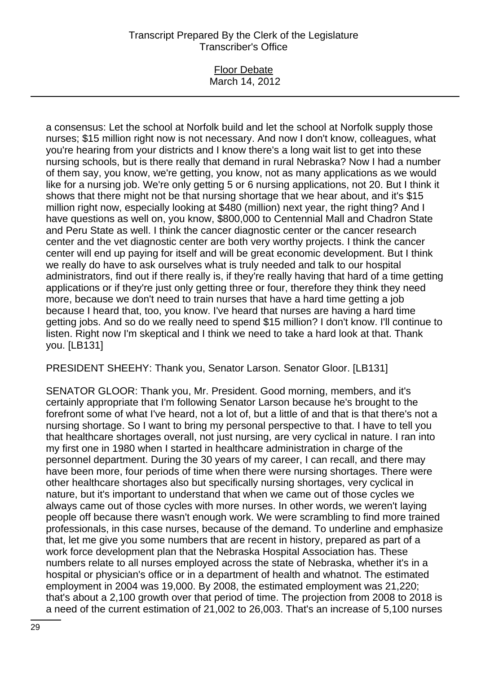#### Floor Debate March 14, 2012

a consensus: Let the school at Norfolk build and let the school at Norfolk supply those nurses; \$15 million right now is not necessary. And now I don't know, colleagues, what you're hearing from your districts and I know there's a long wait list to get into these nursing schools, but is there really that demand in rural Nebraska? Now I had a number of them say, you know, we're getting, you know, not as many applications as we would like for a nursing job. We're only getting 5 or 6 nursing applications, not 20. But I think it shows that there might not be that nursing shortage that we hear about, and it's \$15 million right now, especially looking at \$480 (million) next year, the right thing? And I have questions as well on, you know, \$800,000 to Centennial Mall and Chadron State and Peru State as well. I think the cancer diagnostic center or the cancer research center and the vet diagnostic center are both very worthy projects. I think the cancer center will end up paying for itself and will be great economic development. But I think we really do have to ask ourselves what is truly needed and talk to our hospital administrators, find out if there really is, if they're really having that hard of a time getting applications or if they're just only getting three or four, therefore they think they need more, because we don't need to train nurses that have a hard time getting a job because I heard that, too, you know. I've heard that nurses are having a hard time getting jobs. And so do we really need to spend \$15 million? I don't know. I'll continue to listen. Right now I'm skeptical and I think we need to take a hard look at that. Thank you. [LB131]

PRESIDENT SHEEHY: Thank you, Senator Larson. Senator Gloor. [LB131]

SENATOR GLOOR: Thank you, Mr. President. Good morning, members, and it's certainly appropriate that I'm following Senator Larson because he's brought to the forefront some of what I've heard, not a lot of, but a little of and that is that there's not a nursing shortage. So I want to bring my personal perspective to that. I have to tell you that healthcare shortages overall, not just nursing, are very cyclical in nature. I ran into my first one in 1980 when I started in healthcare administration in charge of the personnel department. During the 30 years of my career, I can recall, and there may have been more, four periods of time when there were nursing shortages. There were other healthcare shortages also but specifically nursing shortages, very cyclical in nature, but it's important to understand that when we came out of those cycles we always came out of those cycles with more nurses. In other words, we weren't laying people off because there wasn't enough work. We were scrambling to find more trained professionals, in this case nurses, because of the demand. To underline and emphasize that, let me give you some numbers that are recent in history, prepared as part of a work force development plan that the Nebraska Hospital Association has. These numbers relate to all nurses employed across the state of Nebraska, whether it's in a hospital or physician's office or in a department of health and whatnot. The estimated employment in 2004 was 19,000. By 2008, the estimated employment was 21,220; that's about a 2,100 growth over that period of time. The projection from 2008 to 2018 is a need of the current estimation of 21,002 to 26,003. That's an increase of 5,100 nurses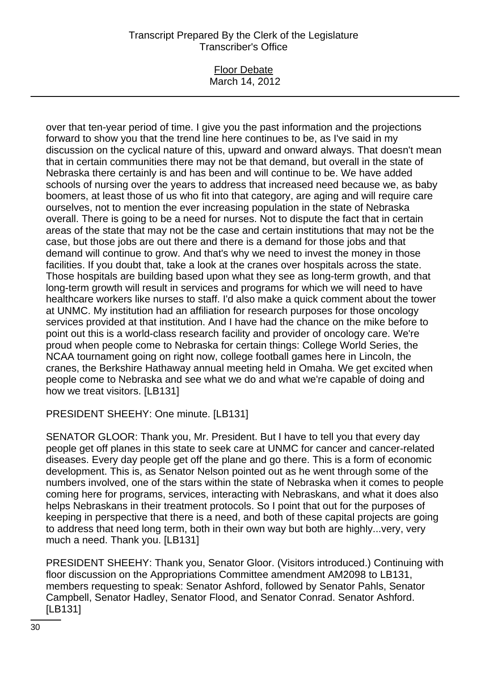### Floor Debate March 14, 2012

over that ten-year period of time. I give you the past information and the projections forward to show you that the trend line here continues to be, as I've said in my discussion on the cyclical nature of this, upward and onward always. That doesn't mean that in certain communities there may not be that demand, but overall in the state of Nebraska there certainly is and has been and will continue to be. We have added schools of nursing over the years to address that increased need because we, as baby boomers, at least those of us who fit into that category, are aging and will require care ourselves, not to mention the ever increasing population in the state of Nebraska overall. There is going to be a need for nurses. Not to dispute the fact that in certain areas of the state that may not be the case and certain institutions that may not be the case, but those jobs are out there and there is a demand for those jobs and that demand will continue to grow. And that's why we need to invest the money in those facilities. If you doubt that, take a look at the cranes over hospitals across the state. Those hospitals are building based upon what they see as long-term growth, and that long-term growth will result in services and programs for which we will need to have healthcare workers like nurses to staff. I'd also make a quick comment about the tower at UNMC. My institution had an affiliation for research purposes for those oncology services provided at that institution. And I have had the chance on the mike before to point out this is a world-class research facility and provider of oncology care. We're proud when people come to Nebraska for certain things: College World Series, the NCAA tournament going on right now, college football games here in Lincoln, the cranes, the Berkshire Hathaway annual meeting held in Omaha. We get excited when people come to Nebraska and see what we do and what we're capable of doing and how we treat visitors. [LB131]

PRESIDENT SHEEHY: One minute. [LB131]

SENATOR GLOOR: Thank you, Mr. President. But I have to tell you that every day people get off planes in this state to seek care at UNMC for cancer and cancer-related diseases. Every day people get off the plane and go there. This is a form of economic development. This is, as Senator Nelson pointed out as he went through some of the numbers involved, one of the stars within the state of Nebraska when it comes to people coming here for programs, services, interacting with Nebraskans, and what it does also helps Nebraskans in their treatment protocols. So I point that out for the purposes of keeping in perspective that there is a need, and both of these capital projects are going to address that need long term, both in their own way but both are highly...very, very much a need. Thank you. [LB131]

PRESIDENT SHEEHY: Thank you, Senator Gloor. (Visitors introduced.) Continuing with floor discussion on the Appropriations Committee amendment AM2098 to LB131, members requesting to speak: Senator Ashford, followed by Senator Pahls, Senator Campbell, Senator Hadley, Senator Flood, and Senator Conrad. Senator Ashford. [LB131]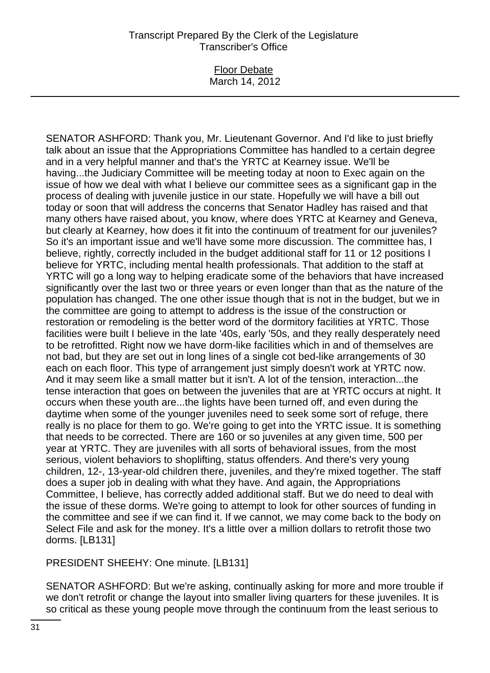### Floor Debate March 14, 2012

SENATOR ASHFORD: Thank you, Mr. Lieutenant Governor. And I'd like to just briefly talk about an issue that the Appropriations Committee has handled to a certain degree and in a very helpful manner and that's the YRTC at Kearney issue. We'll be having...the Judiciary Committee will be meeting today at noon to Exec again on the issue of how we deal with what I believe our committee sees as a significant gap in the process of dealing with juvenile justice in our state. Hopefully we will have a bill out today or soon that will address the concerns that Senator Hadley has raised and that many others have raised about, you know, where does YRTC at Kearney and Geneva, but clearly at Kearney, how does it fit into the continuum of treatment for our juveniles? So it's an important issue and we'll have some more discussion. The committee has, I believe, rightly, correctly included in the budget additional staff for 11 or 12 positions I believe for YRTC, including mental health professionals. That addition to the staff at YRTC will go a long way to helping eradicate some of the behaviors that have increased significantly over the last two or three years or even longer than that as the nature of the population has changed. The one other issue though that is not in the budget, but we in the committee are going to attempt to address is the issue of the construction or restoration or remodeling is the better word of the dormitory facilities at YRTC. Those facilities were built I believe in the late '40s, early '50s, and they really desperately need to be retrofitted. Right now we have dorm-like facilities which in and of themselves are not bad, but they are set out in long lines of a single cot bed-like arrangements of 30 each on each floor. This type of arrangement just simply doesn't work at YRTC now. And it may seem like a small matter but it isn't. A lot of the tension, interaction...the tense interaction that goes on between the juveniles that are at YRTC occurs at night. It occurs when these youth are...the lights have been turned off, and even during the daytime when some of the younger juveniles need to seek some sort of refuge, there really is no place for them to go. We're going to get into the YRTC issue. It is something that needs to be corrected. There are 160 or so juveniles at any given time, 500 per year at YRTC. They are juveniles with all sorts of behavioral issues, from the most serious, violent behaviors to shoplifting, status offenders. And there's very young children, 12-, 13-year-old children there, juveniles, and they're mixed together. The staff does a super job in dealing with what they have. And again, the Appropriations Committee, I believe, has correctly added additional staff. But we do need to deal with the issue of these dorms. We're going to attempt to look for other sources of funding in the committee and see if we can find it. If we cannot, we may come back to the body on Select File and ask for the money. It's a little over a million dollars to retrofit those two dorms. [LB131]

PRESIDENT SHEEHY: One minute. [LB131]

SENATOR ASHFORD: But we're asking, continually asking for more and more trouble if we don't retrofit or change the layout into smaller living quarters for these juveniles. It is so critical as these young people move through the continuum from the least serious to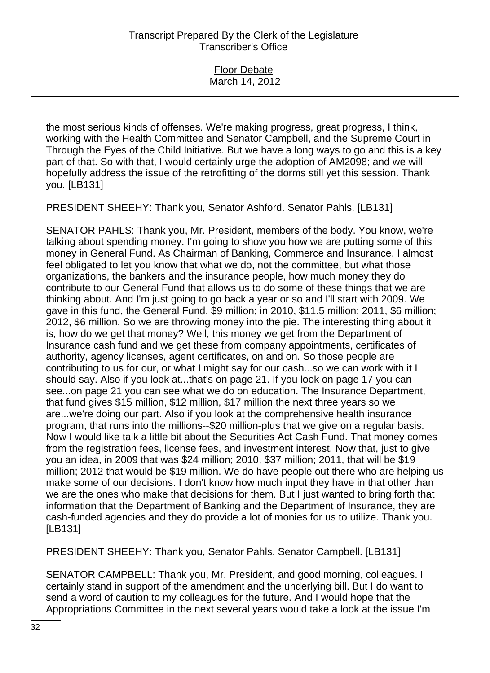| <b>Floor Debate</b> |  |
|---------------------|--|
| March 14, 2012      |  |
|                     |  |

the most serious kinds of offenses. We're making progress, great progress, I think, working with the Health Committee and Senator Campbell, and the Supreme Court in Through the Eyes of the Child Initiative. But we have a long ways to go and this is a key part of that. So with that, I would certainly urge the adoption of AM2098; and we will hopefully address the issue of the retrofitting of the dorms still yet this session. Thank you. [LB131]

PRESIDENT SHEEHY: Thank you, Senator Ashford. Senator Pahls. [LB131]

SENATOR PAHLS: Thank you, Mr. President, members of the body. You know, we're talking about spending money. I'm going to show you how we are putting some of this money in General Fund. As Chairman of Banking, Commerce and Insurance, I almost feel obligated to let you know that what we do, not the committee, but what those organizations, the bankers and the insurance people, how much money they do contribute to our General Fund that allows us to do some of these things that we are thinking about. And I'm just going to go back a year or so and I'll start with 2009. We gave in this fund, the General Fund, \$9 million; in 2010, \$11.5 million; 2011, \$6 million; 2012, \$6 million. So we are throwing money into the pie. The interesting thing about it is, how do we get that money? Well, this money we get from the Department of Insurance cash fund and we get these from company appointments, certificates of authority, agency licenses, agent certificates, on and on. So those people are contributing to us for our, or what I might say for our cash...so we can work with it I should say. Also if you look at...that's on page 21. If you look on page 17 you can see...on page 21 you can see what we do on education. The Insurance Department, that fund gives \$15 million, \$12 million, \$17 million the next three years so we are...we're doing our part. Also if you look at the comprehensive health insurance program, that runs into the millions--\$20 million-plus that we give on a regular basis. Now I would like talk a little bit about the Securities Act Cash Fund. That money comes from the registration fees, license fees, and investment interest. Now that, just to give you an idea, in 2009 that was \$24 million; 2010, \$37 million; 2011, that will be \$19 million; 2012 that would be \$19 million. We do have people out there who are helping us make some of our decisions. I don't know how much input they have in that other than we are the ones who make that decisions for them. But I just wanted to bring forth that information that the Department of Banking and the Department of Insurance, they are cash-funded agencies and they do provide a lot of monies for us to utilize. Thank you. [LB131]

PRESIDENT SHEEHY: Thank you, Senator Pahls. Senator Campbell. [LB131]

SENATOR CAMPBELL: Thank you, Mr. President, and good morning, colleagues. I certainly stand in support of the amendment and the underlying bill. But I do want to send a word of caution to my colleagues for the future. And I would hope that the Appropriations Committee in the next several years would take a look at the issue I'm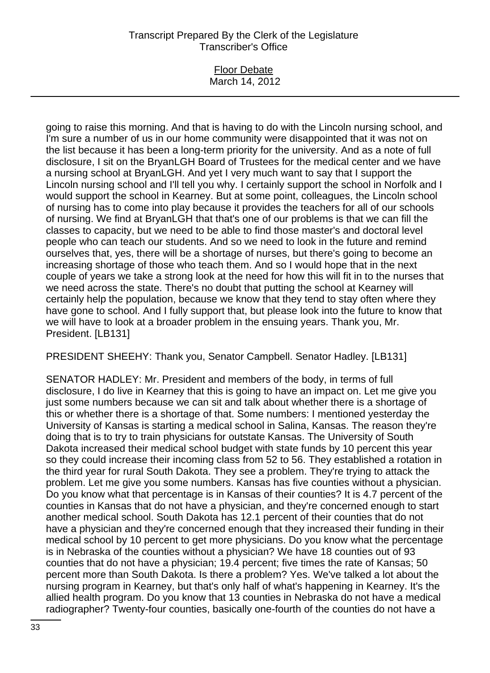### Floor Debate March 14, 2012

going to raise this morning. And that is having to do with the Lincoln nursing school, and I'm sure a number of us in our home community were disappointed that it was not on the list because it has been a long-term priority for the university. And as a note of full disclosure, I sit on the BryanLGH Board of Trustees for the medical center and we have a nursing school at BryanLGH. And yet I very much want to say that I support the Lincoln nursing school and I'll tell you why. I certainly support the school in Norfolk and I would support the school in Kearney. But at some point, colleagues, the Lincoln school of nursing has to come into play because it provides the teachers for all of our schools of nursing. We find at BryanLGH that that's one of our problems is that we can fill the classes to capacity, but we need to be able to find those master's and doctoral level people who can teach our students. And so we need to look in the future and remind ourselves that, yes, there will be a shortage of nurses, but there's going to become an increasing shortage of those who teach them. And so I would hope that in the next couple of years we take a strong look at the need for how this will fit in to the nurses that we need across the state. There's no doubt that putting the school at Kearney will certainly help the population, because we know that they tend to stay often where they have gone to school. And I fully support that, but please look into the future to know that we will have to look at a broader problem in the ensuing years. Thank you, Mr. President. [LB131]

PRESIDENT SHEEHY: Thank you, Senator Campbell. Senator Hadley. [LB131]

SENATOR HADLEY: Mr. President and members of the body, in terms of full disclosure, I do live in Kearney that this is going to have an impact on. Let me give you just some numbers because we can sit and talk about whether there is a shortage of this or whether there is a shortage of that. Some numbers: I mentioned yesterday the University of Kansas is starting a medical school in Salina, Kansas. The reason they're doing that is to try to train physicians for outstate Kansas. The University of South Dakota increased their medical school budget with state funds by 10 percent this year so they could increase their incoming class from 52 to 56. They established a rotation in the third year for rural South Dakota. They see a problem. They're trying to attack the problem. Let me give you some numbers. Kansas has five counties without a physician. Do you know what that percentage is in Kansas of their counties? It is 4.7 percent of the counties in Kansas that do not have a physician, and they're concerned enough to start another medical school. South Dakota has 12.1 percent of their counties that do not have a physician and they're concerned enough that they increased their funding in their medical school by 10 percent to get more physicians. Do you know what the percentage is in Nebraska of the counties without a physician? We have 18 counties out of 93 counties that do not have a physician; 19.4 percent; five times the rate of Kansas; 50 percent more than South Dakota. Is there a problem? Yes. We've talked a lot about the nursing program in Kearney, but that's only half of what's happening in Kearney. It's the allied health program. Do you know that 13 counties in Nebraska do not have a medical radiographer? Twenty-four counties, basically one-fourth of the counties do not have a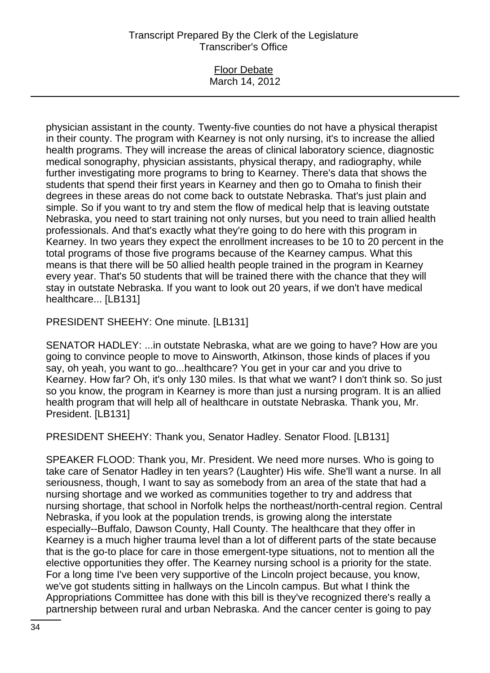#### Floor Debate March 14, 2012

physician assistant in the county. Twenty-five counties do not have a physical therapist in their county. The program with Kearney is not only nursing, it's to increase the allied health programs. They will increase the areas of clinical laboratory science, diagnostic medical sonography, physician assistants, physical therapy, and radiography, while further investigating more programs to bring to Kearney. There's data that shows the students that spend their first years in Kearney and then go to Omaha to finish their degrees in these areas do not come back to outstate Nebraska. That's just plain and simple. So if you want to try and stem the flow of medical help that is leaving outstate Nebraska, you need to start training not only nurses, but you need to train allied health professionals. And that's exactly what they're going to do here with this program in Kearney. In two years they expect the enrollment increases to be 10 to 20 percent in the total programs of those five programs because of the Kearney campus. What this means is that there will be 50 allied health people trained in the program in Kearney every year. That's 50 students that will be trained there with the chance that they will stay in outstate Nebraska. If you want to look out 20 years, if we don't have medical healthcare... [LB131]

PRESIDENT SHEEHY: One minute. [LB131]

SENATOR HADLEY: ...in outstate Nebraska, what are we going to have? How are you going to convince people to move to Ainsworth, Atkinson, those kinds of places if you say, oh yeah, you want to go...healthcare? You get in your car and you drive to Kearney. How far? Oh, it's only 130 miles. Is that what we want? I don't think so. So just so you know, the program in Kearney is more than just a nursing program. It is an allied health program that will help all of healthcare in outstate Nebraska. Thank you, Mr. President. [LB131]

PRESIDENT SHEEHY: Thank you, Senator Hadley. Senator Flood. [LB131]

SPEAKER FLOOD: Thank you, Mr. President. We need more nurses. Who is going to take care of Senator Hadley in ten years? (Laughter) His wife. She'll want a nurse. In all seriousness, though, I want to say as somebody from an area of the state that had a nursing shortage and we worked as communities together to try and address that nursing shortage, that school in Norfolk helps the northeast/north-central region. Central Nebraska, if you look at the population trends, is growing along the interstate especially--Buffalo, Dawson County, Hall County. The healthcare that they offer in Kearney is a much higher trauma level than a lot of different parts of the state because that is the go-to place for care in those emergent-type situations, not to mention all the elective opportunities they offer. The Kearney nursing school is a priority for the state. For a long time I've been very supportive of the Lincoln project because, you know, we've got students sitting in hallways on the Lincoln campus. But what I think the Appropriations Committee has done with this bill is they've recognized there's really a partnership between rural and urban Nebraska. And the cancer center is going to pay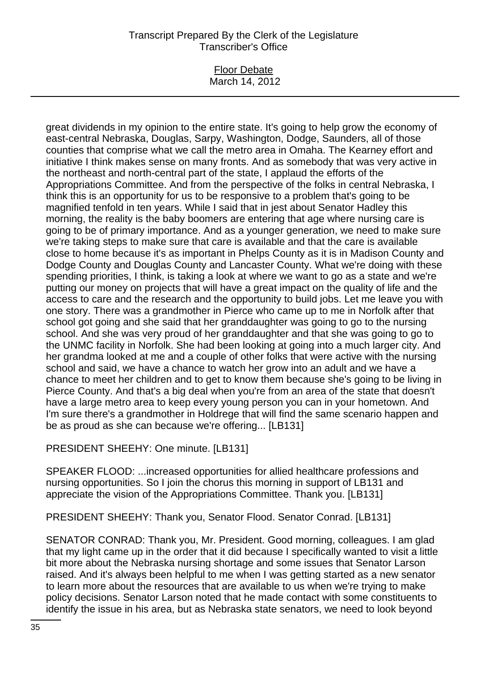#### Floor Debate March 14, 2012

great dividends in my opinion to the entire state. It's going to help grow the economy of east-central Nebraska, Douglas, Sarpy, Washington, Dodge, Saunders, all of those counties that comprise what we call the metro area in Omaha. The Kearney effort and initiative I think makes sense on many fronts. And as somebody that was very active in the northeast and north-central part of the state, I applaud the efforts of the Appropriations Committee. And from the perspective of the folks in central Nebraska, I think this is an opportunity for us to be responsive to a problem that's going to be magnified tenfold in ten years. While I said that in jest about Senator Hadley this morning, the reality is the baby boomers are entering that age where nursing care is going to be of primary importance. And as a younger generation, we need to make sure we're taking steps to make sure that care is available and that the care is available close to home because it's as important in Phelps County as it is in Madison County and Dodge County and Douglas County and Lancaster County. What we're doing with these spending priorities, I think, is taking a look at where we want to go as a state and we're putting our money on projects that will have a great impact on the quality of life and the access to care and the research and the opportunity to build jobs. Let me leave you with one story. There was a grandmother in Pierce who came up to me in Norfolk after that school got going and she said that her granddaughter was going to go to the nursing school. And she was very proud of her granddaughter and that she was going to go to the UNMC facility in Norfolk. She had been looking at going into a much larger city. And her grandma looked at me and a couple of other folks that were active with the nursing school and said, we have a chance to watch her grow into an adult and we have a chance to meet her children and to get to know them because she's going to be living in Pierce County. And that's a big deal when you're from an area of the state that doesn't have a large metro area to keep every young person you can in your hometown. And I'm sure there's a grandmother in Holdrege that will find the same scenario happen and be as proud as she can because we're offering... [LB131]

PRESIDENT SHEEHY: One minute. [LB131]

SPEAKER FLOOD: ...increased opportunities for allied healthcare professions and nursing opportunities. So I join the chorus this morning in support of LB131 and appreciate the vision of the Appropriations Committee. Thank you. [LB131]

PRESIDENT SHEEHY: Thank you, Senator Flood. Senator Conrad. [LB131]

SENATOR CONRAD: Thank you, Mr. President. Good morning, colleagues. I am glad that my light came up in the order that it did because I specifically wanted to visit a little bit more about the Nebraska nursing shortage and some issues that Senator Larson raised. And it's always been helpful to me when I was getting started as a new senator to learn more about the resources that are available to us when we're trying to make policy decisions. Senator Larson noted that he made contact with some constituents to identify the issue in his area, but as Nebraska state senators, we need to look beyond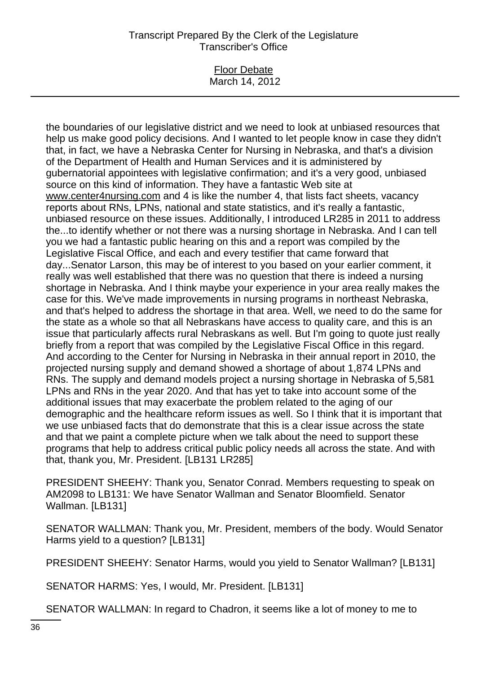#### Floor Debate March 14, 2012

the boundaries of our legislative district and we need to look at unbiased resources that help us make good policy decisions. And I wanted to let people know in case they didn't that, in fact, we have a Nebraska Center for Nursing in Nebraska, and that's a division of the Department of Health and Human Services and it is administered by gubernatorial appointees with legislative confirmation; and it's a very good, unbiased source on this kind of information. They have a fantastic Web site at www.center4nursing.com and 4 is like the number 4, that lists fact sheets, vacancy reports about RNs, LPNs, national and state statistics, and it's really a fantastic, unbiased resource on these issues. Additionally, I introduced LR285 in 2011 to address the...to identify whether or not there was a nursing shortage in Nebraska. And I can tell you we had a fantastic public hearing on this and a report was compiled by the Legislative Fiscal Office, and each and every testifier that came forward that day...Senator Larson, this may be of interest to you based on your earlier comment, it really was well established that there was no question that there is indeed a nursing shortage in Nebraska. And I think maybe your experience in your area really makes the case for this. We've made improvements in nursing programs in northeast Nebraska, and that's helped to address the shortage in that area. Well, we need to do the same for the state as a whole so that all Nebraskans have access to quality care, and this is an issue that particularly affects rural Nebraskans as well. But I'm going to quote just really briefly from a report that was compiled by the Legislative Fiscal Office in this regard. And according to the Center for Nursing in Nebraska in their annual report in 2010, the projected nursing supply and demand showed a shortage of about 1,874 LPNs and RNs. The supply and demand models project a nursing shortage in Nebraska of 5,581 LPNs and RNs in the year 2020. And that has yet to take into account some of the additional issues that may exacerbate the problem related to the aging of our demographic and the healthcare reform issues as well. So I think that it is important that we use unbiased facts that do demonstrate that this is a clear issue across the state and that we paint a complete picture when we talk about the need to support these programs that help to address critical public policy needs all across the state. And with that, thank you, Mr. President. [LB131 LR285]

PRESIDENT SHEEHY: Thank you, Senator Conrad. Members requesting to speak on AM2098 to LB131: We have Senator Wallman and Senator Bloomfield. Senator Wallman. [LB131]

SENATOR WALLMAN: Thank you, Mr. President, members of the body. Would Senator Harms yield to a question? [LB131]

PRESIDENT SHEEHY: Senator Harms, would you yield to Senator Wallman? [LB131]

SENATOR HARMS: Yes, I would, Mr. President. [LB131]

SENATOR WALLMAN: In regard to Chadron, it seems like a lot of money to me to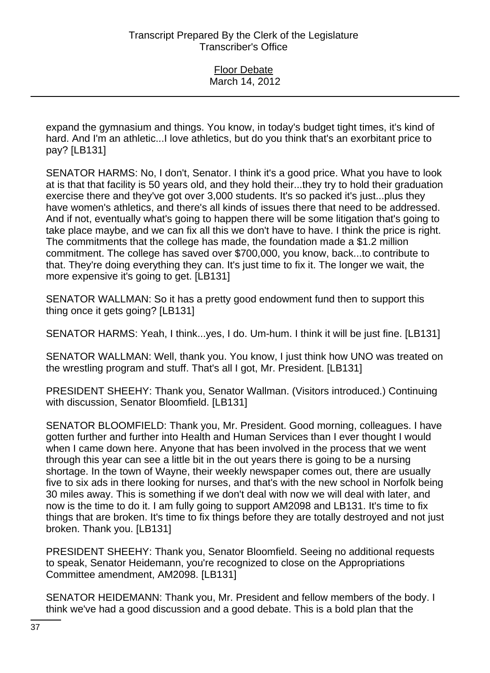expand the gymnasium and things. You know, in today's budget tight times, it's kind of hard. And I'm an athletic...I love athletics, but do you think that's an exorbitant price to pay? [LB131]

SENATOR HARMS: No, I don't, Senator. I think it's a good price. What you have to look at is that that facility is 50 years old, and they hold their...they try to hold their graduation exercise there and they've got over 3,000 students. It's so packed it's just...plus they have women's athletics, and there's all kinds of issues there that need to be addressed. And if not, eventually what's going to happen there will be some litigation that's going to take place maybe, and we can fix all this we don't have to have. I think the price is right. The commitments that the college has made, the foundation made a \$1.2 million commitment. The college has saved over \$700,000, you know, back...to contribute to that. They're doing everything they can. It's just time to fix it. The longer we wait, the more expensive it's going to get. [LB131]

SENATOR WALLMAN: So it has a pretty good endowment fund then to support this thing once it gets going? [LB131]

SENATOR HARMS: Yeah, I think...yes, I do. Um-hum. I think it will be just fine. [LB131]

SENATOR WALLMAN: Well, thank you. You know, I just think how UNO was treated on the wrestling program and stuff. That's all I got, Mr. President. [LB131]

PRESIDENT SHEEHY: Thank you, Senator Wallman. (Visitors introduced.) Continuing with discussion, Senator Bloomfield. [LB131]

SENATOR BLOOMFIELD: Thank you, Mr. President. Good morning, colleagues. I have gotten further and further into Health and Human Services than I ever thought I would when I came down here. Anyone that has been involved in the process that we went through this year can see a little bit in the out years there is going to be a nursing shortage. In the town of Wayne, their weekly newspaper comes out, there are usually five to six ads in there looking for nurses, and that's with the new school in Norfolk being 30 miles away. This is something if we don't deal with now we will deal with later, and now is the time to do it. I am fully going to support AM2098 and LB131. It's time to fix things that are broken. It's time to fix things before they are totally destroyed and not just broken. Thank you. [LB131]

PRESIDENT SHEEHY: Thank you, Senator Bloomfield. Seeing no additional requests to speak, Senator Heidemann, you're recognized to close on the Appropriations Committee amendment, AM2098. [LB131]

SENATOR HEIDEMANN: Thank you, Mr. President and fellow members of the body. I think we've had a good discussion and a good debate. This is a bold plan that the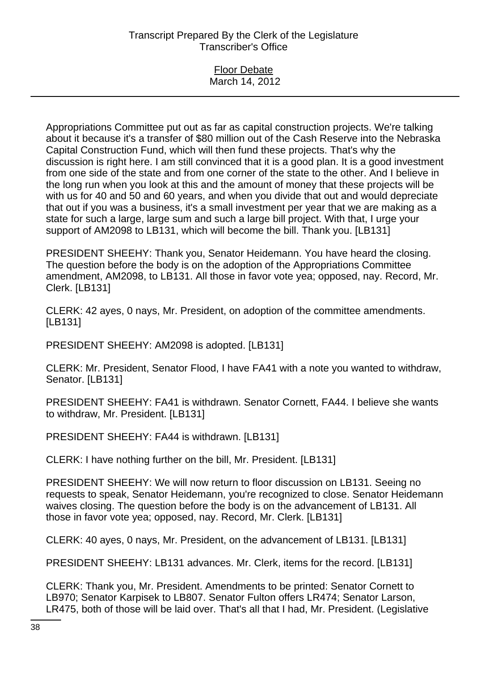| <b>Floor Debate</b> |  |
|---------------------|--|
| March 14, 2012      |  |

Appropriations Committee put out as far as capital construction projects. We're talking about it because it's a transfer of \$80 million out of the Cash Reserve into the Nebraska Capital Construction Fund, which will then fund these projects. That's why the discussion is right here. I am still convinced that it is a good plan. It is a good investment from one side of the state and from one corner of the state to the other. And I believe in the long run when you look at this and the amount of money that these projects will be with us for 40 and 50 and 60 years, and when you divide that out and would depreciate that out if you was a business, it's a small investment per year that we are making as a state for such a large, large sum and such a large bill project. With that, I urge your support of AM2098 to LB131, which will become the bill. Thank you. [LB131]

PRESIDENT SHEEHY: Thank you, Senator Heidemann. You have heard the closing. The question before the body is on the adoption of the Appropriations Committee amendment, AM2098, to LB131. All those in favor vote yea; opposed, nay. Record, Mr. Clerk. [LB131]

CLERK: 42 ayes, 0 nays, Mr. President, on adoption of the committee amendments. [LB131]

PRESIDENT SHEEHY: AM2098 is adopted. [LB131]

CLERK: Mr. President, Senator Flood, I have FA41 with a note you wanted to withdraw, Senator. [LB131]

PRESIDENT SHEEHY: FA41 is withdrawn. Senator Cornett, FA44. I believe she wants to withdraw, Mr. President. [LB131]

PRESIDENT SHEEHY: FA44 is withdrawn. [LB131]

CLERK: I have nothing further on the bill, Mr. President. [LB131]

PRESIDENT SHEEHY: We will now return to floor discussion on LB131. Seeing no requests to speak, Senator Heidemann, you're recognized to close. Senator Heidemann waives closing. The question before the body is on the advancement of LB131. All those in favor vote yea; opposed, nay. Record, Mr. Clerk. [LB131]

CLERK: 40 ayes, 0 nays, Mr. President, on the advancement of LB131. [LB131]

PRESIDENT SHEEHY: LB131 advances. Mr. Clerk, items for the record. [LB131]

CLERK: Thank you, Mr. President. Amendments to be printed: Senator Cornett to LB970; Senator Karpisek to LB807. Senator Fulton offers LR474; Senator Larson, LR475, both of those will be laid over. That's all that I had, Mr. President. (Legislative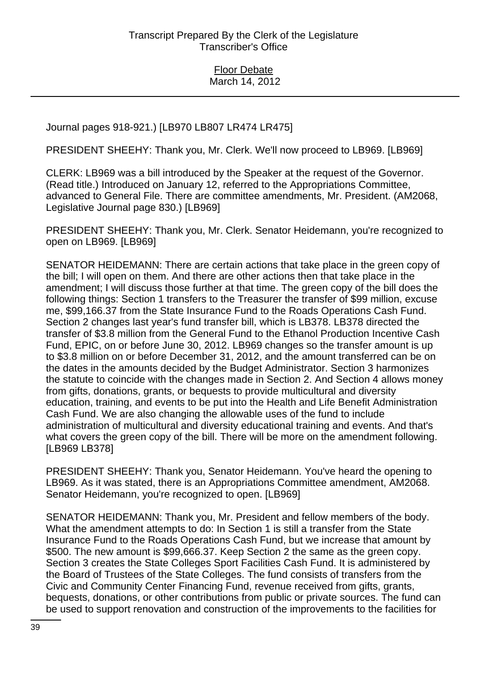Journal pages 918-921.) [LB970 LB807 LR474 LR475]

PRESIDENT SHEEHY: Thank you, Mr. Clerk. We'll now proceed to LB969. [LB969]

CLERK: LB969 was a bill introduced by the Speaker at the request of the Governor. (Read title.) Introduced on January 12, referred to the Appropriations Committee, advanced to General File. There are committee amendments, Mr. President. (AM2068, Legislative Journal page 830.) [LB969]

PRESIDENT SHEEHY: Thank you, Mr. Clerk. Senator Heidemann, you're recognized to open on LB969. [LB969]

SENATOR HEIDEMANN: There are certain actions that take place in the green copy of the bill; I will open on them. And there are other actions then that take place in the amendment; I will discuss those further at that time. The green copy of the bill does the following things: Section 1 transfers to the Treasurer the transfer of \$99 million, excuse me, \$99,166.37 from the State Insurance Fund to the Roads Operations Cash Fund. Section 2 changes last year's fund transfer bill, which is LB378. LB378 directed the transfer of \$3.8 million from the General Fund to the Ethanol Production Incentive Cash Fund, EPIC, on or before June 30, 2012. LB969 changes so the transfer amount is up to \$3.8 million on or before December 31, 2012, and the amount transferred can be on the dates in the amounts decided by the Budget Administrator. Section 3 harmonizes the statute to coincide with the changes made in Section 2. And Section 4 allows money from gifts, donations, grants, or bequests to provide multicultural and diversity education, training, and events to be put into the Health and Life Benefit Administration Cash Fund. We are also changing the allowable uses of the fund to include administration of multicultural and diversity educational training and events. And that's what covers the green copy of the bill. There will be more on the amendment following. [LB969 LB378]

PRESIDENT SHEEHY: Thank you, Senator Heidemann. You've heard the opening to LB969. As it was stated, there is an Appropriations Committee amendment, AM2068. Senator Heidemann, you're recognized to open. [LB969]

SENATOR HEIDEMANN: Thank you, Mr. President and fellow members of the body. What the amendment attempts to do: In Section 1 is still a transfer from the State Insurance Fund to the Roads Operations Cash Fund, but we increase that amount by \$500. The new amount is \$99,666.37. Keep Section 2 the same as the green copy. Section 3 creates the State Colleges Sport Facilities Cash Fund. It is administered by the Board of Trustees of the State Colleges. The fund consists of transfers from the Civic and Community Center Financing Fund, revenue received from gifts, grants, bequests, donations, or other contributions from public or private sources. The fund can be used to support renovation and construction of the improvements to the facilities for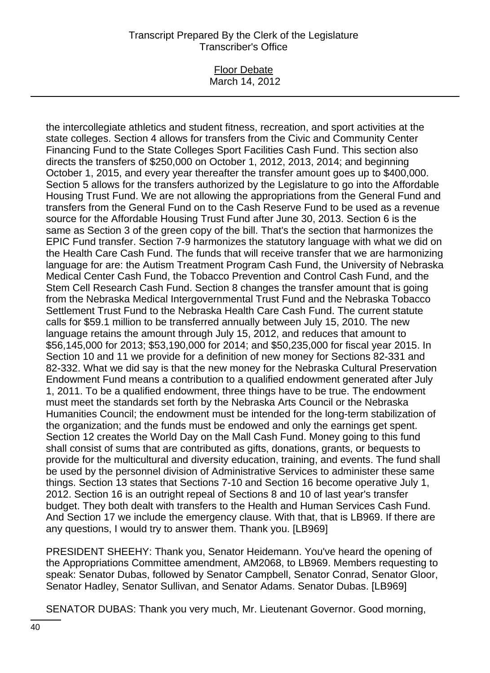#### Floor Debate March 14, 2012

the intercollegiate athletics and student fitness, recreation, and sport activities at the state colleges. Section 4 allows for transfers from the Civic and Community Center Financing Fund to the State Colleges Sport Facilities Cash Fund. This section also directs the transfers of \$250,000 on October 1, 2012, 2013, 2014; and beginning October 1, 2015, and every year thereafter the transfer amount goes up to \$400,000. Section 5 allows for the transfers authorized by the Legislature to go into the Affordable Housing Trust Fund. We are not allowing the appropriations from the General Fund and transfers from the General Fund on to the Cash Reserve Fund to be used as a revenue source for the Affordable Housing Trust Fund after June 30, 2013. Section 6 is the same as Section 3 of the green copy of the bill. That's the section that harmonizes the EPIC Fund transfer. Section 7-9 harmonizes the statutory language with what we did on the Health Care Cash Fund. The funds that will receive transfer that we are harmonizing language for are: the Autism Treatment Program Cash Fund, the University of Nebraska Medical Center Cash Fund, the Tobacco Prevention and Control Cash Fund, and the Stem Cell Research Cash Fund. Section 8 changes the transfer amount that is going from the Nebraska Medical Intergovernmental Trust Fund and the Nebraska Tobacco Settlement Trust Fund to the Nebraska Health Care Cash Fund. The current statute calls for \$59.1 million to be transferred annually between July 15, 2010. The new language retains the amount through July 15, 2012, and reduces that amount to \$56,145,000 for 2013; \$53,190,000 for 2014; and \$50,235,000 for fiscal year 2015. In Section 10 and 11 we provide for a definition of new money for Sections 82-331 and 82-332. What we did say is that the new money for the Nebraska Cultural Preservation Endowment Fund means a contribution to a qualified endowment generated after July 1, 2011. To be a qualified endowment, three things have to be true. The endowment must meet the standards set forth by the Nebraska Arts Council or the Nebraska Humanities Council; the endowment must be intended for the long-term stabilization of the organization; and the funds must be endowed and only the earnings get spent. Section 12 creates the World Day on the Mall Cash Fund. Money going to this fund shall consist of sums that are contributed as gifts, donations, grants, or bequests to provide for the multicultural and diversity education, training, and events. The fund shall be used by the personnel division of Administrative Services to administer these same things. Section 13 states that Sections 7-10 and Section 16 become operative July 1, 2012. Section 16 is an outright repeal of Sections 8 and 10 of last year's transfer budget. They both dealt with transfers to the Health and Human Services Cash Fund. And Section 17 we include the emergency clause. With that, that is LB969. If there are any questions, I would try to answer them. Thank you. [LB969]

PRESIDENT SHEEHY: Thank you, Senator Heidemann. You've heard the opening of the Appropriations Committee amendment, AM2068, to LB969. Members requesting to speak: Senator Dubas, followed by Senator Campbell, Senator Conrad, Senator Gloor, Senator Hadley, Senator Sullivan, and Senator Adams. Senator Dubas. [LB969]

SENATOR DUBAS: Thank you very much, Mr. Lieutenant Governor. Good morning,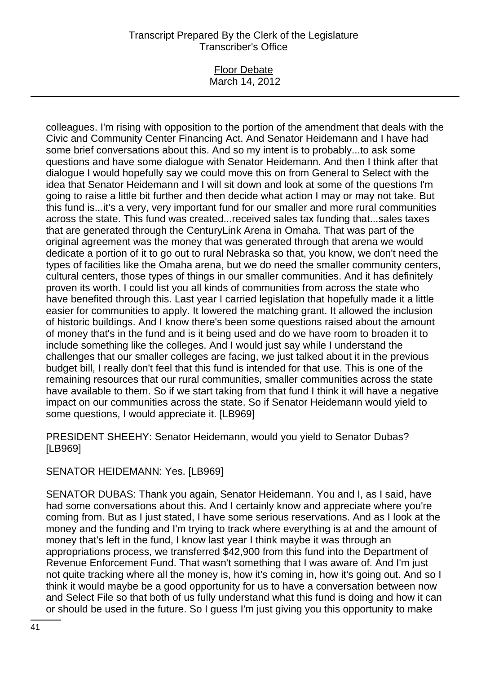### Floor Debate March 14, 2012

colleagues. I'm rising with opposition to the portion of the amendment that deals with the Civic and Community Center Financing Act. And Senator Heidemann and I have had some brief conversations about this. And so my intent is to probably...to ask some questions and have some dialogue with Senator Heidemann. And then I think after that dialogue I would hopefully say we could move this on from General to Select with the idea that Senator Heidemann and I will sit down and look at some of the questions I'm going to raise a little bit further and then decide what action I may or may not take. But this fund is...it's a very, very important fund for our smaller and more rural communities across the state. This fund was created...received sales tax funding that...sales taxes that are generated through the CenturyLink Arena in Omaha. That was part of the original agreement was the money that was generated through that arena we would dedicate a portion of it to go out to rural Nebraska so that, you know, we don't need the types of facilities like the Omaha arena, but we do need the smaller community centers, cultural centers, those types of things in our smaller communities. And it has definitely proven its worth. I could list you all kinds of communities from across the state who have benefited through this. Last year I carried legislation that hopefully made it a little easier for communities to apply. It lowered the matching grant. It allowed the inclusion of historic buildings. And I know there's been some questions raised about the amount of money that's in the fund and is it being used and do we have room to broaden it to include something like the colleges. And I would just say while I understand the challenges that our smaller colleges are facing, we just talked about it in the previous budget bill, I really don't feel that this fund is intended for that use. This is one of the remaining resources that our rural communities, smaller communities across the state have available to them. So if we start taking from that fund I think it will have a negative impact on our communities across the state. So if Senator Heidemann would yield to some questions, I would appreciate it. [LB969]

PRESIDENT SHEEHY: Senator Heidemann, would you yield to Senator Dubas? [LB969]

SENATOR HEIDEMANN: Yes. [LB969]

SENATOR DUBAS: Thank you again, Senator Heidemann. You and I, as I said, have had some conversations about this. And I certainly know and appreciate where you're coming from. But as I just stated, I have some serious reservations. And as I look at the money and the funding and I'm trying to track where everything is at and the amount of money that's left in the fund, I know last year I think maybe it was through an appropriations process, we transferred \$42,900 from this fund into the Department of Revenue Enforcement Fund. That wasn't something that I was aware of. And I'm just not quite tracking where all the money is, how it's coming in, how it's going out. And so I think it would maybe be a good opportunity for us to have a conversation between now and Select File so that both of us fully understand what this fund is doing and how it can or should be used in the future. So I guess I'm just giving you this opportunity to make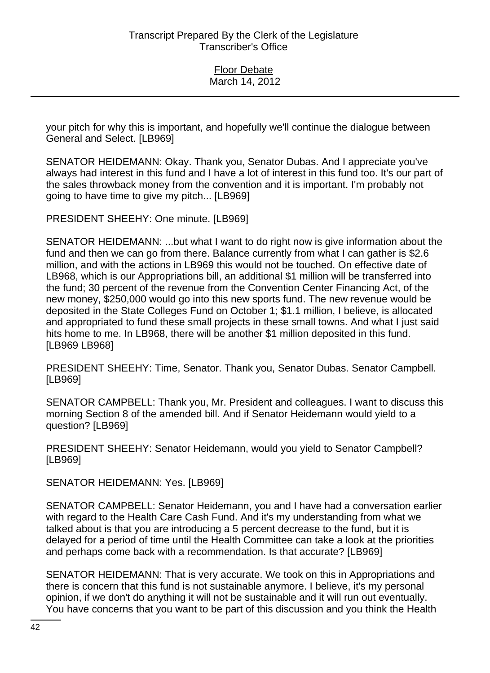your pitch for why this is important, and hopefully we'll continue the dialogue between General and Select. [LB969]

SENATOR HEIDEMANN: Okay. Thank you, Senator Dubas. And I appreciate you've always had interest in this fund and I have a lot of interest in this fund too. It's our part of the sales throwback money from the convention and it is important. I'm probably not going to have time to give my pitch... [LB969]

PRESIDENT SHEEHY: One minute. [LB969]

SENATOR HEIDEMANN: ...but what I want to do right now is give information about the fund and then we can go from there. Balance currently from what I can gather is \$2.6 million, and with the actions in LB969 this would not be touched. On effective date of LB968, which is our Appropriations bill, an additional \$1 million will be transferred into the fund; 30 percent of the revenue from the Convention Center Financing Act, of the new money, \$250,000 would go into this new sports fund. The new revenue would be deposited in the State Colleges Fund on October 1; \$1.1 million, I believe, is allocated and appropriated to fund these small projects in these small towns. And what I just said hits home to me. In LB968, there will be another \$1 million deposited in this fund. [LB969 LB968]

PRESIDENT SHEEHY: Time, Senator. Thank you, Senator Dubas. Senator Campbell. [LB969]

SENATOR CAMPBELL: Thank you, Mr. President and colleagues. I want to discuss this morning Section 8 of the amended bill. And if Senator Heidemann would yield to a question? [LB969]

PRESIDENT SHEEHY: Senator Heidemann, would you yield to Senator Campbell? [LB969]

SENATOR HEIDEMANN: Yes. [LB969]

SENATOR CAMPBELL: Senator Heidemann, you and I have had a conversation earlier with regard to the Health Care Cash Fund. And it's my understanding from what we talked about is that you are introducing a 5 percent decrease to the fund, but it is delayed for a period of time until the Health Committee can take a look at the priorities and perhaps come back with a recommendation. Is that accurate? [LB969]

SENATOR HEIDEMANN: That is very accurate. We took on this in Appropriations and there is concern that this fund is not sustainable anymore. I believe, it's my personal opinion, if we don't do anything it will not be sustainable and it will run out eventually. You have concerns that you want to be part of this discussion and you think the Health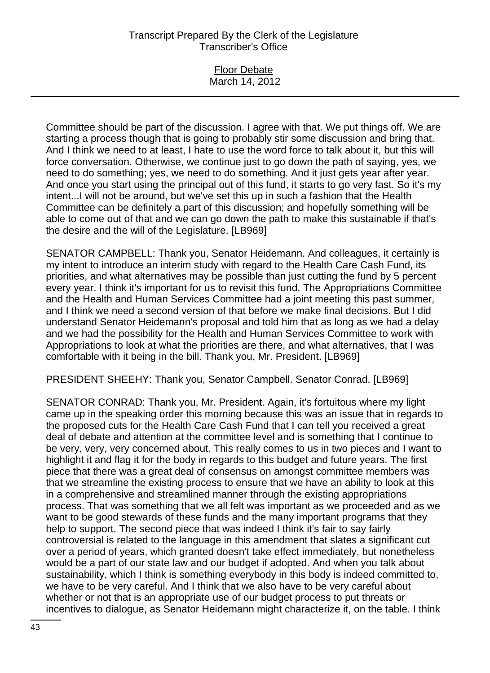### Floor Debate March 14, 2012

Committee should be part of the discussion. I agree with that. We put things off. We are starting a process though that is going to probably stir some discussion and bring that. And I think we need to at least, I hate to use the word force to talk about it, but this will force conversation. Otherwise, we continue just to go down the path of saying, yes, we need to do something; yes, we need to do something. And it just gets year after year. And once you start using the principal out of this fund, it starts to go very fast. So it's my intent...I will not be around, but we've set this up in such a fashion that the Health Committee can be definitely a part of this discussion; and hopefully something will be able to come out of that and we can go down the path to make this sustainable if that's the desire and the will of the Legislature. [LB969]

SENATOR CAMPBELL: Thank you, Senator Heidemann. And colleagues, it certainly is my intent to introduce an interim study with regard to the Health Care Cash Fund, its priorities, and what alternatives may be possible than just cutting the fund by 5 percent every year. I think it's important for us to revisit this fund. The Appropriations Committee and the Health and Human Services Committee had a joint meeting this past summer, and I think we need a second version of that before we make final decisions. But I did understand Senator Heidemann's proposal and told him that as long as we had a delay and we had the possibility for the Health and Human Services Committee to work with Appropriations to look at what the priorities are there, and what alternatives, that I was comfortable with it being in the bill. Thank you, Mr. President. [LB969]

PRESIDENT SHEEHY: Thank you, Senator Campbell. Senator Conrad. [LB969]

SENATOR CONRAD: Thank you, Mr. President. Again, it's fortuitous where my light came up in the speaking order this morning because this was an issue that in regards to the proposed cuts for the Health Care Cash Fund that I can tell you received a great deal of debate and attention at the committee level and is something that I continue to be very, very, very concerned about. This really comes to us in two pieces and I want to highlight it and flag it for the body in regards to this budget and future years. The first piece that there was a great deal of consensus on amongst committee members was that we streamline the existing process to ensure that we have an ability to look at this in a comprehensive and streamlined manner through the existing appropriations process. That was something that we all felt was important as we proceeded and as we want to be good stewards of these funds and the many important programs that they help to support. The second piece that was indeed I think it's fair to say fairly controversial is related to the language in this amendment that slates a significant cut over a period of years, which granted doesn't take effect immediately, but nonetheless would be a part of our state law and our budget if adopted. And when you talk about sustainability, which I think is something everybody in this body is indeed committed to, we have to be very careful. And I think that we also have to be very careful about whether or not that is an appropriate use of our budget process to put threats or incentives to dialogue, as Senator Heidemann might characterize it, on the table. I think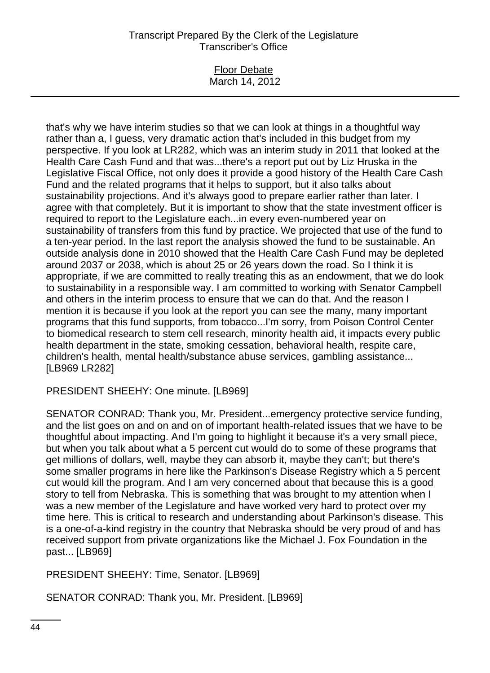#### Floor Debate March 14, 2012

that's why we have interim studies so that we can look at things in a thoughtful way rather than a, I guess, very dramatic action that's included in this budget from my perspective. If you look at LR282, which was an interim study in 2011 that looked at the Health Care Cash Fund and that was...there's a report put out by Liz Hruska in the Legislative Fiscal Office, not only does it provide a good history of the Health Care Cash Fund and the related programs that it helps to support, but it also talks about sustainability projections. And it's always good to prepare earlier rather than later. I agree with that completely. But it is important to show that the state investment officer is required to report to the Legislature each...in every even-numbered year on sustainability of transfers from this fund by practice. We projected that use of the fund to a ten-year period. In the last report the analysis showed the fund to be sustainable. An outside analysis done in 2010 showed that the Health Care Cash Fund may be depleted around 2037 or 2038, which is about 25 or 26 years down the road. So I think it is appropriate, if we are committed to really treating this as an endowment, that we do look to sustainability in a responsible way. I am committed to working with Senator Campbell and others in the interim process to ensure that we can do that. And the reason I mention it is because if you look at the report you can see the many, many important programs that this fund supports, from tobacco...I'm sorry, from Poison Control Center to biomedical research to stem cell research, minority health aid, it impacts every public health department in the state, smoking cessation, behavioral health, respite care, children's health, mental health/substance abuse services, gambling assistance... [LB969 LR282]

PRESIDENT SHEEHY: One minute. [LB969]

SENATOR CONRAD: Thank you, Mr. President...emergency protective service funding, and the list goes on and on and on of important health-related issues that we have to be thoughtful about impacting. And I'm going to highlight it because it's a very small piece, but when you talk about what a 5 percent cut would do to some of these programs that get millions of dollars, well, maybe they can absorb it, maybe they can't; but there's some smaller programs in here like the Parkinson's Disease Registry which a 5 percent cut would kill the program. And I am very concerned about that because this is a good story to tell from Nebraska. This is something that was brought to my attention when I was a new member of the Legislature and have worked very hard to protect over my time here. This is critical to research and understanding about Parkinson's disease. This is a one-of-a-kind registry in the country that Nebraska should be very proud of and has received support from private organizations like the Michael J. Fox Foundation in the past... [LB969]

PRESIDENT SHEEHY: Time, Senator. [LB969]

SENATOR CONRAD: Thank you, Mr. President. [LB969]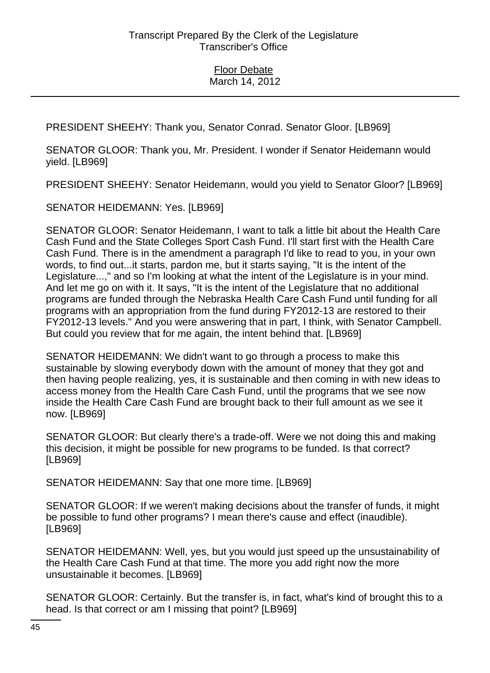PRESIDENT SHEEHY: Thank you, Senator Conrad. Senator Gloor. [LB969]

SENATOR GLOOR: Thank you, Mr. President. I wonder if Senator Heidemann would yield. [LB969]

PRESIDENT SHEEHY: Senator Heidemann, would you yield to Senator Gloor? [LB969]

SENATOR HEIDEMANN: Yes. [LB969]

SENATOR GLOOR: Senator Heidemann, I want to talk a little bit about the Health Care Cash Fund and the State Colleges Sport Cash Fund. I'll start first with the Health Care Cash Fund. There is in the amendment a paragraph I'd like to read to you, in your own words, to find out...it starts, pardon me, but it starts saying, "It is the intent of the Legislature...," and so I'm looking at what the intent of the Legislature is in your mind. And let me go on with it. It says, "It is the intent of the Legislature that no additional programs are funded through the Nebraska Health Care Cash Fund until funding for all programs with an appropriation from the fund during FY2012-13 are restored to their FY2012-13 levels." And you were answering that in part, I think, with Senator Campbell. But could you review that for me again, the intent behind that. [LB969]

SENATOR HEIDEMANN: We didn't want to go through a process to make this sustainable by slowing everybody down with the amount of money that they got and then having people realizing, yes, it is sustainable and then coming in with new ideas to access money from the Health Care Cash Fund, until the programs that we see now inside the Health Care Cash Fund are brought back to their full amount as we see it now. [LB969]

SENATOR GLOOR: But clearly there's a trade-off. Were we not doing this and making this decision, it might be possible for new programs to be funded. Is that correct? [LB969]

SENATOR HEIDEMANN: Say that one more time. [LB969]

SENATOR GLOOR: If we weren't making decisions about the transfer of funds, it might be possible to fund other programs? I mean there's cause and effect (inaudible). [LB969]

SENATOR HEIDEMANN: Well, yes, but you would just speed up the unsustainability of the Health Care Cash Fund at that time. The more you add right now the more unsustainable it becomes. [LB969]

SENATOR GLOOR: Certainly. But the transfer is, in fact, what's kind of brought this to a head. Is that correct or am I missing that point? [LB969]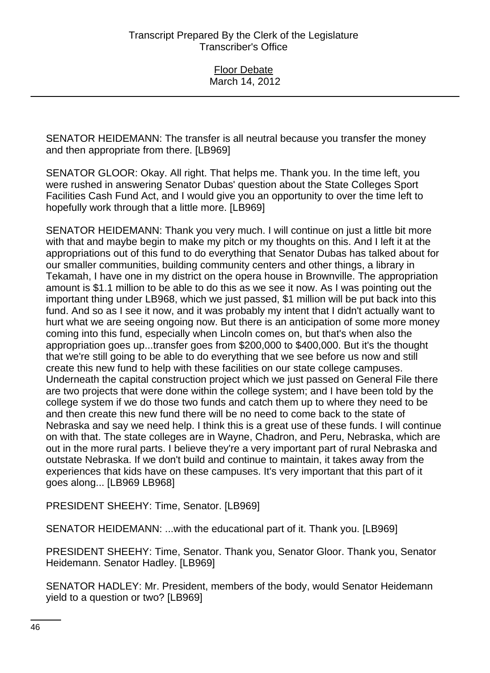SENATOR HEIDEMANN: The transfer is all neutral because you transfer the money and then appropriate from there. [LB969]

SENATOR GLOOR: Okay. All right. That helps me. Thank you. In the time left, you were rushed in answering Senator Dubas' question about the State Colleges Sport Facilities Cash Fund Act, and I would give you an opportunity to over the time left to hopefully work through that a little more. [LB969]

SENATOR HEIDEMANN: Thank you very much. I will continue on just a little bit more with that and maybe begin to make my pitch or my thoughts on this. And I left it at the appropriations out of this fund to do everything that Senator Dubas has talked about for our smaller communities, building community centers and other things, a library in Tekamah, I have one in my district on the opera house in Brownville. The appropriation amount is \$1.1 million to be able to do this as we see it now. As I was pointing out the important thing under LB968, which we just passed, \$1 million will be put back into this fund. And so as I see it now, and it was probably my intent that I didn't actually want to hurt what we are seeing ongoing now. But there is an anticipation of some more money coming into this fund, especially when Lincoln comes on, but that's when also the appropriation goes up...transfer goes from \$200,000 to \$400,000. But it's the thought that we're still going to be able to do everything that we see before us now and still create this new fund to help with these facilities on our state college campuses. Underneath the capital construction project which we just passed on General File there are two projects that were done within the college system; and I have been told by the college system if we do those two funds and catch them up to where they need to be and then create this new fund there will be no need to come back to the state of Nebraska and say we need help. I think this is a great use of these funds. I will continue on with that. The state colleges are in Wayne, Chadron, and Peru, Nebraska, which are out in the more rural parts. I believe they're a very important part of rural Nebraska and outstate Nebraska. If we don't build and continue to maintain, it takes away from the experiences that kids have on these campuses. It's very important that this part of it goes along... [LB969 LB968]

PRESIDENT SHEEHY: Time, Senator. [LB969]

SENATOR HEIDEMANN: ...with the educational part of it. Thank you. [LB969]

PRESIDENT SHEEHY: Time, Senator. Thank you, Senator Gloor. Thank you, Senator Heidemann. Senator Hadley. [LB969]

SENATOR HADLEY: Mr. President, members of the body, would Senator Heidemann yield to a question or two? [LB969]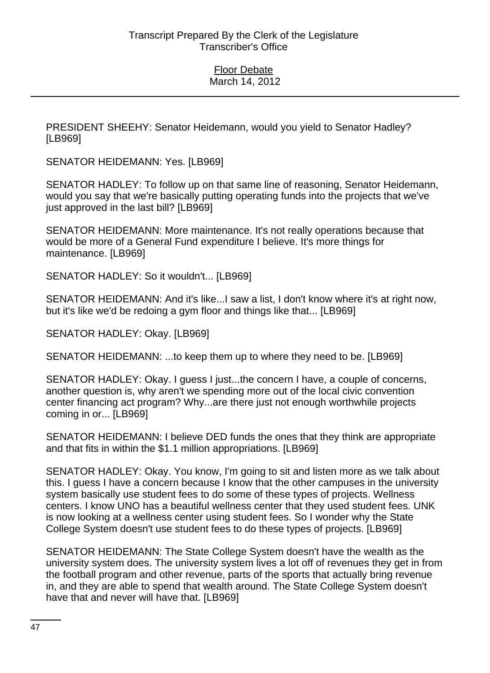PRESIDENT SHEEHY: Senator Heidemann, would you yield to Senator Hadley? [LB969]

SENATOR HEIDEMANN: Yes. [LB969]

SENATOR HADLEY: To follow up on that same line of reasoning, Senator Heidemann, would you say that we're basically putting operating funds into the projects that we've just approved in the last bill? [LB969]

SENATOR HEIDEMANN: More maintenance. It's not really operations because that would be more of a General Fund expenditure I believe. It's more things for maintenance. [LB969]

SENATOR HADLEY: So it wouldn't... [LB969]

SENATOR HEIDEMANN: And it's like...I saw a list, I don't know where it's at right now, but it's like we'd be redoing a gym floor and things like that... [LB969]

SENATOR HADLEY: Okay. [LB969]

SENATOR HEIDEMANN: ...to keep them up to where they need to be. [LB969]

SENATOR HADLEY: Okay. I guess I just...the concern I have, a couple of concerns, another question is, why aren't we spending more out of the local civic convention center financing act program? Why...are there just not enough worthwhile projects coming in or... [LB969]

SENATOR HEIDEMANN: I believe DED funds the ones that they think are appropriate and that fits in within the \$1.1 million appropriations. [LB969]

SENATOR HADLEY: Okay. You know, I'm going to sit and listen more as we talk about this. I guess I have a concern because I know that the other campuses in the university system basically use student fees to do some of these types of projects. Wellness centers. I know UNO has a beautiful wellness center that they used student fees. UNK is now looking at a wellness center using student fees. So I wonder why the State College System doesn't use student fees to do these types of projects. [LB969]

SENATOR HEIDEMANN: The State College System doesn't have the wealth as the university system does. The university system lives a lot off of revenues they get in from the football program and other revenue, parts of the sports that actually bring revenue in, and they are able to spend that wealth around. The State College System doesn't have that and never will have that. [LB969]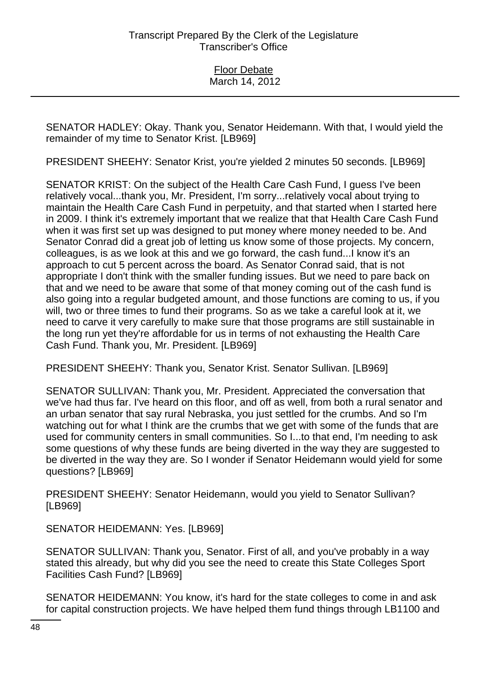SENATOR HADLEY: Okay. Thank you, Senator Heidemann. With that, I would yield the remainder of my time to Senator Krist. [LB969]

PRESIDENT SHEEHY: Senator Krist, you're yielded 2 minutes 50 seconds. [LB969]

SENATOR KRIST: On the subject of the Health Care Cash Fund, I guess I've been relatively vocal...thank you, Mr. President, I'm sorry...relatively vocal about trying to maintain the Health Care Cash Fund in perpetuity, and that started when I started here in 2009. I think it's extremely important that we realize that that Health Care Cash Fund when it was first set up was designed to put money where money needed to be. And Senator Conrad did a great job of letting us know some of those projects. My concern, colleagues, is as we look at this and we go forward, the cash fund...I know it's an approach to cut 5 percent across the board. As Senator Conrad said, that is not appropriate I don't think with the smaller funding issues. But we need to pare back on that and we need to be aware that some of that money coming out of the cash fund is also going into a regular budgeted amount, and those functions are coming to us, if you will, two or three times to fund their programs. So as we take a careful look at it, we need to carve it very carefully to make sure that those programs are still sustainable in the long run yet they're affordable for us in terms of not exhausting the Health Care Cash Fund. Thank you, Mr. President. [LB969]

PRESIDENT SHEEHY: Thank you, Senator Krist. Senator Sullivan. [LB969]

SENATOR SULLIVAN: Thank you, Mr. President. Appreciated the conversation that we've had thus far. I've heard on this floor, and off as well, from both a rural senator and an urban senator that say rural Nebraska, you just settled for the crumbs. And so I'm watching out for what I think are the crumbs that we get with some of the funds that are used for community centers in small communities. So I...to that end, I'm needing to ask some questions of why these funds are being diverted in the way they are suggested to be diverted in the way they are. So I wonder if Senator Heidemann would yield for some questions? [LB969]

PRESIDENT SHEEHY: Senator Heidemann, would you yield to Senator Sullivan? [LB969]

SENATOR HEIDEMANN: Yes. [LB969]

SENATOR SULLIVAN: Thank you, Senator. First of all, and you've probably in a way stated this already, but why did you see the need to create this State Colleges Sport Facilities Cash Fund? [LB969]

SENATOR HEIDEMANN: You know, it's hard for the state colleges to come in and ask for capital construction projects. We have helped them fund things through LB1100 and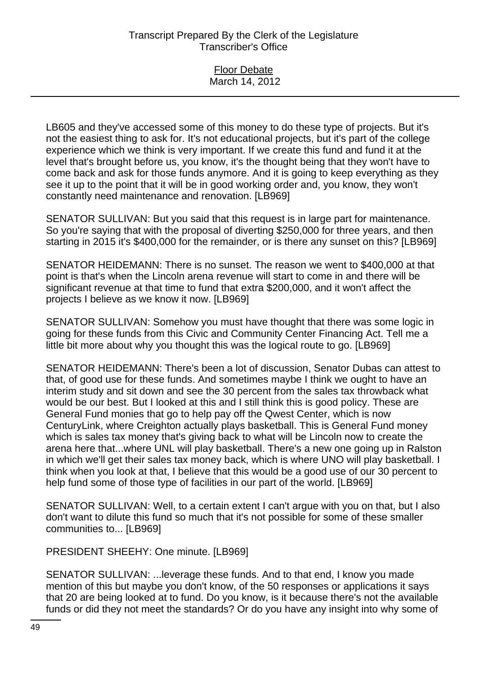| <b>Floor Debate</b> |  |
|---------------------|--|
| March 14, 2012      |  |

LB605 and they've accessed some of this money to do these type of projects. But it's not the easiest thing to ask for. It's not educational projects, but it's part of the college experience which we think is very important. If we create this fund and fund it at the level that's brought before us, you know, it's the thought being that they won't have to come back and ask for those funds anymore. And it is going to keep everything as they see it up to the point that it will be in good working order and, you know, they won't constantly need maintenance and renovation. [LB969]

SENATOR SULLIVAN: But you said that this request is in large part for maintenance. So you're saying that with the proposal of diverting \$250,000 for three years, and then starting in 2015 it's \$400,000 for the remainder, or is there any sunset on this? [LB969]

SENATOR HEIDEMANN: There is no sunset. The reason we went to \$400,000 at that point is that's when the Lincoln arena revenue will start to come in and there will be significant revenue at that time to fund that extra \$200,000, and it won't affect the projects I believe as we know it now. [LB969]

SENATOR SULLIVAN: Somehow you must have thought that there was some logic in going for these funds from this Civic and Community Center Financing Act. Tell me a little bit more about why you thought this was the logical route to go. [LB969]

SENATOR HEIDEMANN: There's been a lot of discussion, Senator Dubas can attest to that, of good use for these funds. And sometimes maybe I think we ought to have an interim study and sit down and see the 30 percent from the sales tax throwback what would be our best. But I looked at this and I still think this is good policy. These are General Fund monies that go to help pay off the Qwest Center, which is now CenturyLink, where Creighton actually plays basketball. This is General Fund money which is sales tax money that's giving back to what will be Lincoln now to create the arena here that...where UNL will play basketball. There's a new one going up in Ralston in which we'll get their sales tax money back, which is where UNO will play basketball. I think when you look at that, I believe that this would be a good use of our 30 percent to help fund some of those type of facilities in our part of the world. [LB969]

SENATOR SULLIVAN: Well, to a certain extent I can't argue with you on that, but I also don't want to dilute this fund so much that it's not possible for some of these smaller communities to... [LB969]

PRESIDENT SHEEHY: One minute. [LB969]

SENATOR SULLIVAN: ...leverage these funds. And to that end, I know you made mention of this but maybe you don't know, of the 50 responses or applications it says that 20 are being looked at to fund. Do you know, is it because there's not the available funds or did they not meet the standards? Or do you have any insight into why some of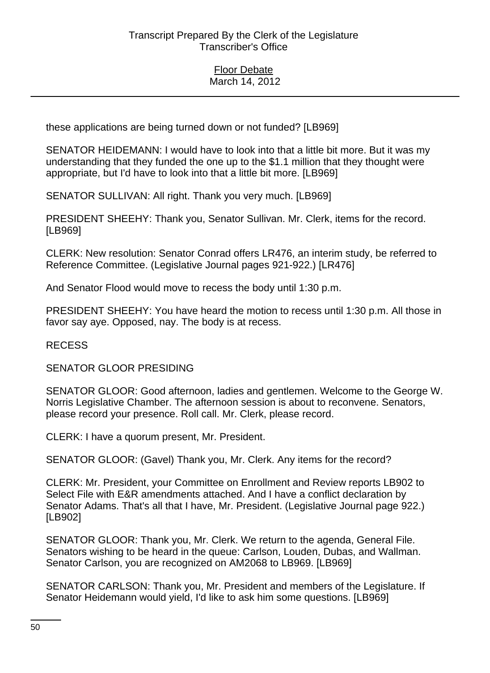these applications are being turned down or not funded? [LB969]

SENATOR HEIDEMANN: I would have to look into that a little bit more. But it was my understanding that they funded the one up to the \$1.1 million that they thought were appropriate, but I'd have to look into that a little bit more. [LB969]

SENATOR SULLIVAN: All right. Thank you very much. [LB969]

PRESIDENT SHEEHY: Thank you, Senator Sullivan. Mr. Clerk, items for the record. [LB969]

CLERK: New resolution: Senator Conrad offers LR476, an interim study, be referred to Reference Committee. (Legislative Journal pages 921-922.) [LR476]

And Senator Flood would move to recess the body until 1:30 p.m.

PRESIDENT SHEEHY: You have heard the motion to recess until 1:30 p.m. All those in favor say aye. Opposed, nay. The body is at recess.

## RECESS

SENATOR GLOOR PRESIDING

SENATOR GLOOR: Good afternoon, ladies and gentlemen. Welcome to the George W. Norris Legislative Chamber. The afternoon session is about to reconvene. Senators, please record your presence. Roll call. Mr. Clerk, please record.

CLERK: I have a quorum present, Mr. President.

SENATOR GLOOR: (Gavel) Thank you, Mr. Clerk. Any items for the record?

CLERK: Mr. President, your Committee on Enrollment and Review reports LB902 to Select File with E&R amendments attached. And I have a conflict declaration by Senator Adams. That's all that I have, Mr. President. (Legislative Journal page 922.) [LB902]

SENATOR GLOOR: Thank you, Mr. Clerk. We return to the agenda, General File. Senators wishing to be heard in the queue: Carlson, Louden, Dubas, and Wallman. Senator Carlson, you are recognized on AM2068 to LB969. [LB969]

SENATOR CARLSON: Thank you, Mr. President and members of the Legislature. If Senator Heidemann would yield, I'd like to ask him some questions. [LB969]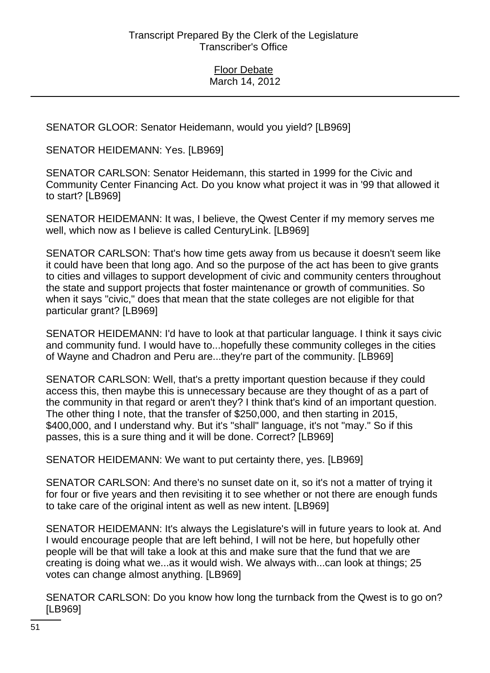SENATOR GLOOR: Senator Heidemann, would you yield? [LB969]

SENATOR HEIDEMANN: Yes. [LB969]

SENATOR CARLSON: Senator Heidemann, this started in 1999 for the Civic and Community Center Financing Act. Do you know what project it was in '99 that allowed it to start? [LB969]

SENATOR HEIDEMANN: It was, I believe, the Qwest Center if my memory serves me well, which now as I believe is called CenturyLink. [LB969]

SENATOR CARLSON: That's how time gets away from us because it doesn't seem like it could have been that long ago. And so the purpose of the act has been to give grants to cities and villages to support development of civic and community centers throughout the state and support projects that foster maintenance or growth of communities. So when it says "civic," does that mean that the state colleges are not eligible for that particular grant? [LB969]

SENATOR HEIDEMANN: I'd have to look at that particular language. I think it says civic and community fund. I would have to...hopefully these community colleges in the cities of Wayne and Chadron and Peru are...they're part of the community. [LB969]

SENATOR CARLSON: Well, that's a pretty important question because if they could access this, then maybe this is unnecessary because are they thought of as a part of the community in that regard or aren't they? I think that's kind of an important question. The other thing I note, that the transfer of \$250,000, and then starting in 2015, \$400,000, and I understand why. But it's "shall" language, it's not "may." So if this passes, this is a sure thing and it will be done. Correct? [LB969]

SENATOR HEIDEMANN: We want to put certainty there, yes. [LB969]

SENATOR CARLSON: And there's no sunset date on it, so it's not a matter of trying it for four or five years and then revisiting it to see whether or not there are enough funds to take care of the original intent as well as new intent. [LB969]

SENATOR HEIDEMANN: It's always the Legislature's will in future years to look at. And I would encourage people that are left behind, I will not be here, but hopefully other people will be that will take a look at this and make sure that the fund that we are creating is doing what we...as it would wish. We always with...can look at things; 25 votes can change almost anything. [LB969]

SENATOR CARLSON: Do you know how long the turnback from the Qwest is to go on? [LB969]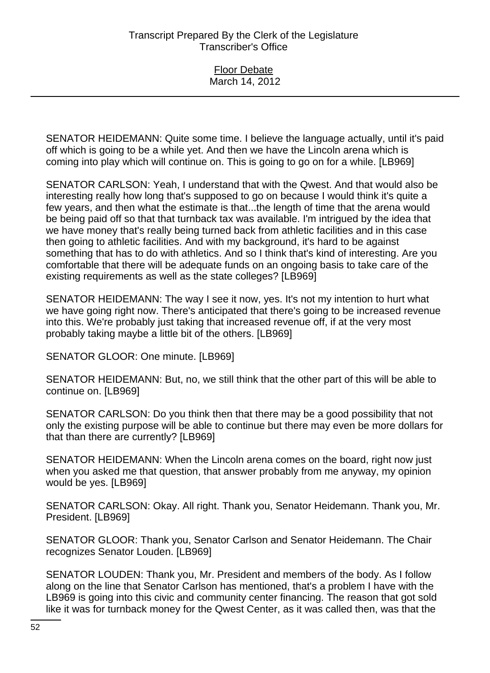Floor Debate March 14, 2012

SENATOR HEIDEMANN: Quite some time. I believe the language actually, until it's paid off which is going to be a while yet. And then we have the Lincoln arena which is coming into play which will continue on. This is going to go on for a while. [LB969]

SENATOR CARLSON: Yeah, I understand that with the Qwest. And that would also be interesting really how long that's supposed to go on because I would think it's quite a few years, and then what the estimate is that...the length of time that the arena would be being paid off so that that turnback tax was available. I'm intrigued by the idea that we have money that's really being turned back from athletic facilities and in this case then going to athletic facilities. And with my background, it's hard to be against something that has to do with athletics. And so I think that's kind of interesting. Are you comfortable that there will be adequate funds on an ongoing basis to take care of the existing requirements as well as the state colleges? [LB969]

SENATOR HEIDEMANN: The way I see it now, yes. It's not my intention to hurt what we have going right now. There's anticipated that there's going to be increased revenue into this. We're probably just taking that increased revenue off, if at the very most probably taking maybe a little bit of the others. [LB969]

SENATOR GLOOR: One minute. [LB969]

SENATOR HEIDEMANN: But, no, we still think that the other part of this will be able to continue on. [LB969]

SENATOR CARLSON: Do you think then that there may be a good possibility that not only the existing purpose will be able to continue but there may even be more dollars for that than there are currently? [LB969]

SENATOR HEIDEMANN: When the Lincoln arena comes on the board, right now just when you asked me that question, that answer probably from me anyway, my opinion would be yes. [LB969]

SENATOR CARLSON: Okay. All right. Thank you, Senator Heidemann. Thank you, Mr. President. [LB969]

SENATOR GLOOR: Thank you, Senator Carlson and Senator Heidemann. The Chair recognizes Senator Louden. [LB969]

SENATOR LOUDEN: Thank you, Mr. President and members of the body. As I follow along on the line that Senator Carlson has mentioned, that's a problem I have with the LB969 is going into this civic and community center financing. The reason that got sold like it was for turnback money for the Qwest Center, as it was called then, was that the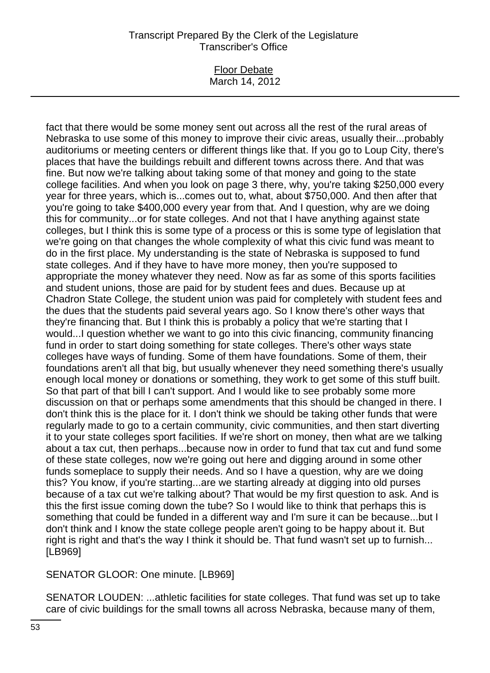#### Floor Debate March 14, 2012

fact that there would be some money sent out across all the rest of the rural areas of Nebraska to use some of this money to improve their civic areas, usually their...probably auditoriums or meeting centers or different things like that. If you go to Loup City, there's places that have the buildings rebuilt and different towns across there. And that was fine. But now we're talking about taking some of that money and going to the state college facilities. And when you look on page 3 there, why, you're taking \$250,000 every year for three years, which is...comes out to, what, about \$750,000. And then after that you're going to take \$400,000 every year from that. And I question, why are we doing this for community...or for state colleges. And not that I have anything against state colleges, but I think this is some type of a process or this is some type of legislation that we're going on that changes the whole complexity of what this civic fund was meant to do in the first place. My understanding is the state of Nebraska is supposed to fund state colleges. And if they have to have more money, then you're supposed to appropriate the money whatever they need. Now as far as some of this sports facilities and student unions, those are paid for by student fees and dues. Because up at Chadron State College, the student union was paid for completely with student fees and the dues that the students paid several years ago. So I know there's other ways that they're financing that. But I think this is probably a policy that we're starting that I would...I question whether we want to go into this civic financing, community financing fund in order to start doing something for state colleges. There's other ways state colleges have ways of funding. Some of them have foundations. Some of them, their foundations aren't all that big, but usually whenever they need something there's usually enough local money or donations or something, they work to get some of this stuff built. So that part of that bill I can't support. And I would like to see probably some more discussion on that or perhaps some amendments that this should be changed in there. I don't think this is the place for it. I don't think we should be taking other funds that were regularly made to go to a certain community, civic communities, and then start diverting it to your state colleges sport facilities. If we're short on money, then what are we talking about a tax cut, then perhaps...because now in order to fund that tax cut and fund some of these state colleges, now we're going out here and digging around in some other funds someplace to supply their needs. And so I have a question, why are we doing this? You know, if you're starting...are we starting already at digging into old purses because of a tax cut we're talking about? That would be my first question to ask. And is this the first issue coming down the tube? So I would like to think that perhaps this is something that could be funded in a different way and I'm sure it can be because...but I don't think and I know the state college people aren't going to be happy about it. But right is right and that's the way I think it should be. That fund wasn't set up to furnish... [LB969]

SENATOR GLOOR: One minute. [LB969]

SENATOR LOUDEN: ...athletic facilities for state colleges. That fund was set up to take care of civic buildings for the small towns all across Nebraska, because many of them,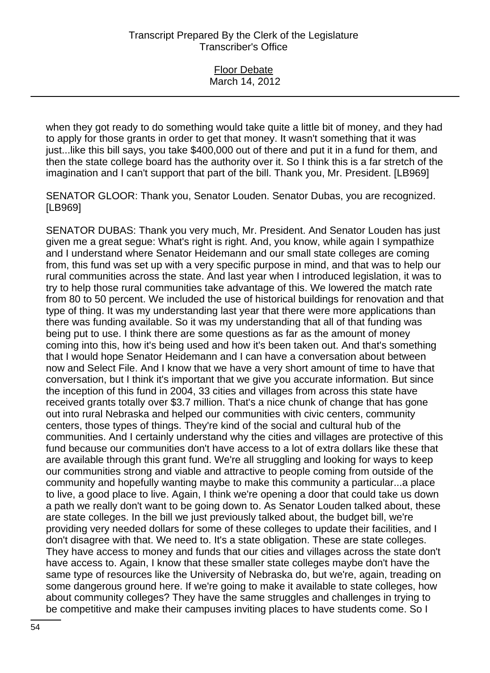| Floor Debate   |
|----------------|
|                |
| March 14, 2012 |
|                |
|                |

when they got ready to do something would take quite a little bit of money, and they had to apply for those grants in order to get that money. It wasn't something that it was just...like this bill says, you take \$400,000 out of there and put it in a fund for them, and then the state college board has the authority over it. So I think this is a far stretch of the imagination and I can't support that part of the bill. Thank you, Mr. President. [LB969]

SENATOR GLOOR: Thank you, Senator Louden. Senator Dubas, you are recognized. [LB969]

SENATOR DUBAS: Thank you very much, Mr. President. And Senator Louden has just given me a great segue: What's right is right. And, you know, while again I sympathize and I understand where Senator Heidemann and our small state colleges are coming from, this fund was set up with a very specific purpose in mind, and that was to help our rural communities across the state. And last year when I introduced legislation, it was to try to help those rural communities take advantage of this. We lowered the match rate from 80 to 50 percent. We included the use of historical buildings for renovation and that type of thing. It was my understanding last year that there were more applications than there was funding available. So it was my understanding that all of that funding was being put to use. I think there are some questions as far as the amount of money coming into this, how it's being used and how it's been taken out. And that's something that I would hope Senator Heidemann and I can have a conversation about between now and Select File. And I know that we have a very short amount of time to have that conversation, but I think it's important that we give you accurate information. But since the inception of this fund in 2004, 33 cities and villages from across this state have received grants totally over \$3.7 million. That's a nice chunk of change that has gone out into rural Nebraska and helped our communities with civic centers, community centers, those types of things. They're kind of the social and cultural hub of the communities. And I certainly understand why the cities and villages are protective of this fund because our communities don't have access to a lot of extra dollars like these that are available through this grant fund. We're all struggling and looking for ways to keep our communities strong and viable and attractive to people coming from outside of the community and hopefully wanting maybe to make this community a particular...a place to live, a good place to live. Again, I think we're opening a door that could take us down a path we really don't want to be going down to. As Senator Louden talked about, these are state colleges. In the bill we just previously talked about, the budget bill, we're providing very needed dollars for some of these colleges to update their facilities, and I don't disagree with that. We need to. It's a state obligation. These are state colleges. They have access to money and funds that our cities and villages across the state don't have access to. Again, I know that these smaller state colleges maybe don't have the same type of resources like the University of Nebraska do, but we're, again, treading on some dangerous ground here. If we're going to make it available to state colleges, how about community colleges? They have the same struggles and challenges in trying to be competitive and make their campuses inviting places to have students come. So I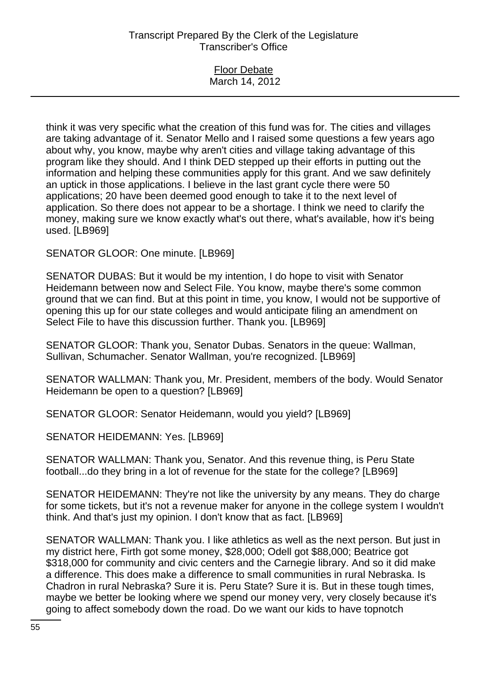### Floor Debate March 14, 2012

think it was very specific what the creation of this fund was for. The cities and villages are taking advantage of it. Senator Mello and I raised some questions a few years ago about why, you know, maybe why aren't cities and village taking advantage of this program like they should. And I think DED stepped up their efforts in putting out the information and helping these communities apply for this grant. And we saw definitely an uptick in those applications. I believe in the last grant cycle there were 50 applications; 20 have been deemed good enough to take it to the next level of application. So there does not appear to be a shortage. I think we need to clarify the money, making sure we know exactly what's out there, what's available, how it's being used. [LB969]

SENATOR GLOOR: One minute. [LB969]

SENATOR DUBAS: But it would be my intention, I do hope to visit with Senator Heidemann between now and Select File. You know, maybe there's some common ground that we can find. But at this point in time, you know, I would not be supportive of opening this up for our state colleges and would anticipate filing an amendment on Select File to have this discussion further. Thank you. [LB969]

SENATOR GLOOR: Thank you, Senator Dubas. Senators in the queue: Wallman, Sullivan, Schumacher. Senator Wallman, you're recognized. [LB969]

SENATOR WALLMAN: Thank you, Mr. President, members of the body. Would Senator Heidemann be open to a question? [LB969]

SENATOR GLOOR: Senator Heidemann, would you yield? [LB969]

SENATOR HEIDEMANN: Yes. [LB969]

SENATOR WALLMAN: Thank you, Senator. And this revenue thing, is Peru State football...do they bring in a lot of revenue for the state for the college? [LB969]

SENATOR HEIDEMANN: They're not like the university by any means. They do charge for some tickets, but it's not a revenue maker for anyone in the college system I wouldn't think. And that's just my opinion. I don't know that as fact. [LB969]

SENATOR WALLMAN: Thank you. I like athletics as well as the next person. But just in my district here, Firth got some money, \$28,000; Odell got \$88,000; Beatrice got \$318,000 for community and civic centers and the Carnegie library. And so it did make a difference. This does make a difference to small communities in rural Nebraska. Is Chadron in rural Nebraska? Sure it is. Peru State? Sure it is. But in these tough times, maybe we better be looking where we spend our money very, very closely because it's going to affect somebody down the road. Do we want our kids to have topnotch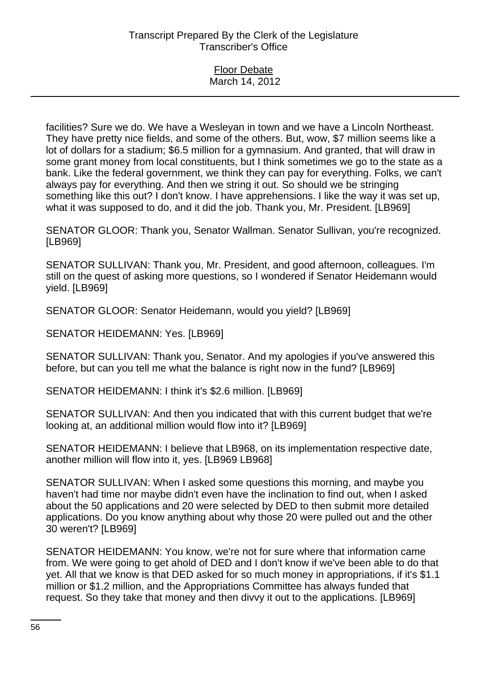| <b>Floor Debate</b> |  |
|---------------------|--|
| March 14, 2012      |  |

facilities? Sure we do. We have a Wesleyan in town and we have a Lincoln Northeast. They have pretty nice fields, and some of the others. But, wow, \$7 million seems like a lot of dollars for a stadium; \$6.5 million for a gymnasium. And granted, that will draw in some grant money from local constituents, but I think sometimes we go to the state as a bank. Like the federal government, we think they can pay for everything. Folks, we can't always pay for everything. And then we string it out. So should we be stringing something like this out? I don't know. I have apprehensions. I like the way it was set up, what it was supposed to do, and it did the job. Thank you, Mr. President. [LB969]

SENATOR GLOOR: Thank you, Senator Wallman. Senator Sullivan, you're recognized. [LB969]

SENATOR SULLIVAN: Thank you, Mr. President, and good afternoon, colleagues. I'm still on the quest of asking more questions, so I wondered if Senator Heidemann would yield. [LB969]

SENATOR GLOOR: Senator Heidemann, would you yield? [LB969]

SENATOR HEIDEMANN: Yes. [LB969]

SENATOR SULLIVAN: Thank you, Senator. And my apologies if you've answered this before, but can you tell me what the balance is right now in the fund? [LB969]

SENATOR HEIDEMANN: I think it's \$2.6 million. [LB969]

SENATOR SULLIVAN: And then you indicated that with this current budget that we're looking at, an additional million would flow into it? [LB969]

SENATOR HEIDEMANN: I believe that LB968, on its implementation respective date, another million will flow into it, yes. [LB969 LB968]

SENATOR SULLIVAN: When I asked some questions this morning, and maybe you haven't had time nor maybe didn't even have the inclination to find out, when I asked about the 50 applications and 20 were selected by DED to then submit more detailed applications. Do you know anything about why those 20 were pulled out and the other 30 weren't? [LB969]

SENATOR HEIDEMANN: You know, we're not for sure where that information came from. We were going to get ahold of DED and I don't know if we've been able to do that yet. All that we know is that DED asked for so much money in appropriations, if it's \$1.1 million or \$1.2 million, and the Appropriations Committee has always funded that request. So they take that money and then divvy it out to the applications. [LB969]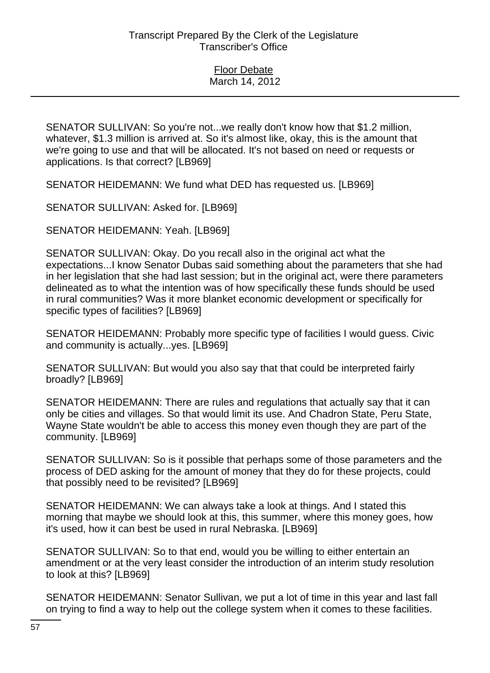SENATOR SULLIVAN: So you're not...we really don't know how that \$1.2 million, whatever, \$1.3 million is arrived at. So it's almost like, okay, this is the amount that we're going to use and that will be allocated. It's not based on need or requests or applications. Is that correct? [LB969]

SENATOR HEIDEMANN: We fund what DED has requested us. [LB969]

SENATOR SULLIVAN: Asked for. [LB969]

SENATOR HEIDEMANN: Yeah. [LB969]

SENATOR SULLIVAN: Okay. Do you recall also in the original act what the expectations...I know Senator Dubas said something about the parameters that she had in her legislation that she had last session; but in the original act, were there parameters delineated as to what the intention was of how specifically these funds should be used in rural communities? Was it more blanket economic development or specifically for specific types of facilities? [LB969]

SENATOR HEIDEMANN: Probably more specific type of facilities I would guess. Civic and community is actually...yes. [LB969]

SENATOR SULLIVAN: But would you also say that that could be interpreted fairly broadly? [LB969]

SENATOR HEIDEMANN: There are rules and regulations that actually say that it can only be cities and villages. So that would limit its use. And Chadron State, Peru State, Wayne State wouldn't be able to access this money even though they are part of the community. [LB969]

SENATOR SULLIVAN: So is it possible that perhaps some of those parameters and the process of DED asking for the amount of money that they do for these projects, could that possibly need to be revisited? [LB969]

SENATOR HEIDEMANN: We can always take a look at things. And I stated this morning that maybe we should look at this, this summer, where this money goes, how it's used, how it can best be used in rural Nebraska. [LB969]

SENATOR SULLIVAN: So to that end, would you be willing to either entertain an amendment or at the very least consider the introduction of an interim study resolution to look at this? [LB969]

SENATOR HEIDEMANN: Senator Sullivan, we put a lot of time in this year and last fall on trying to find a way to help out the college system when it comes to these facilities.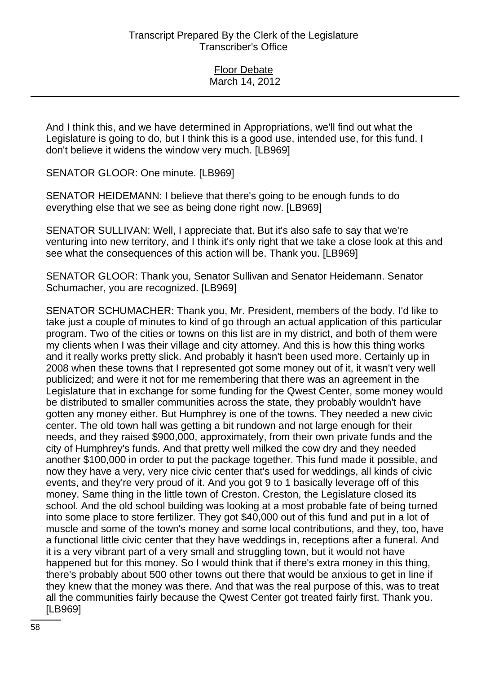And I think this, and we have determined in Appropriations, we'll find out what the Legislature is going to do, but I think this is a good use, intended use, for this fund. I don't believe it widens the window very much. [LB969]

SENATOR GLOOR: One minute. [LB969]

SENATOR HEIDEMANN: I believe that there's going to be enough funds to do everything else that we see as being done right now. [LB969]

SENATOR SULLIVAN: Well, I appreciate that. But it's also safe to say that we're venturing into new territory, and I think it's only right that we take a close look at this and see what the consequences of this action will be. Thank you. [LB969]

SENATOR GLOOR: Thank you, Senator Sullivan and Senator Heidemann. Senator Schumacher, you are recognized. [LB969]

SENATOR SCHUMACHER: Thank you, Mr. President, members of the body. I'd like to take just a couple of minutes to kind of go through an actual application of this particular program. Two of the cities or towns on this list are in my district, and both of them were my clients when I was their village and city attorney. And this is how this thing works and it really works pretty slick. And probably it hasn't been used more. Certainly up in 2008 when these towns that I represented got some money out of it, it wasn't very well publicized; and were it not for me remembering that there was an agreement in the Legislature that in exchange for some funding for the Qwest Center, some money would be distributed to smaller communities across the state, they probably wouldn't have gotten any money either. But Humphrey is one of the towns. They needed a new civic center. The old town hall was getting a bit rundown and not large enough for their needs, and they raised \$900,000, approximately, from their own private funds and the city of Humphrey's funds. And that pretty well milked the cow dry and they needed another \$100,000 in order to put the package together. This fund made it possible, and now they have a very, very nice civic center that's used for weddings, all kinds of civic events, and they're very proud of it. And you got 9 to 1 basically leverage off of this money. Same thing in the little town of Creston. Creston, the Legislature closed its school. And the old school building was looking at a most probable fate of being turned into some place to store fertilizer. They got \$40,000 out of this fund and put in a lot of muscle and some of the town's money and some local contributions, and they, too, have a functional little civic center that they have weddings in, receptions after a funeral. And it is a very vibrant part of a very small and struggling town, but it would not have happened but for this money. So I would think that if there's extra money in this thing, there's probably about 500 other towns out there that would be anxious to get in line if they knew that the money was there. And that was the real purpose of this, was to treat all the communities fairly because the Qwest Center got treated fairly first. Thank you. [LB969]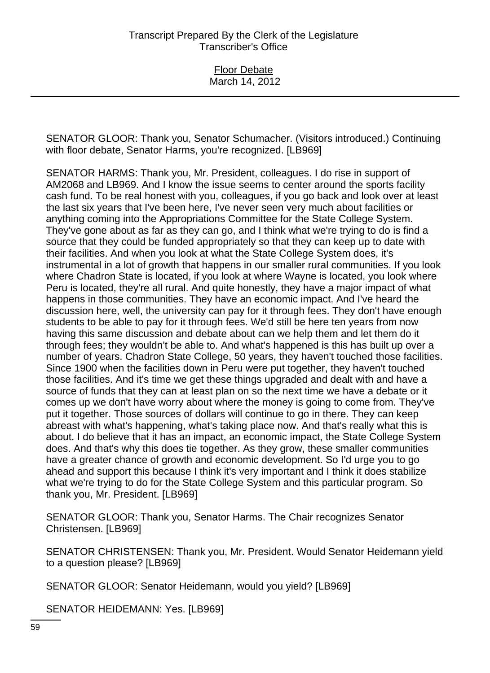Floor Debate March 14, 2012

SENATOR GLOOR: Thank you, Senator Schumacher. (Visitors introduced.) Continuing with floor debate, Senator Harms, you're recognized. [LB969]

SENATOR HARMS: Thank you, Mr. President, colleagues. I do rise in support of AM2068 and LB969. And I know the issue seems to center around the sports facility cash fund. To be real honest with you, colleagues, if you go back and look over at least the last six years that I've been here, I've never seen very much about facilities or anything coming into the Appropriations Committee for the State College System. They've gone about as far as they can go, and I think what we're trying to do is find a source that they could be funded appropriately so that they can keep up to date with their facilities. And when you look at what the State College System does, it's instrumental in a lot of growth that happens in our smaller rural communities. If you look where Chadron State is located, if you look at where Wayne is located, you look where Peru is located, they're all rural. And quite honestly, they have a major impact of what happens in those communities. They have an economic impact. And I've heard the discussion here, well, the university can pay for it through fees. They don't have enough students to be able to pay for it through fees. We'd still be here ten years from now having this same discussion and debate about can we help them and let them do it through fees; they wouldn't be able to. And what's happened is this has built up over a number of years. Chadron State College, 50 years, they haven't touched those facilities. Since 1900 when the facilities down in Peru were put together, they haven't touched those facilities. And it's time we get these things upgraded and dealt with and have a source of funds that they can at least plan on so the next time we have a debate or it comes up we don't have worry about where the money is going to come from. They've put it together. Those sources of dollars will continue to go in there. They can keep abreast with what's happening, what's taking place now. And that's really what this is about. I do believe that it has an impact, an economic impact, the State College System does. And that's why this does tie together. As they grow, these smaller communities have a greater chance of growth and economic development. So I'd urge you to go ahead and support this because I think it's very important and I think it does stabilize what we're trying to do for the State College System and this particular program. So thank you, Mr. President. [LB969]

SENATOR GLOOR: Thank you, Senator Harms. The Chair recognizes Senator Christensen. [LB969]

SENATOR CHRISTENSEN: Thank you, Mr. President. Would Senator Heidemann yield to a question please? [LB969]

SENATOR GLOOR: Senator Heidemann, would you yield? [LB969]

SENATOR HEIDEMANN: Yes. [LB969]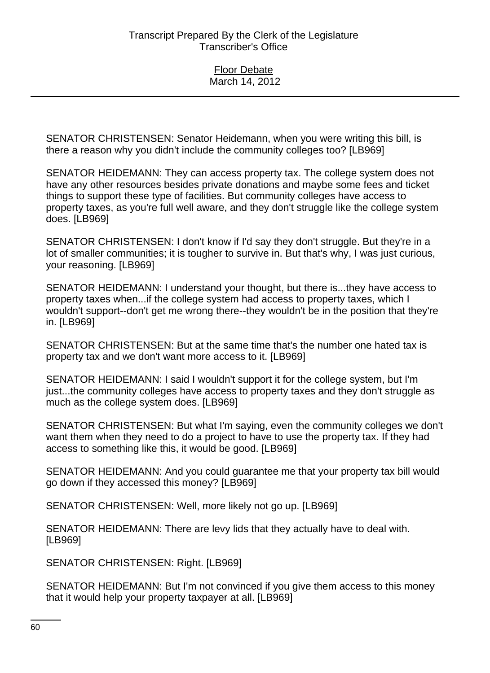SENATOR CHRISTENSEN: Senator Heidemann, when you were writing this bill, is there a reason why you didn't include the community colleges too? [LB969]

SENATOR HEIDEMANN: They can access property tax. The college system does not have any other resources besides private donations and maybe some fees and ticket things to support these type of facilities. But community colleges have access to property taxes, as you're full well aware, and they don't struggle like the college system does. [LB969]

SENATOR CHRISTENSEN: I don't know if I'd say they don't struggle. But they're in a lot of smaller communities; it is tougher to survive in. But that's why, I was just curious, your reasoning. [LB969]

SENATOR HEIDEMANN: I understand your thought, but there is...they have access to property taxes when...if the college system had access to property taxes, which I wouldn't support--don't get me wrong there--they wouldn't be in the position that they're in. [LB969]

SENATOR CHRISTENSEN: But at the same time that's the number one hated tax is property tax and we don't want more access to it. [LB969]

SENATOR HEIDEMANN: I said I wouldn't support it for the college system, but I'm just...the community colleges have access to property taxes and they don't struggle as much as the college system does. [LB969]

SENATOR CHRISTENSEN: But what I'm saying, even the community colleges we don't want them when they need to do a project to have to use the property tax. If they had access to something like this, it would be good. [LB969]

SENATOR HEIDEMANN: And you could guarantee me that your property tax bill would go down if they accessed this money? [LB969]

SENATOR CHRISTENSEN: Well, more likely not go up. [LB969]

SENATOR HEIDEMANN: There are levy lids that they actually have to deal with. [LB969]

SENATOR CHRISTENSEN: Right. [LB969]

SENATOR HEIDEMANN: But I'm not convinced if you give them access to this money that it would help your property taxpayer at all. [LB969]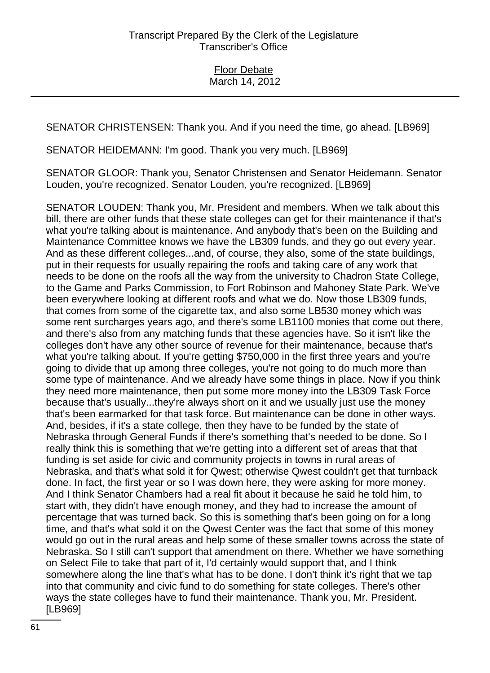SENATOR CHRISTENSEN: Thank you. And if you need the time, go ahead. [LB969]

SENATOR HEIDEMANN: I'm good. Thank you very much. [LB969]

SENATOR GLOOR: Thank you, Senator Christensen and Senator Heidemann. Senator Louden, you're recognized. Senator Louden, you're recognized. [LB969]

SENATOR LOUDEN: Thank you, Mr. President and members. When we talk about this bill, there are other funds that these state colleges can get for their maintenance if that's what you're talking about is maintenance. And anybody that's been on the Building and Maintenance Committee knows we have the LB309 funds, and they go out every year. And as these different colleges...and, of course, they also, some of the state buildings, put in their requests for usually repairing the roofs and taking care of any work that needs to be done on the roofs all the way from the university to Chadron State College, to the Game and Parks Commission, to Fort Robinson and Mahoney State Park. We've been everywhere looking at different roofs and what we do. Now those LB309 funds, that comes from some of the cigarette tax, and also some LB530 money which was some rent surcharges years ago, and there's some LB1100 monies that come out there, and there's also from any matching funds that these agencies have. So it isn't like the colleges don't have any other source of revenue for their maintenance, because that's what you're talking about. If you're getting \$750,000 in the first three years and you're going to divide that up among three colleges, you're not going to do much more than some type of maintenance. And we already have some things in place. Now if you think they need more maintenance, then put some more money into the LB309 Task Force because that's usually...they're always short on it and we usually just use the money that's been earmarked for that task force. But maintenance can be done in other ways. And, besides, if it's a state college, then they have to be funded by the state of Nebraska through General Funds if there's something that's needed to be done. So I really think this is something that we're getting into a different set of areas that that funding is set aside for civic and community projects in towns in rural areas of Nebraska, and that's what sold it for Qwest; otherwise Qwest couldn't get that turnback done. In fact, the first year or so I was down here, they were asking for more money. And I think Senator Chambers had a real fit about it because he said he told him, to start with, they didn't have enough money, and they had to increase the amount of percentage that was turned back. So this is something that's been going on for a long time, and that's what sold it on the Qwest Center was the fact that some of this money would go out in the rural areas and help some of these smaller towns across the state of Nebraska. So I still can't support that amendment on there. Whether we have something on Select File to take that part of it, I'd certainly would support that, and I think somewhere along the line that's what has to be done. I don't think it's right that we tap into that community and civic fund to do something for state colleges. There's other ways the state colleges have to fund their maintenance. Thank you, Mr. President. [LB969]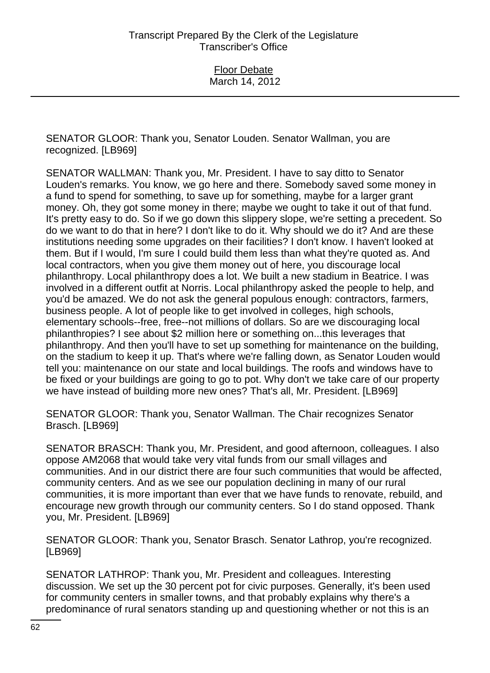SENATOR GLOOR: Thank you, Senator Louden. Senator Wallman, you are recognized. [LB969]

SENATOR WALLMAN: Thank you, Mr. President. I have to say ditto to Senator Louden's remarks. You know, we go here and there. Somebody saved some money in a fund to spend for something, to save up for something, maybe for a larger grant money. Oh, they got some money in there; maybe we ought to take it out of that fund. It's pretty easy to do. So if we go down this slippery slope, we're setting a precedent. So do we want to do that in here? I don't like to do it. Why should we do it? And are these institutions needing some upgrades on their facilities? I don't know. I haven't looked at them. But if I would, I'm sure I could build them less than what they're quoted as. And local contractors, when you give them money out of here, you discourage local philanthropy. Local philanthropy does a lot. We built a new stadium in Beatrice. I was involved in a different outfit at Norris. Local philanthropy asked the people to help, and you'd be amazed. We do not ask the general populous enough: contractors, farmers, business people. A lot of people like to get involved in colleges, high schools, elementary schools--free, free--not millions of dollars. So are we discouraging local philanthropies? I see about \$2 million here or something on...this leverages that philanthropy. And then you'll have to set up something for maintenance on the building, on the stadium to keep it up. That's where we're falling down, as Senator Louden would tell you: maintenance on our state and local buildings. The roofs and windows have to be fixed or your buildings are going to go to pot. Why don't we take care of our property we have instead of building more new ones? That's all, Mr. President. [LB969]

SENATOR GLOOR: Thank you, Senator Wallman. The Chair recognizes Senator Brasch. [LB969]

SENATOR BRASCH: Thank you, Mr. President, and good afternoon, colleagues. I also oppose AM2068 that would take very vital funds from our small villages and communities. And in our district there are four such communities that would be affected, community centers. And as we see our population declining in many of our rural communities, it is more important than ever that we have funds to renovate, rebuild, and encourage new growth through our community centers. So I do stand opposed. Thank you, Mr. President. [LB969]

SENATOR GLOOR: Thank you, Senator Brasch. Senator Lathrop, you're recognized. [LB969]

SENATOR LATHROP: Thank you, Mr. President and colleagues. Interesting discussion. We set up the 30 percent pot for civic purposes. Generally, it's been used for community centers in smaller towns, and that probably explains why there's a predominance of rural senators standing up and questioning whether or not this is an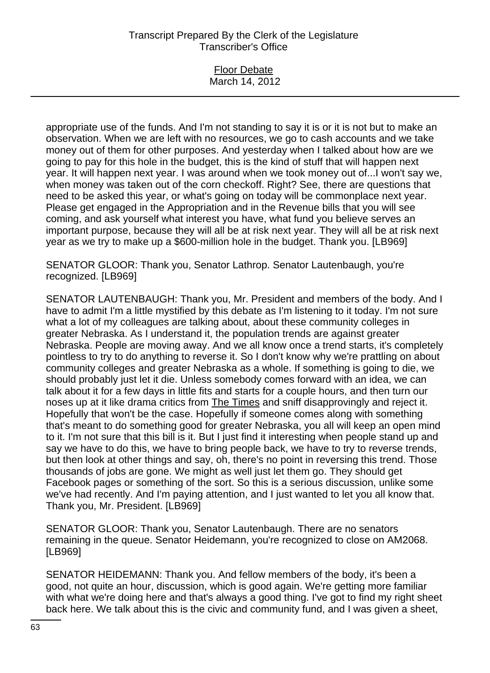### Floor Debate March 14, 2012

appropriate use of the funds. And I'm not standing to say it is or it is not but to make an observation. When we are left with no resources, we go to cash accounts and we take money out of them for other purposes. And yesterday when I talked about how are we going to pay for this hole in the budget, this is the kind of stuff that will happen next year. It will happen next year. I was around when we took money out of...I won't say we, when money was taken out of the corn checkoff. Right? See, there are questions that need to be asked this year, or what's going on today will be commonplace next year. Please get engaged in the Appropriation and in the Revenue bills that you will see coming, and ask yourself what interest you have, what fund you believe serves an important purpose, because they will all be at risk next year. They will all be at risk next year as we try to make up a \$600-million hole in the budget. Thank you. [LB969]

SENATOR GLOOR: Thank you, Senator Lathrop. Senator Lautenbaugh, you're recognized. [LB969]

SENATOR LAUTENBAUGH: Thank you, Mr. President and members of the body. And I have to admit I'm a little mystified by this debate as I'm listening to it today. I'm not sure what a lot of my colleagues are talking about, about these community colleges in greater Nebraska. As I understand it, the population trends are against greater Nebraska. People are moving away. And we all know once a trend starts, it's completely pointless to try to do anything to reverse it. So I don't know why we're prattling on about community colleges and greater Nebraska as a whole. If something is going to die, we should probably just let it die. Unless somebody comes forward with an idea, we can talk about it for a few days in little fits and starts for a couple hours, and then turn our noses up at it like drama critics from The Times and sniff disapprovingly and reject it. Hopefully that won't be the case. Hopefully if someone comes along with something that's meant to do something good for greater Nebraska, you all will keep an open mind to it. I'm not sure that this bill is it. But I just find it interesting when people stand up and say we have to do this, we have to bring people back, we have to try to reverse trends, but then look at other things and say, oh, there's no point in reversing this trend. Those thousands of jobs are gone. We might as well just let them go. They should get Facebook pages or something of the sort. So this is a serious discussion, unlike some we've had recently. And I'm paying attention, and I just wanted to let you all know that. Thank you, Mr. President. [LB969]

SENATOR GLOOR: Thank you, Senator Lautenbaugh. There are no senators remaining in the queue. Senator Heidemann, you're recognized to close on AM2068. [LB969]

SENATOR HEIDEMANN: Thank you. And fellow members of the body, it's been a good, not quite an hour, discussion, which is good again. We're getting more familiar with what we're doing here and that's always a good thing. I've got to find my right sheet back here. We talk about this is the civic and community fund, and I was given a sheet,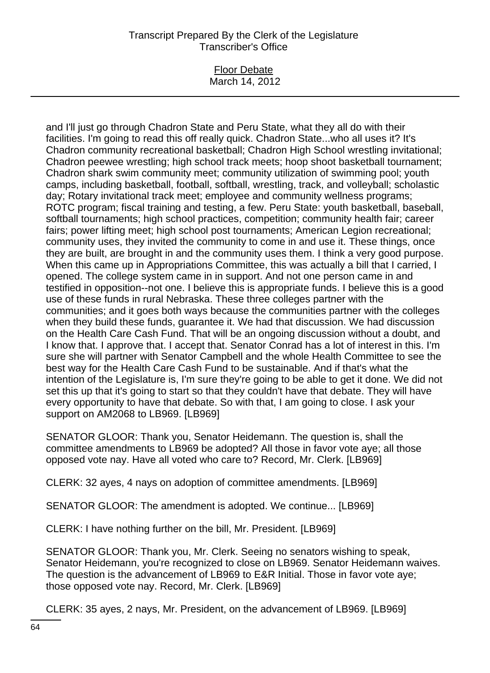#### Floor Debate March 14, 2012

and I'll just go through Chadron State and Peru State, what they all do with their facilities. I'm going to read this off really quick. Chadron State...who all uses it? It's Chadron community recreational basketball; Chadron High School wrestling invitational; Chadron peewee wrestling; high school track meets; hoop shoot basketball tournament; Chadron shark swim community meet; community utilization of swimming pool; youth camps, including basketball, football, softball, wrestling, track, and volleyball; scholastic day; Rotary invitational track meet; employee and community wellness programs; ROTC program; fiscal training and testing, a few. Peru State: youth basketball, baseball, softball tournaments; high school practices, competition; community health fair; career fairs; power lifting meet; high school post tournaments; American Legion recreational; community uses, they invited the community to come in and use it. These things, once they are built, are brought in and the community uses them. I think a very good purpose. When this came up in Appropriations Committee, this was actually a bill that I carried, I opened. The college system came in in support. And not one person came in and testified in opposition--not one. I believe this is appropriate funds. I believe this is a good use of these funds in rural Nebraska. These three colleges partner with the communities; and it goes both ways because the communities partner with the colleges when they build these funds, guarantee it. We had that discussion. We had discussion on the Health Care Cash Fund. That will be an ongoing discussion without a doubt, and I know that. I approve that. I accept that. Senator Conrad has a lot of interest in this. I'm sure she will partner with Senator Campbell and the whole Health Committee to see the best way for the Health Care Cash Fund to be sustainable. And if that's what the intention of the Legislature is, I'm sure they're going to be able to get it done. We did not set this up that it's going to start so that they couldn't have that debate. They will have every opportunity to have that debate. So with that, I am going to close. I ask your support on AM2068 to LB969. [LB969]

SENATOR GLOOR: Thank you, Senator Heidemann. The question is, shall the committee amendments to LB969 be adopted? All those in favor vote aye; all those opposed vote nay. Have all voted who care to? Record, Mr. Clerk. [LB969]

CLERK: 32 ayes, 4 nays on adoption of committee amendments. [LB969]

SENATOR GLOOR: The amendment is adopted. We continue... [LB969]

CLERK: I have nothing further on the bill, Mr. President. [LB969]

SENATOR GLOOR: Thank you, Mr. Clerk. Seeing no senators wishing to speak, Senator Heidemann, you're recognized to close on LB969. Senator Heidemann waives. The question is the advancement of LB969 to E&R Initial. Those in favor vote aye; those opposed vote nay. Record, Mr. Clerk. [LB969]

CLERK: 35 ayes, 2 nays, Mr. President, on the advancement of LB969. [LB969]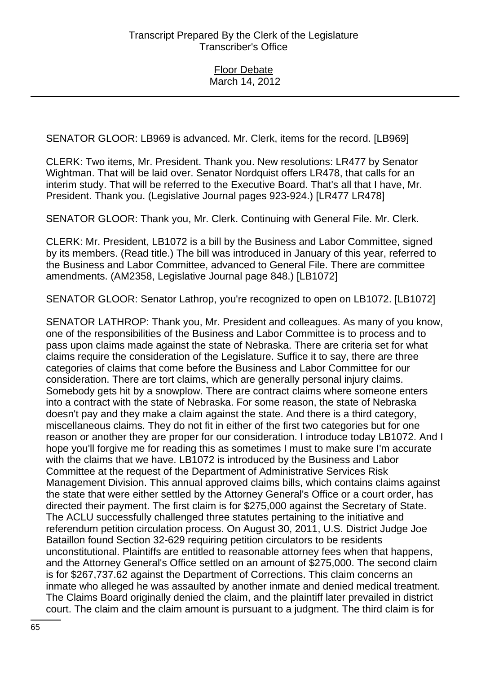SENATOR GLOOR: LB969 is advanced. Mr. Clerk, items for the record. [LB969]

CLERK: Two items, Mr. President. Thank you. New resolutions: LR477 by Senator Wightman. That will be laid over. Senator Nordquist offers LR478, that calls for an interim study. That will be referred to the Executive Board. That's all that I have, Mr. President. Thank you. (Legislative Journal pages 923-924.) [LR477 LR478]

SENATOR GLOOR: Thank you, Mr. Clerk. Continuing with General File. Mr. Clerk.

CLERK: Mr. President, LB1072 is a bill by the Business and Labor Committee, signed by its members. (Read title.) The bill was introduced in January of this year, referred to the Business and Labor Committee, advanced to General File. There are committee amendments. (AM2358, Legislative Journal page 848.) [LB1072]

SENATOR GLOOR: Senator Lathrop, you're recognized to open on LB1072. [LB1072]

SENATOR LATHROP: Thank you, Mr. President and colleagues. As many of you know, one of the responsibilities of the Business and Labor Committee is to process and to pass upon claims made against the state of Nebraska. There are criteria set for what claims require the consideration of the Legislature. Suffice it to say, there are three categories of claims that come before the Business and Labor Committee for our consideration. There are tort claims, which are generally personal injury claims. Somebody gets hit by a snowplow. There are contract claims where someone enters into a contract with the state of Nebraska. For some reason, the state of Nebraska doesn't pay and they make a claim against the state. And there is a third category, miscellaneous claims. They do not fit in either of the first two categories but for one reason or another they are proper for our consideration. I introduce today LB1072. And I hope you'll forgive me for reading this as sometimes I must to make sure I'm accurate with the claims that we have. LB1072 is introduced by the Business and Labor Committee at the request of the Department of Administrative Services Risk Management Division. This annual approved claims bills, which contains claims against the state that were either settled by the Attorney General's Office or a court order, has directed their payment. The first claim is for \$275,000 against the Secretary of State. The ACLU successfully challenged three statutes pertaining to the initiative and referendum petition circulation process. On August 30, 2011, U.S. District Judge Joe Bataillon found Section 32-629 requiring petition circulators to be residents unconstitutional. Plaintiffs are entitled to reasonable attorney fees when that happens, and the Attorney General's Office settled on an amount of \$275,000. The second claim is for \$267,737.62 against the Department of Corrections. This claim concerns an inmate who alleged he was assaulted by another inmate and denied medical treatment. The Claims Board originally denied the claim, and the plaintiff later prevailed in district court. The claim and the claim amount is pursuant to a judgment. The third claim is for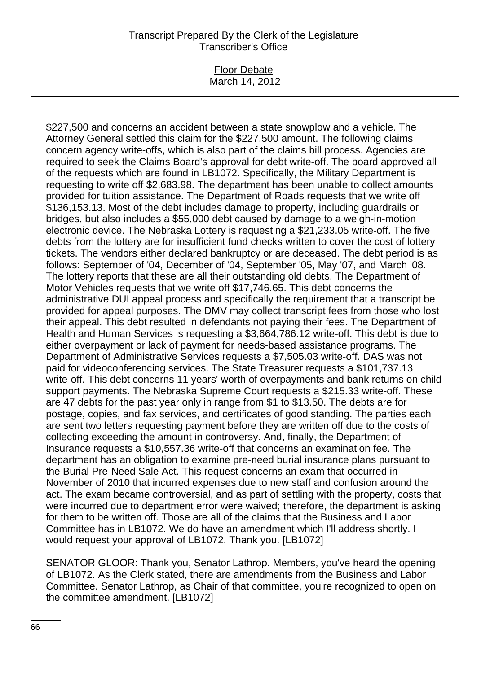#### Floor Debate March 14, 2012

\$227,500 and concerns an accident between a state snowplow and a vehicle. The Attorney General settled this claim for the \$227,500 amount. The following claims concern agency write-offs, which is also part of the claims bill process. Agencies are required to seek the Claims Board's approval for debt write-off. The board approved all of the requests which are found in LB1072. Specifically, the Military Department is requesting to write off \$2,683.98. The department has been unable to collect amounts provided for tuition assistance. The Department of Roads requests that we write off \$136,153.13. Most of the debt includes damage to property, including guardrails or bridges, but also includes a \$55,000 debt caused by damage to a weigh-in-motion electronic device. The Nebraska Lottery is requesting a \$21,233.05 write-off. The five debts from the lottery are for insufficient fund checks written to cover the cost of lottery tickets. The vendors either declared bankruptcy or are deceased. The debt period is as follows: September of '04, December of '04, September '05, May '07, and March '08. The lottery reports that these are all their outstanding old debts. The Department of Motor Vehicles requests that we write off \$17,746.65. This debt concerns the administrative DUI appeal process and specifically the requirement that a transcript be provided for appeal purposes. The DMV may collect transcript fees from those who lost their appeal. This debt resulted in defendants not paying their fees. The Department of Health and Human Services is requesting a \$3,664,786.12 write-off. This debt is due to either overpayment or lack of payment for needs-based assistance programs. The Department of Administrative Services requests a \$7,505.03 write-off. DAS was not paid for videoconferencing services. The State Treasurer requests a \$101,737.13 write-off. This debt concerns 11 years' worth of overpayments and bank returns on child support payments. The Nebraska Supreme Court requests a \$215.33 write-off. These are 47 debts for the past year only in range from \$1 to \$13.50. The debts are for postage, copies, and fax services, and certificates of good standing. The parties each are sent two letters requesting payment before they are written off due to the costs of collecting exceeding the amount in controversy. And, finally, the Department of Insurance requests a \$10,557.36 write-off that concerns an examination fee. The department has an obligation to examine pre-need burial insurance plans pursuant to the Burial Pre-Need Sale Act. This request concerns an exam that occurred in November of 2010 that incurred expenses due to new staff and confusion around the act. The exam became controversial, and as part of settling with the property, costs that were incurred due to department error were waived; therefore, the department is asking for them to be written off. Those are all of the claims that the Business and Labor Committee has in LB1072. We do have an amendment which I'll address shortly. I would request your approval of LB1072. Thank you. [LB1072]

SENATOR GLOOR: Thank you, Senator Lathrop. Members, you've heard the opening of LB1072. As the Clerk stated, there are amendments from the Business and Labor Committee. Senator Lathrop, as Chair of that committee, you're recognized to open on the committee amendment. [LB1072]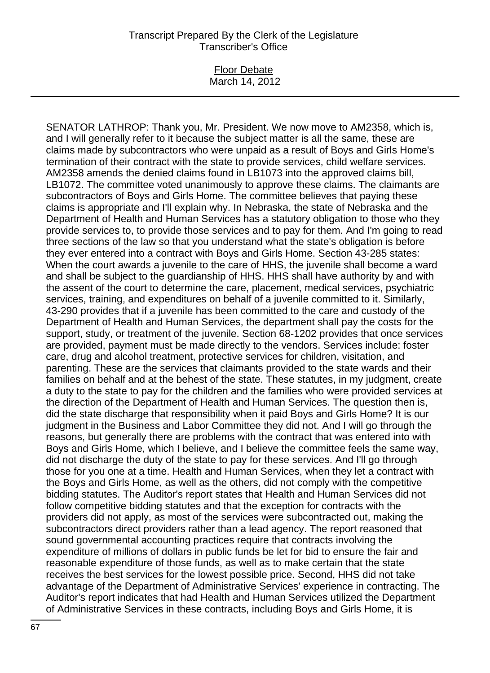#### Floor Debate March 14, 2012

SENATOR LATHROP: Thank you, Mr. President. We now move to AM2358, which is, and I will generally refer to it because the subject matter is all the same, these are claims made by subcontractors who were unpaid as a result of Boys and Girls Home's termination of their contract with the state to provide services, child welfare services. AM2358 amends the denied claims found in LB1073 into the approved claims bill, LB1072. The committee voted unanimously to approve these claims. The claimants are subcontractors of Boys and Girls Home. The committee believes that paying these claims is appropriate and I'll explain why. In Nebraska, the state of Nebraska and the Department of Health and Human Services has a statutory obligation to those who they provide services to, to provide those services and to pay for them. And I'm going to read three sections of the law so that you understand what the state's obligation is before they ever entered into a contract with Boys and Girls Home. Section 43-285 states: When the court awards a juvenile to the care of HHS, the juvenile shall become a ward and shall be subject to the guardianship of HHS. HHS shall have authority by and with the assent of the court to determine the care, placement, medical services, psychiatric services, training, and expenditures on behalf of a juvenile committed to it. Similarly, 43-290 provides that if a juvenile has been committed to the care and custody of the Department of Health and Human Services, the department shall pay the costs for the support, study, or treatment of the juvenile. Section 68-1202 provides that once services are provided, payment must be made directly to the vendors. Services include: foster care, drug and alcohol treatment, protective services for children, visitation, and parenting. These are the services that claimants provided to the state wards and their families on behalf and at the behest of the state. These statutes, in my judgment, create a duty to the state to pay for the children and the families who were provided services at the direction of the Department of Health and Human Services. The question then is, did the state discharge that responsibility when it paid Boys and Girls Home? It is our judgment in the Business and Labor Committee they did not. And I will go through the reasons, but generally there are problems with the contract that was entered into with Boys and Girls Home, which I believe, and I believe the committee feels the same way, did not discharge the duty of the state to pay for these services. And I'll go through those for you one at a time. Health and Human Services, when they let a contract with the Boys and Girls Home, as well as the others, did not comply with the competitive bidding statutes. The Auditor's report states that Health and Human Services did not follow competitive bidding statutes and that the exception for contracts with the providers did not apply, as most of the services were subcontracted out, making the subcontractors direct providers rather than a lead agency. The report reasoned that sound governmental accounting practices require that contracts involving the expenditure of millions of dollars in public funds be let for bid to ensure the fair and reasonable expenditure of those funds, as well as to make certain that the state receives the best services for the lowest possible price. Second, HHS did not take advantage of the Department of Administrative Services' experience in contracting. The Auditor's report indicates that had Health and Human Services utilized the Department of Administrative Services in these contracts, including Boys and Girls Home, it is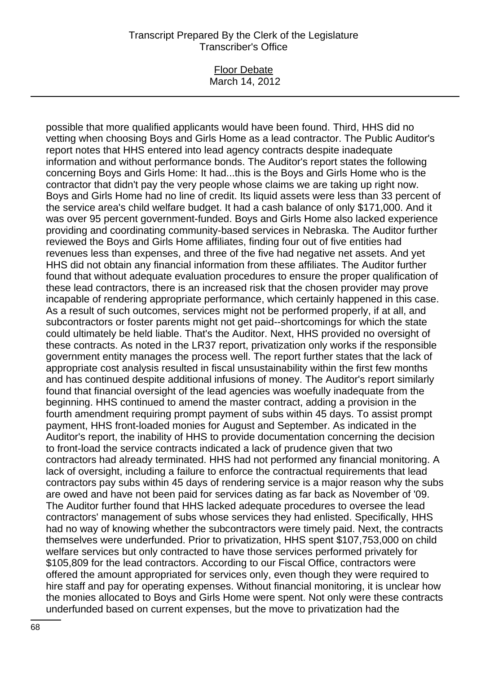#### Floor Debate March 14, 2012

possible that more qualified applicants would have been found. Third, HHS did no vetting when choosing Boys and Girls Home as a lead contractor. The Public Auditor's report notes that HHS entered into lead agency contracts despite inadequate information and without performance bonds. The Auditor's report states the following concerning Boys and Girls Home: It had...this is the Boys and Girls Home who is the contractor that didn't pay the very people whose claims we are taking up right now. Boys and Girls Home had no line of credit. Its liquid assets were less than 33 percent of the service area's child welfare budget. It had a cash balance of only \$171,000. And it was over 95 percent government-funded. Boys and Girls Home also lacked experience providing and coordinating community-based services in Nebraska. The Auditor further reviewed the Boys and Girls Home affiliates, finding four out of five entities had revenues less than expenses, and three of the five had negative net assets. And yet HHS did not obtain any financial information from these affiliates. The Auditor further found that without adequate evaluation procedures to ensure the proper qualification of these lead contractors, there is an increased risk that the chosen provider may prove incapable of rendering appropriate performance, which certainly happened in this case. As a result of such outcomes, services might not be performed properly, if at all, and subcontractors or foster parents might not get paid--shortcomings for which the state could ultimately be held liable. That's the Auditor. Next, HHS provided no oversight of these contracts. As noted in the LR37 report, privatization only works if the responsible government entity manages the process well. The report further states that the lack of appropriate cost analysis resulted in fiscal unsustainability within the first few months and has continued despite additional infusions of money. The Auditor's report similarly found that financial oversight of the lead agencies was woefully inadequate from the beginning. HHS continued to amend the master contract, adding a provision in the fourth amendment requiring prompt payment of subs within 45 days. To assist prompt payment, HHS front-loaded monies for August and September. As indicated in the Auditor's report, the inability of HHS to provide documentation concerning the decision to front-load the service contracts indicated a lack of prudence given that two contractors had already terminated. HHS had not performed any financial monitoring. A lack of oversight, including a failure to enforce the contractual requirements that lead contractors pay subs within 45 days of rendering service is a major reason why the subs are owed and have not been paid for services dating as far back as November of '09. The Auditor further found that HHS lacked adequate procedures to oversee the lead contractors' management of subs whose services they had enlisted. Specifically, HHS had no way of knowing whether the subcontractors were timely paid. Next, the contracts themselves were underfunded. Prior to privatization, HHS spent \$107,753,000 on child welfare services but only contracted to have those services performed privately for \$105,809 for the lead contractors. According to our Fiscal Office, contractors were offered the amount appropriated for services only, even though they were required to hire staff and pay for operating expenses. Without financial monitoring, it is unclear how the monies allocated to Boys and Girls Home were spent. Not only were these contracts underfunded based on current expenses, but the move to privatization had the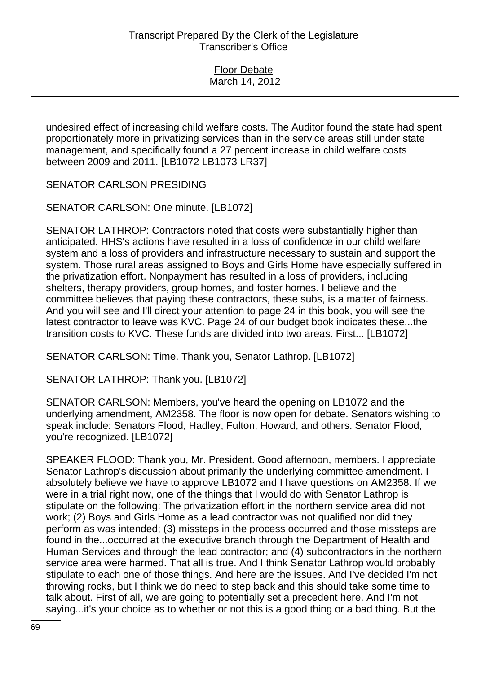undesired effect of increasing child welfare costs. The Auditor found the state had spent proportionately more in privatizing services than in the service areas still under state management, and specifically found a 27 percent increase in child welfare costs between 2009 and 2011. [LB1072 LB1073 LR37]

SENATOR CARLSON PRESIDING

SENATOR CARLSON: One minute. [LB1072]

SENATOR LATHROP: Contractors noted that costs were substantially higher than anticipated. HHS's actions have resulted in a loss of confidence in our child welfare system and a loss of providers and infrastructure necessary to sustain and support the system. Those rural areas assigned to Boys and Girls Home have especially suffered in the privatization effort. Nonpayment has resulted in a loss of providers, including shelters, therapy providers, group homes, and foster homes. I believe and the committee believes that paying these contractors, these subs, is a matter of fairness. And you will see and I'll direct your attention to page 24 in this book, you will see the latest contractor to leave was KVC. Page 24 of our budget book indicates these...the transition costs to KVC. These funds are divided into two areas. First... [LB1072]

SENATOR CARLSON: Time. Thank you, Senator Lathrop. [LB1072]

SENATOR LATHROP: Thank you. [LB1072]

SENATOR CARLSON: Members, you've heard the opening on LB1072 and the underlying amendment, AM2358. The floor is now open for debate. Senators wishing to speak include: Senators Flood, Hadley, Fulton, Howard, and others. Senator Flood, you're recognized. [LB1072]

SPEAKER FLOOD: Thank you, Mr. President. Good afternoon, members. I appreciate Senator Lathrop's discussion about primarily the underlying committee amendment. I absolutely believe we have to approve LB1072 and I have questions on AM2358. If we were in a trial right now, one of the things that I would do with Senator Lathrop is stipulate on the following: The privatization effort in the northern service area did not work; (2) Boys and Girls Home as a lead contractor was not qualified nor did they perform as was intended; (3) missteps in the process occurred and those missteps are found in the...occurred at the executive branch through the Department of Health and Human Services and through the lead contractor; and (4) subcontractors in the northern service area were harmed. That all is true. And I think Senator Lathrop would probably stipulate to each one of those things. And here are the issues. And I've decided I'm not throwing rocks, but I think we do need to step back and this should take some time to talk about. First of all, we are going to potentially set a precedent here. And I'm not saying...it's your choice as to whether or not this is a good thing or a bad thing. But the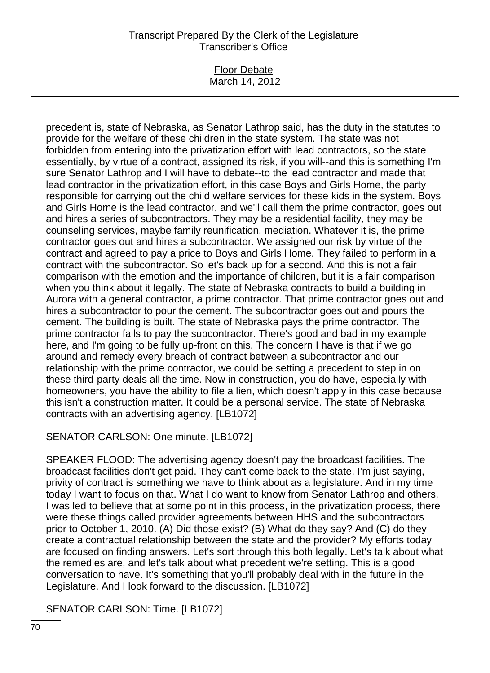#### Floor Debate March 14, 2012

precedent is, state of Nebraska, as Senator Lathrop said, has the duty in the statutes to provide for the welfare of these children in the state system. The state was not forbidden from entering into the privatization effort with lead contractors, so the state essentially, by virtue of a contract, assigned its risk, if you will--and this is something I'm sure Senator Lathrop and I will have to debate--to the lead contractor and made that lead contractor in the privatization effort, in this case Boys and Girls Home, the party responsible for carrying out the child welfare services for these kids in the system. Boys and Girls Home is the lead contractor, and we'll call them the prime contractor, goes out and hires a series of subcontractors. They may be a residential facility, they may be counseling services, maybe family reunification, mediation. Whatever it is, the prime contractor goes out and hires a subcontractor. We assigned our risk by virtue of the contract and agreed to pay a price to Boys and Girls Home. They failed to perform in a contract with the subcontractor. So let's back up for a second. And this is not a fair comparison with the emotion and the importance of children, but it is a fair comparison when you think about it legally. The state of Nebraska contracts to build a building in Aurora with a general contractor, a prime contractor. That prime contractor goes out and hires a subcontractor to pour the cement. The subcontractor goes out and pours the cement. The building is built. The state of Nebraska pays the prime contractor. The prime contractor fails to pay the subcontractor. There's good and bad in my example here, and I'm going to be fully up-front on this. The concern I have is that if we go around and remedy every breach of contract between a subcontractor and our relationship with the prime contractor, we could be setting a precedent to step in on these third-party deals all the time. Now in construction, you do have, especially with homeowners, you have the ability to file a lien, which doesn't apply in this case because this isn't a construction matter. It could be a personal service. The state of Nebraska contracts with an advertising agency. [LB1072]

SENATOR CARLSON: One minute. [LB1072]

SPEAKER FLOOD: The advertising agency doesn't pay the broadcast facilities. The broadcast facilities don't get paid. They can't come back to the state. I'm just saying, privity of contract is something we have to think about as a legislature. And in my time today I want to focus on that. What I do want to know from Senator Lathrop and others, I was led to believe that at some point in this process, in the privatization process, there were these things called provider agreements between HHS and the subcontractors prior to October 1, 2010. (A) Did those exist? (B) What do they say? And (C) do they create a contractual relationship between the state and the provider? My efforts today are focused on finding answers. Let's sort through this both legally. Let's talk about what the remedies are, and let's talk about what precedent we're setting. This is a good conversation to have. It's something that you'll probably deal with in the future in the Legislature. And I look forward to the discussion. [LB1072]

SENATOR CARLSON: Time. [LB1072]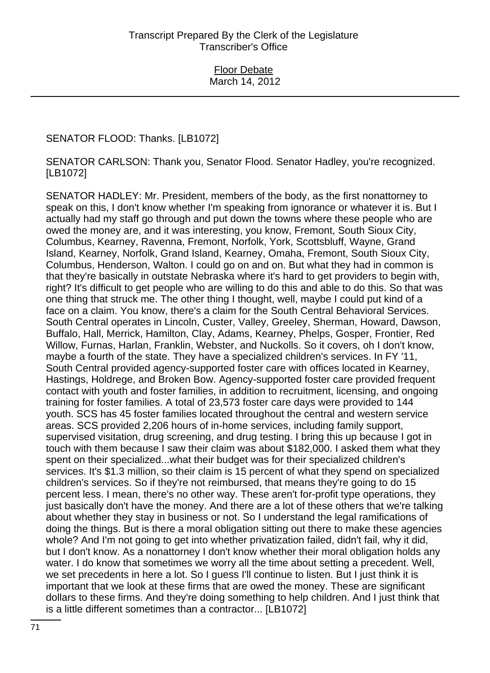# SENATOR FLOOD: Thanks. [LB1072]

SENATOR CARLSON: Thank you, Senator Flood. Senator Hadley, you're recognized. [LB1072]

SENATOR HADLEY: Mr. President, members of the body, as the first nonattorney to speak on this, I don't know whether I'm speaking from ignorance or whatever it is. But I actually had my staff go through and put down the towns where these people who are owed the money are, and it was interesting, you know, Fremont, South Sioux City, Columbus, Kearney, Ravenna, Fremont, Norfolk, York, Scottsbluff, Wayne, Grand Island, Kearney, Norfolk, Grand Island, Kearney, Omaha, Fremont, South Sioux City, Columbus, Henderson, Walton. I could go on and on. But what they had in common is that they're basically in outstate Nebraska where it's hard to get providers to begin with, right? It's difficult to get people who are willing to do this and able to do this. So that was one thing that struck me. The other thing I thought, well, maybe I could put kind of a face on a claim. You know, there's a claim for the South Central Behavioral Services. South Central operates in Lincoln, Custer, Valley, Greeley, Sherman, Howard, Dawson, Buffalo, Hall, Merrick, Hamilton, Clay, Adams, Kearney, Phelps, Gosper, Frontier, Red Willow, Furnas, Harlan, Franklin, Webster, and Nuckolls. So it covers, oh I don't know, maybe a fourth of the state. They have a specialized children's services. In FY '11, South Central provided agency-supported foster care with offices located in Kearney, Hastings, Holdrege, and Broken Bow. Agency-supported foster care provided frequent contact with youth and foster families, in addition to recruitment, licensing, and ongoing training for foster families. A total of 23,573 foster care days were provided to 144 youth. SCS has 45 foster families located throughout the central and western service areas. SCS provided 2,206 hours of in-home services, including family support, supervised visitation, drug screening, and drug testing. I bring this up because I got in touch with them because I saw their claim was about \$182,000. I asked them what they spent on their specialized...what their budget was for their specialized children's services. It's \$1.3 million, so their claim is 15 percent of what they spend on specialized children's services. So if they're not reimbursed, that means they're going to do 15 percent less. I mean, there's no other way. These aren't for-profit type operations, they just basically don't have the money. And there are a lot of these others that we're talking about whether they stay in business or not. So I understand the legal ramifications of doing the things. But is there a moral obligation sitting out there to make these agencies whole? And I'm not going to get into whether privatization failed, didn't fail, why it did, but I don't know. As a nonattorney I don't know whether their moral obligation holds any water. I do know that sometimes we worry all the time about setting a precedent. Well, we set precedents in here a lot. So I guess I'll continue to listen. But I just think it is important that we look at these firms that are owed the money. These are significant dollars to these firms. And they're doing something to help children. And I just think that is a little different sometimes than a contractor... [LB1072]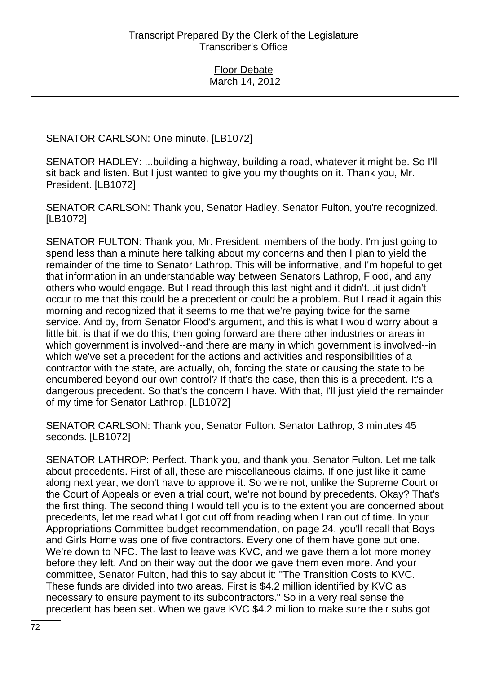SENATOR CARLSON: One minute. [LB1072]

SENATOR HADLEY: ...building a highway, building a road, whatever it might be. So I'll sit back and listen. But I just wanted to give you my thoughts on it. Thank you, Mr. President. [LB1072]

SENATOR CARLSON: Thank you, Senator Hadley. Senator Fulton, you're recognized. [LB1072]

SENATOR FULTON: Thank you, Mr. President, members of the body. I'm just going to spend less than a minute here talking about my concerns and then I plan to yield the remainder of the time to Senator Lathrop. This will be informative, and I'm hopeful to get that information in an understandable way between Senators Lathrop, Flood, and any others who would engage. But I read through this last night and it didn't...it just didn't occur to me that this could be a precedent or could be a problem. But I read it again this morning and recognized that it seems to me that we're paying twice for the same service. And by, from Senator Flood's argument, and this is what I would worry about a little bit, is that if we do this, then going forward are there other industries or areas in which government is involved--and there are many in which government is involved--in which we've set a precedent for the actions and activities and responsibilities of a contractor with the state, are actually, oh, forcing the state or causing the state to be encumbered beyond our own control? If that's the case, then this is a precedent. It's a dangerous precedent. So that's the concern I have. With that, I'll just yield the remainder of my time for Senator Lathrop. [LB1072]

SENATOR CARLSON: Thank you, Senator Fulton. Senator Lathrop, 3 minutes 45 seconds. [LB1072]

SENATOR LATHROP: Perfect. Thank you, and thank you, Senator Fulton. Let me talk about precedents. First of all, these are miscellaneous claims. If one just like it came along next year, we don't have to approve it. So we're not, unlike the Supreme Court or the Court of Appeals or even a trial court, we're not bound by precedents. Okay? That's the first thing. The second thing I would tell you is to the extent you are concerned about precedents, let me read what I got cut off from reading when I ran out of time. In your Appropriations Committee budget recommendation, on page 24, you'll recall that Boys and Girls Home was one of five contractors. Every one of them have gone but one. We're down to NFC. The last to leave was KVC, and we gave them a lot more money before they left. And on their way out the door we gave them even more. And your committee, Senator Fulton, had this to say about it: "The Transition Costs to KVC. These funds are divided into two areas. First is \$4.2 million identified by KVC as necessary to ensure payment to its subcontractors." So in a very real sense the precedent has been set. When we gave KVC \$4.2 million to make sure their subs got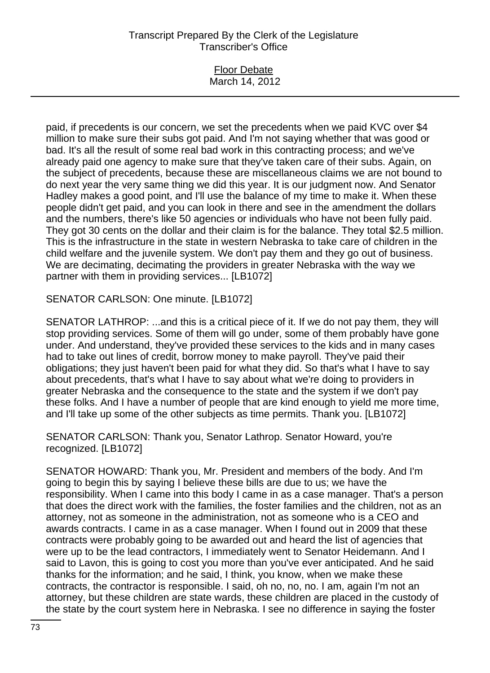### Floor Debate March 14, 2012

paid, if precedents is our concern, we set the precedents when we paid KVC over \$4 million to make sure their subs got paid. And I'm not saying whether that was good or bad. It's all the result of some real bad work in this contracting process; and we've already paid one agency to make sure that they've taken care of their subs. Again, on the subject of precedents, because these are miscellaneous claims we are not bound to do next year the very same thing we did this year. It is our judgment now. And Senator Hadley makes a good point, and I'll use the balance of my time to make it. When these people didn't get paid, and you can look in there and see in the amendment the dollars and the numbers, there's like 50 agencies or individuals who have not been fully paid. They got 30 cents on the dollar and their claim is for the balance. They total \$2.5 million. This is the infrastructure in the state in western Nebraska to take care of children in the child welfare and the juvenile system. We don't pay them and they go out of business. We are decimating, decimating the providers in greater Nebraska with the way we partner with them in providing services... [LB1072]

SENATOR CARLSON: One minute. [LB1072]

SENATOR LATHROP: ...and this is a critical piece of it. If we do not pay them, they will stop providing services. Some of them will go under, some of them probably have gone under. And understand, they've provided these services to the kids and in many cases had to take out lines of credit, borrow money to make payroll. They've paid their obligations; they just haven't been paid for what they did. So that's what I have to say about precedents, that's what I have to say about what we're doing to providers in greater Nebraska and the consequence to the state and the system if we don't pay these folks. And I have a number of people that are kind enough to yield me more time, and I'll take up some of the other subjects as time permits. Thank you. [LB1072]

SENATOR CARLSON: Thank you, Senator Lathrop. Senator Howard, you're recognized. [LB1072]

SENATOR HOWARD: Thank you, Mr. President and members of the body. And I'm going to begin this by saying I believe these bills are due to us; we have the responsibility. When I came into this body I came in as a case manager. That's a person that does the direct work with the families, the foster families and the children, not as an attorney, not as someone in the administration, not as someone who is a CEO and awards contracts. I came in as a case manager. When I found out in 2009 that these contracts were probably going to be awarded out and heard the list of agencies that were up to be the lead contractors, I immediately went to Senator Heidemann. And I said to Lavon, this is going to cost you more than you've ever anticipated. And he said thanks for the information; and he said, I think, you know, when we make these contracts, the contractor is responsible. I said, oh no, no, no. I am, again I'm not an attorney, but these children are state wards, these children are placed in the custody of the state by the court system here in Nebraska. I see no difference in saying the foster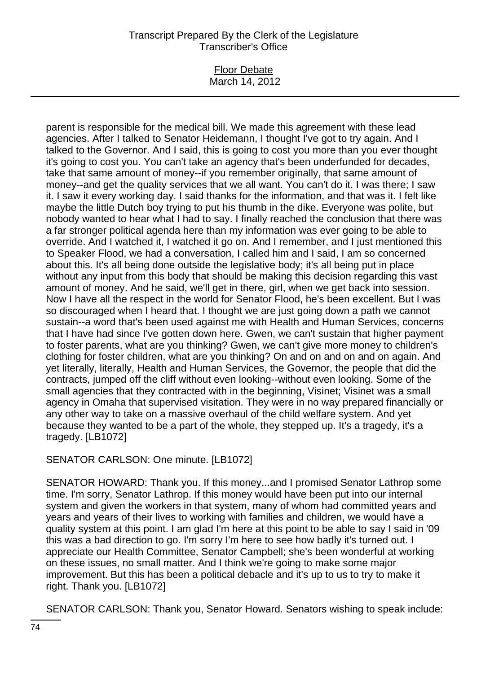#### Floor Debate March 14, 2012

parent is responsible for the medical bill. We made this agreement with these lead agencies. After I talked to Senator Heidemann, I thought I've got to try again. And I talked to the Governor. And I said, this is going to cost you more than you ever thought it's going to cost you. You can't take an agency that's been underfunded for decades, take that same amount of money--if you remember originally, that same amount of money--and get the quality services that we all want. You can't do it. I was there; I saw it. I saw it every working day. I said thanks for the information, and that was it. I felt like maybe the little Dutch boy trying to put his thumb in the dike. Everyone was polite, but nobody wanted to hear what I had to say. I finally reached the conclusion that there was a far stronger political agenda here than my information was ever going to be able to override. And I watched it, I watched it go on. And I remember, and I just mentioned this to Speaker Flood, we had a conversation, I called him and I said, I am so concerned about this. It's all being done outside the legislative body; it's all being put in place without any input from this body that should be making this decision regarding this vast amount of money. And he said, we'll get in there, girl, when we get back into session. Now I have all the respect in the world for Senator Flood, he's been excellent. But I was so discouraged when I heard that. I thought we are just going down a path we cannot sustain--a word that's been used against me with Health and Human Services, concerns that I have had since I've gotten down here. Gwen, we can't sustain that higher payment to foster parents, what are you thinking? Gwen, we can't give more money to children's clothing for foster children, what are you thinking? On and on and on and on again. And yet literally, literally, Health and Human Services, the Governor, the people that did the contracts, jumped off the cliff without even looking--without even looking. Some of the small agencies that they contracted with in the beginning, Visinet; Visinet was a small agency in Omaha that supervised visitation. They were in no way prepared financially or any other way to take on a massive overhaul of the child welfare system. And yet because they wanted to be a part of the whole, they stepped up. It's a tragedy, it's a tragedy. [LB1072]

SENATOR CARLSON: One minute. [LB1072]

SENATOR HOWARD: Thank you. If this money...and I promised Senator Lathrop some time. I'm sorry, Senator Lathrop. If this money would have been put into our internal system and given the workers in that system, many of whom had committed years and years and years of their lives to working with families and children, we would have a quality system at this point. I am glad I'm here at this point to be able to say I said in '09 this was a bad direction to go. I'm sorry I'm here to see how badly it's turned out. I appreciate our Health Committee, Senator Campbell; she's been wonderful at working on these issues, no small matter. And I think we're going to make some major improvement. But this has been a political debacle and it's up to us to try to make it right. Thank you. [LB1072]

SENATOR CARLSON: Thank you, Senator Howard. Senators wishing to speak include: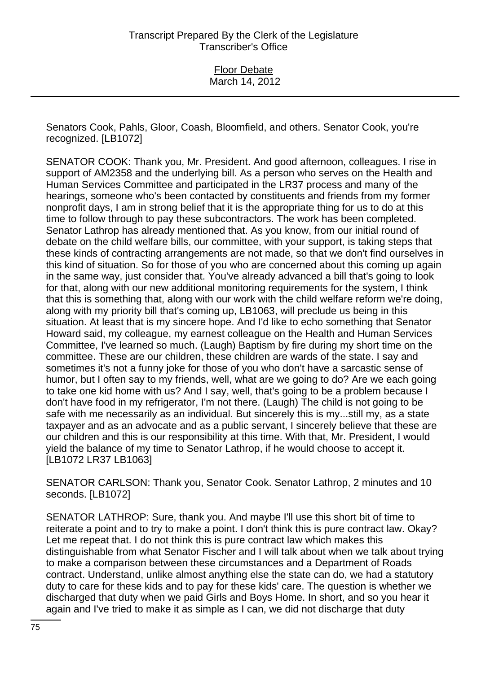Senators Cook, Pahls, Gloor, Coash, Bloomfield, and others. Senator Cook, you're recognized. [LB1072]

SENATOR COOK: Thank you, Mr. President. And good afternoon, colleagues. I rise in support of AM2358 and the underlying bill. As a person who serves on the Health and Human Services Committee and participated in the LR37 process and many of the hearings, someone who's been contacted by constituents and friends from my former nonprofit days, I am in strong belief that it is the appropriate thing for us to do at this time to follow through to pay these subcontractors. The work has been completed. Senator Lathrop has already mentioned that. As you know, from our initial round of debate on the child welfare bills, our committee, with your support, is taking steps that these kinds of contracting arrangements are not made, so that we don't find ourselves in this kind of situation. So for those of you who are concerned about this coming up again in the same way, just consider that. You've already advanced a bill that's going to look for that, along with our new additional monitoring requirements for the system, I think that this is something that, along with our work with the child welfare reform we're doing, along with my priority bill that's coming up, LB1063, will preclude us being in this situation. At least that is my sincere hope. And I'd like to echo something that Senator Howard said, my colleague, my earnest colleague on the Health and Human Services Committee, I've learned so much. (Laugh) Baptism by fire during my short time on the committee. These are our children, these children are wards of the state. I say and sometimes it's not a funny joke for those of you who don't have a sarcastic sense of humor, but I often say to my friends, well, what are we going to do? Are we each going to take one kid home with us? And I say, well, that's going to be a problem because I don't have food in my refrigerator, I'm not there. (Laugh) The child is not going to be safe with me necessarily as an individual. But sincerely this is my...still my, as a state taxpayer and as an advocate and as a public servant, I sincerely believe that these are our children and this is our responsibility at this time. With that, Mr. President, I would yield the balance of my time to Senator Lathrop, if he would choose to accept it. [LB1072 LR37 LB1063]

SENATOR CARLSON: Thank you, Senator Cook. Senator Lathrop, 2 minutes and 10 seconds. [LB1072]

SENATOR LATHROP: Sure, thank you. And maybe I'll use this short bit of time to reiterate a point and to try to make a point. I don't think this is pure contract law. Okay? Let me repeat that. I do not think this is pure contract law which makes this distinguishable from what Senator Fischer and I will talk about when we talk about trying to make a comparison between these circumstances and a Department of Roads contract. Understand, unlike almost anything else the state can do, we had a statutory duty to care for these kids and to pay for these kids' care. The question is whether we discharged that duty when we paid Girls and Boys Home. In short, and so you hear it again and I've tried to make it as simple as I can, we did not discharge that duty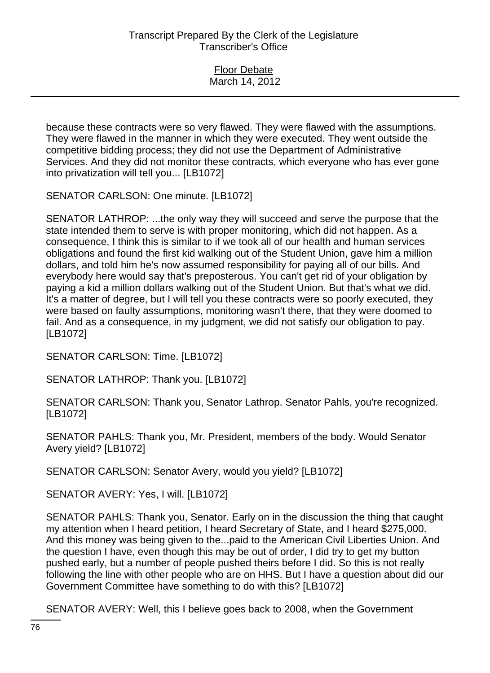| <b>Floor Debate</b> |
|---------------------|
| March 14, 2012      |

because these contracts were so very flawed. They were flawed with the assumptions. They were flawed in the manner in which they were executed. They went outside the competitive bidding process; they did not use the Department of Administrative Services. And they did not monitor these contracts, which everyone who has ever gone into privatization will tell you... [LB1072]

SENATOR CARLSON: One minute. [LB1072]

SENATOR LATHROP: ...the only way they will succeed and serve the purpose that the state intended them to serve is with proper monitoring, which did not happen. As a consequence, I think this is similar to if we took all of our health and human services obligations and found the first kid walking out of the Student Union, gave him a million dollars, and told him he's now assumed responsibility for paying all of our bills. And everybody here would say that's preposterous. You can't get rid of your obligation by paying a kid a million dollars walking out of the Student Union. But that's what we did. It's a matter of degree, but I will tell you these contracts were so poorly executed, they were based on faulty assumptions, monitoring wasn't there, that they were doomed to fail. And as a consequence, in my judgment, we did not satisfy our obligation to pay. [LB1072]

SENATOR CARLSON: Time. [LB1072]

SENATOR LATHROP: Thank you. [LB1072]

SENATOR CARLSON: Thank you, Senator Lathrop. Senator Pahls, you're recognized. [LB1072]

SENATOR PAHLS: Thank you, Mr. President, members of the body. Would Senator Avery yield? [LB1072]

SENATOR CARLSON: Senator Avery, would you yield? [LB1072]

SENATOR AVERY: Yes, I will. [LB1072]

SENATOR PAHLS: Thank you, Senator. Early on in the discussion the thing that caught my attention when I heard petition, I heard Secretary of State, and I heard \$275,000. And this money was being given to the...paid to the American Civil Liberties Union. And the question I have, even though this may be out of order, I did try to get my button pushed early, but a number of people pushed theirs before I did. So this is not really following the line with other people who are on HHS. But I have a question about did our Government Committee have something to do with this? [LB1072]

SENATOR AVERY: Well, this I believe goes back to 2008, when the Government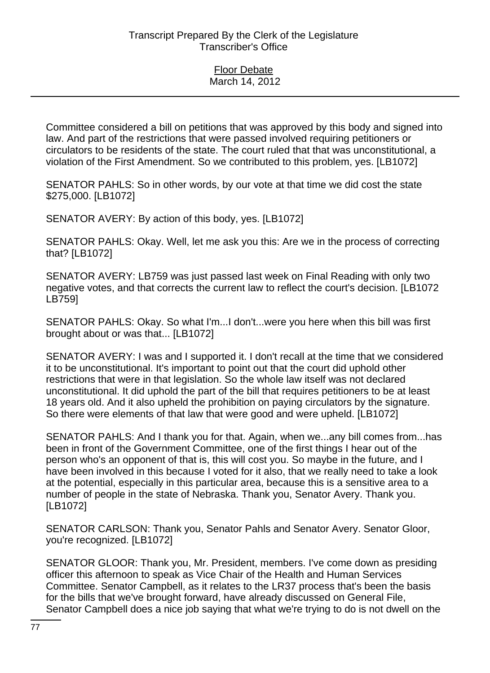Committee considered a bill on petitions that was approved by this body and signed into law. And part of the restrictions that were passed involved requiring petitioners or circulators to be residents of the state. The court ruled that that was unconstitutional, a violation of the First Amendment. So we contributed to this problem, yes. [LB1072]

SENATOR PAHLS: So in other words, by our vote at that time we did cost the state \$275,000. [LB1072]

SENATOR AVERY: By action of this body, yes. [LB1072]

SENATOR PAHLS: Okay. Well, let me ask you this: Are we in the process of correcting that? [LB1072]

SENATOR AVERY: LB759 was just passed last week on Final Reading with only two negative votes, and that corrects the current law to reflect the court's decision. [LB1072 LB759]

SENATOR PAHLS: Okay. So what I'm...I don't...were you here when this bill was first brought about or was that... [LB1072]

SENATOR AVERY: I was and I supported it. I don't recall at the time that we considered it to be unconstitutional. It's important to point out that the court did uphold other restrictions that were in that legislation. So the whole law itself was not declared unconstitutional. It did uphold the part of the bill that requires petitioners to be at least 18 years old. And it also upheld the prohibition on paying circulators by the signature. So there were elements of that law that were good and were upheld. [LB1072]

SENATOR PAHLS: And I thank you for that. Again, when we...any bill comes from...has been in front of the Government Committee, one of the first things I hear out of the person who's an opponent of that is, this will cost you. So maybe in the future, and I have been involved in this because I voted for it also, that we really need to take a look at the potential, especially in this particular area, because this is a sensitive area to a number of people in the state of Nebraska. Thank you, Senator Avery. Thank you. [LB1072]

SENATOR CARLSON: Thank you, Senator Pahls and Senator Avery. Senator Gloor, you're recognized. [LB1072]

SENATOR GLOOR: Thank you, Mr. President, members. I've come down as presiding officer this afternoon to speak as Vice Chair of the Health and Human Services Committee. Senator Campbell, as it relates to the LR37 process that's been the basis for the bills that we've brought forward, have already discussed on General File, Senator Campbell does a nice job saying that what we're trying to do is not dwell on the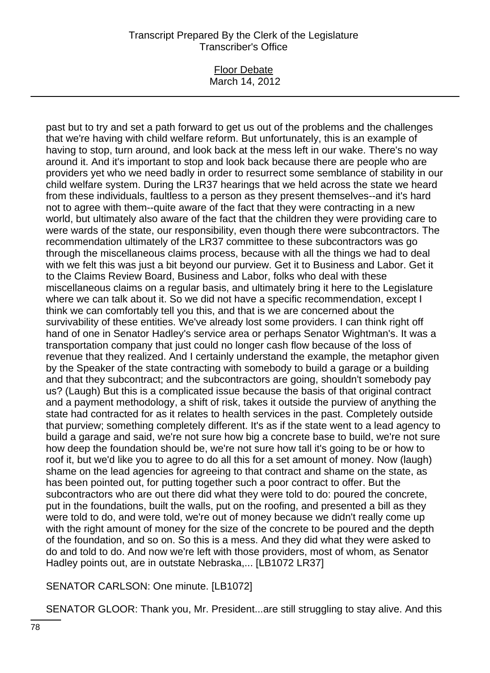### Floor Debate March 14, 2012

past but to try and set a path forward to get us out of the problems and the challenges that we're having with child welfare reform. But unfortunately, this is an example of having to stop, turn around, and look back at the mess left in our wake. There's no way around it. And it's important to stop and look back because there are people who are providers yet who we need badly in order to resurrect some semblance of stability in our child welfare system. During the LR37 hearings that we held across the state we heard from these individuals, faultless to a person as they present themselves--and it's hard not to agree with them--quite aware of the fact that they were contracting in a new world, but ultimately also aware of the fact that the children they were providing care to were wards of the state, our responsibility, even though there were subcontractors. The recommendation ultimately of the LR37 committee to these subcontractors was go through the miscellaneous claims process, because with all the things we had to deal with we felt this was just a bit beyond our purview. Get it to Business and Labor. Get it to the Claims Review Board, Business and Labor, folks who deal with these miscellaneous claims on a regular basis, and ultimately bring it here to the Legislature where we can talk about it. So we did not have a specific recommendation, except I think we can comfortably tell you this, and that is we are concerned about the survivability of these entities. We've already lost some providers. I can think right off hand of one in Senator Hadley's service area or perhaps Senator Wightman's. It was a transportation company that just could no longer cash flow because of the loss of revenue that they realized. And I certainly understand the example, the metaphor given by the Speaker of the state contracting with somebody to build a garage or a building and that they subcontract; and the subcontractors are going, shouldn't somebody pay us? (Laugh) But this is a complicated issue because the basis of that original contract and a payment methodology, a shift of risk, takes it outside the purview of anything the state had contracted for as it relates to health services in the past. Completely outside that purview; something completely different. It's as if the state went to a lead agency to build a garage and said, we're not sure how big a concrete base to build, we're not sure how deep the foundation should be, we're not sure how tall it's going to be or how to roof it, but we'd like you to agree to do all this for a set amount of money. Now (laugh) shame on the lead agencies for agreeing to that contract and shame on the state, as has been pointed out, for putting together such a poor contract to offer. But the subcontractors who are out there did what they were told to do: poured the concrete, put in the foundations, built the walls, put on the roofing, and presented a bill as they were told to do, and were told, we're out of money because we didn't really come up with the right amount of money for the size of the concrete to be poured and the depth of the foundation, and so on. So this is a mess. And they did what they were asked to do and told to do. And now we're left with those providers, most of whom, as Senator Hadley points out, are in outstate Nebraska,... [LB1072 LR37]

SENATOR CARLSON: One minute. [LB1072]

SENATOR GLOOR: Thank you, Mr. President...are still struggling to stay alive. And this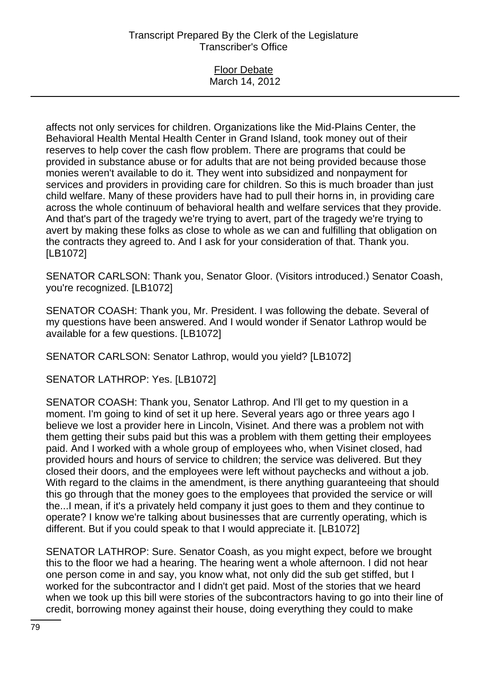| <b>Floor Debate</b> |  |
|---------------------|--|
| March 14, 2012      |  |

affects not only services for children. Organizations like the Mid-Plains Center, the Behavioral Health Mental Health Center in Grand Island, took money out of their reserves to help cover the cash flow problem. There are programs that could be provided in substance abuse or for adults that are not being provided because those monies weren't available to do it. They went into subsidized and nonpayment for services and providers in providing care for children. So this is much broader than just child welfare. Many of these providers have had to pull their horns in, in providing care across the whole continuum of behavioral health and welfare services that they provide. And that's part of the tragedy we're trying to avert, part of the tragedy we're trying to avert by making these folks as close to whole as we can and fulfilling that obligation on the contracts they agreed to. And I ask for your consideration of that. Thank you. [LB1072]

SENATOR CARLSON: Thank you, Senator Gloor. (Visitors introduced.) Senator Coash, you're recognized. [LB1072]

SENATOR COASH: Thank you, Mr. President. I was following the debate. Several of my questions have been answered. And I would wonder if Senator Lathrop would be available for a few questions. [LB1072]

SENATOR CARLSON: Senator Lathrop, would you yield? [LB1072]

SENATOR LATHROP: Yes. [LB1072]

SENATOR COASH: Thank you, Senator Lathrop. And I'll get to my question in a moment. I'm going to kind of set it up here. Several years ago or three years ago I believe we lost a provider here in Lincoln, Visinet. And there was a problem not with them getting their subs paid but this was a problem with them getting their employees paid. And I worked with a whole group of employees who, when Visinet closed, had provided hours and hours of service to children; the service was delivered. But they closed their doors, and the employees were left without paychecks and without a job. With regard to the claims in the amendment, is there anything guaranteeing that should this go through that the money goes to the employees that provided the service or will the...I mean, if it's a privately held company it just goes to them and they continue to operate? I know we're talking about businesses that are currently operating, which is different. But if you could speak to that I would appreciate it. [LB1072]

SENATOR LATHROP: Sure. Senator Coash, as you might expect, before we brought this to the floor we had a hearing. The hearing went a whole afternoon. I did not hear one person come in and say, you know what, not only did the sub get stiffed, but I worked for the subcontractor and I didn't get paid. Most of the stories that we heard when we took up this bill were stories of the subcontractors having to go into their line of credit, borrowing money against their house, doing everything they could to make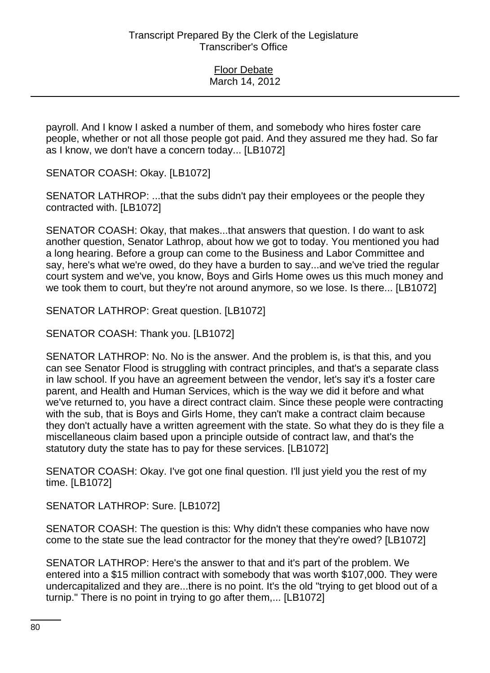| <b>Floor Debate</b> |  |
|---------------------|--|
| March 14, 2012      |  |

payroll. And I know I asked a number of them, and somebody who hires foster care people, whether or not all those people got paid. And they assured me they had. So far as I know, we don't have a concern today... [LB1072]

SENATOR COASH: Okay. [LB1072]

SENATOR LATHROP: ...that the subs didn't pay their employees or the people they contracted with. [LB1072]

SENATOR COASH: Okay, that makes...that answers that question. I do want to ask another question, Senator Lathrop, about how we got to today. You mentioned you had a long hearing. Before a group can come to the Business and Labor Committee and say, here's what we're owed, do they have a burden to say...and we've tried the regular court system and we've, you know, Boys and Girls Home owes us this much money and we took them to court, but they're not around anymore, so we lose. Is there... [LB1072]

SENATOR LATHROP: Great question. [LB1072]

SENATOR COASH: Thank you. [LB1072]

SENATOR LATHROP: No. No is the answer. And the problem is, is that this, and you can see Senator Flood is struggling with contract principles, and that's a separate class in law school. If you have an agreement between the vendor, let's say it's a foster care parent, and Health and Human Services, which is the way we did it before and what we've returned to, you have a direct contract claim. Since these people were contracting with the sub, that is Boys and Girls Home, they can't make a contract claim because they don't actually have a written agreement with the state. So what they do is they file a miscellaneous claim based upon a principle outside of contract law, and that's the statutory duty the state has to pay for these services. [LB1072]

SENATOR COASH: Okay. I've got one final question. I'll just yield you the rest of my time. [LB1072]

SENATOR LATHROP: Sure. [LB1072]

SENATOR COASH: The question is this: Why didn't these companies who have now come to the state sue the lead contractor for the money that they're owed? [LB1072]

SENATOR LATHROP: Here's the answer to that and it's part of the problem. We entered into a \$15 million contract with somebody that was worth \$107,000. They were undercapitalized and they are...there is no point. It's the old "trying to get blood out of a turnip." There is no point in trying to go after them,... [LB1072]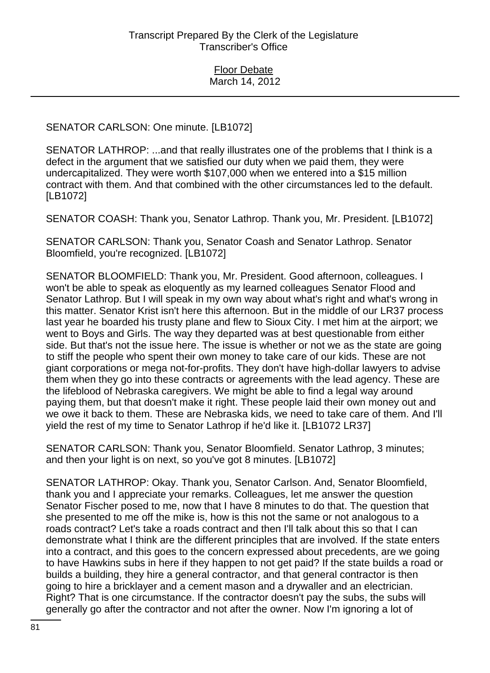## SENATOR CARLSON: One minute. [LB1072]

SENATOR LATHROP: ...and that really illustrates one of the problems that I think is a defect in the argument that we satisfied our duty when we paid them, they were undercapitalized. They were worth \$107,000 when we entered into a \$15 million contract with them. And that combined with the other circumstances led to the default. [LB1072]

SENATOR COASH: Thank you, Senator Lathrop. Thank you, Mr. President. [LB1072]

SENATOR CARLSON: Thank you, Senator Coash and Senator Lathrop. Senator Bloomfield, you're recognized. [LB1072]

SENATOR BLOOMFIELD: Thank you, Mr. President. Good afternoon, colleagues. I won't be able to speak as eloquently as my learned colleagues Senator Flood and Senator Lathrop. But I will speak in my own way about what's right and what's wrong in this matter. Senator Krist isn't here this afternoon. But in the middle of our LR37 process last year he boarded his trusty plane and flew to Sioux City. I met him at the airport; we went to Boys and Girls. The way they departed was at best questionable from either side. But that's not the issue here. The issue is whether or not we as the state are going to stiff the people who spent their own money to take care of our kids. These are not giant corporations or mega not-for-profits. They don't have high-dollar lawyers to advise them when they go into these contracts or agreements with the lead agency. These are the lifeblood of Nebraska caregivers. We might be able to find a legal way around paying them, but that doesn't make it right. These people laid their own money out and we owe it back to them. These are Nebraska kids, we need to take care of them. And I'll yield the rest of my time to Senator Lathrop if he'd like it. [LB1072 LR37]

SENATOR CARLSON: Thank you, Senator Bloomfield. Senator Lathrop, 3 minutes; and then your light is on next, so you've got 8 minutes. [LB1072]

SENATOR LATHROP: Okay. Thank you, Senator Carlson. And, Senator Bloomfield, thank you and I appreciate your remarks. Colleagues, let me answer the question Senator Fischer posed to me, now that I have 8 minutes to do that. The question that she presented to me off the mike is, how is this not the same or not analogous to a roads contract? Let's take a roads contract and then I'll talk about this so that I can demonstrate what I think are the different principles that are involved. If the state enters into a contract, and this goes to the concern expressed about precedents, are we going to have Hawkins subs in here if they happen to not get paid? If the state builds a road or builds a building, they hire a general contractor, and that general contractor is then going to hire a bricklayer and a cement mason and a drywaller and an electrician. Right? That is one circumstance. If the contractor doesn't pay the subs, the subs will generally go after the contractor and not after the owner. Now I'm ignoring a lot of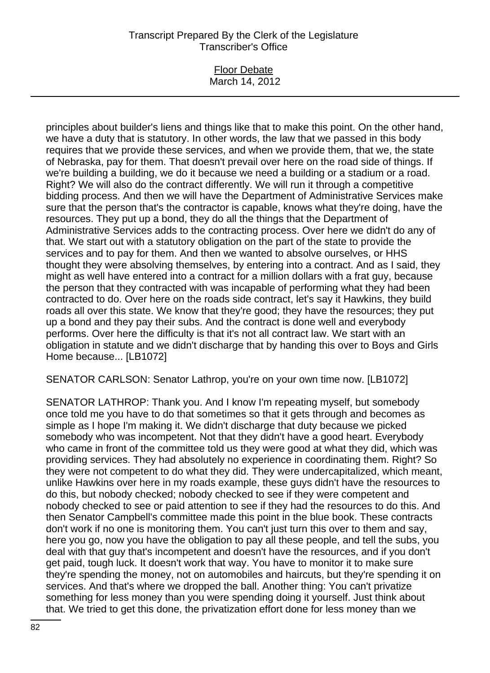### Floor Debate March 14, 2012

principles about builder's liens and things like that to make this point. On the other hand, we have a duty that is statutory. In other words, the law that we passed in this body requires that we provide these services, and when we provide them, that we, the state of Nebraska, pay for them. That doesn't prevail over here on the road side of things. If we're building a building, we do it because we need a building or a stadium or a road. Right? We will also do the contract differently. We will run it through a competitive bidding process. And then we will have the Department of Administrative Services make sure that the person that's the contractor is capable, knows what they're doing, have the resources. They put up a bond, they do all the things that the Department of Administrative Services adds to the contracting process. Over here we didn't do any of that. We start out with a statutory obligation on the part of the state to provide the services and to pay for them. And then we wanted to absolve ourselves, or HHS thought they were absolving themselves, by entering into a contract. And as I said, they might as well have entered into a contract for a million dollars with a frat guy, because the person that they contracted with was incapable of performing what they had been contracted to do. Over here on the roads side contract, let's say it Hawkins, they build roads all over this state. We know that they're good; they have the resources; they put up a bond and they pay their subs. And the contract is done well and everybody performs. Over here the difficulty is that it's not all contract law. We start with an obligation in statute and we didn't discharge that by handing this over to Boys and Girls Home because... [LB1072]

SENATOR CARLSON: Senator Lathrop, you're on your own time now. [LB1072]

SENATOR LATHROP: Thank you. And I know I'm repeating myself, but somebody once told me you have to do that sometimes so that it gets through and becomes as simple as I hope I'm making it. We didn't discharge that duty because we picked somebody who was incompetent. Not that they didn't have a good heart. Everybody who came in front of the committee told us they were good at what they did, which was providing services. They had absolutely no experience in coordinating them. Right? So they were not competent to do what they did. They were undercapitalized, which meant, unlike Hawkins over here in my roads example, these guys didn't have the resources to do this, but nobody checked; nobody checked to see if they were competent and nobody checked to see or paid attention to see if they had the resources to do this. And then Senator Campbell's committee made this point in the blue book. These contracts don't work if no one is monitoring them. You can't just turn this over to them and say, here you go, now you have the obligation to pay all these people, and tell the subs, you deal with that guy that's incompetent and doesn't have the resources, and if you don't get paid, tough luck. It doesn't work that way. You have to monitor it to make sure they're spending the money, not on automobiles and haircuts, but they're spending it on services. And that's where we dropped the ball. Another thing: You can't privatize something for less money than you were spending doing it yourself. Just think about that. We tried to get this done, the privatization effort done for less money than we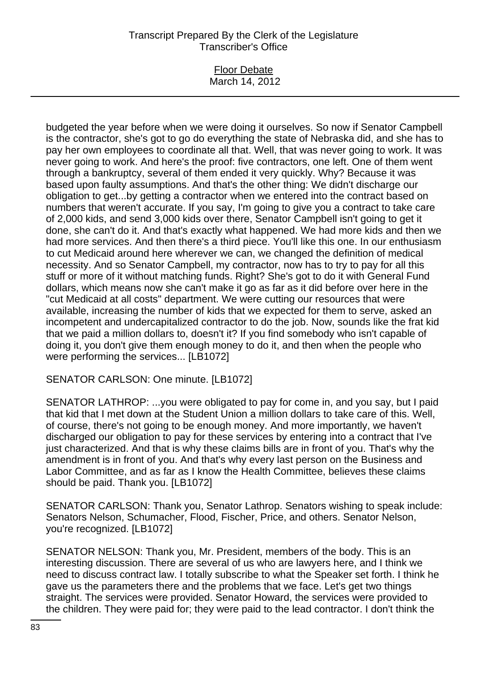#### Floor Debate March 14, 2012

budgeted the year before when we were doing it ourselves. So now if Senator Campbell is the contractor, she's got to go do everything the state of Nebraska did, and she has to pay her own employees to coordinate all that. Well, that was never going to work. It was never going to work. And here's the proof: five contractors, one left. One of them went through a bankruptcy, several of them ended it very quickly. Why? Because it was based upon faulty assumptions. And that's the other thing: We didn't discharge our obligation to get...by getting a contractor when we entered into the contract based on numbers that weren't accurate. If you say, I'm going to give you a contract to take care of 2,000 kids, and send 3,000 kids over there, Senator Campbell isn't going to get it done, she can't do it. And that's exactly what happened. We had more kids and then we had more services. And then there's a third piece. You'll like this one. In our enthusiasm to cut Medicaid around here wherever we can, we changed the definition of medical necessity. And so Senator Campbell, my contractor, now has to try to pay for all this stuff or more of it without matching funds. Right? She's got to do it with General Fund dollars, which means now she can't make it go as far as it did before over here in the "cut Medicaid at all costs" department. We were cutting our resources that were available, increasing the number of kids that we expected for them to serve, asked an incompetent and undercapitalized contractor to do the job. Now, sounds like the frat kid that we paid a million dollars to, doesn't it? If you find somebody who isn't capable of doing it, you don't give them enough money to do it, and then when the people who were performing the services... [LB1072]

SENATOR CARLSON: One minute. [LB1072]

SENATOR LATHROP: ...you were obligated to pay for come in, and you say, but I paid that kid that I met down at the Student Union a million dollars to take care of this. Well, of course, there's not going to be enough money. And more importantly, we haven't discharged our obligation to pay for these services by entering into a contract that I've just characterized. And that is why these claims bills are in front of you. That's why the amendment is in front of you. And that's why every last person on the Business and Labor Committee, and as far as I know the Health Committee, believes these claims should be paid. Thank you. [LB1072]

SENATOR CARLSON: Thank you, Senator Lathrop. Senators wishing to speak include: Senators Nelson, Schumacher, Flood, Fischer, Price, and others. Senator Nelson, you're recognized. [LB1072]

SENATOR NELSON: Thank you, Mr. President, members of the body. This is an interesting discussion. There are several of us who are lawyers here, and I think we need to discuss contract law. I totally subscribe to what the Speaker set forth. I think he gave us the parameters there and the problems that we face. Let's get two things straight. The services were provided. Senator Howard, the services were provided to the children. They were paid for; they were paid to the lead contractor. I don't think the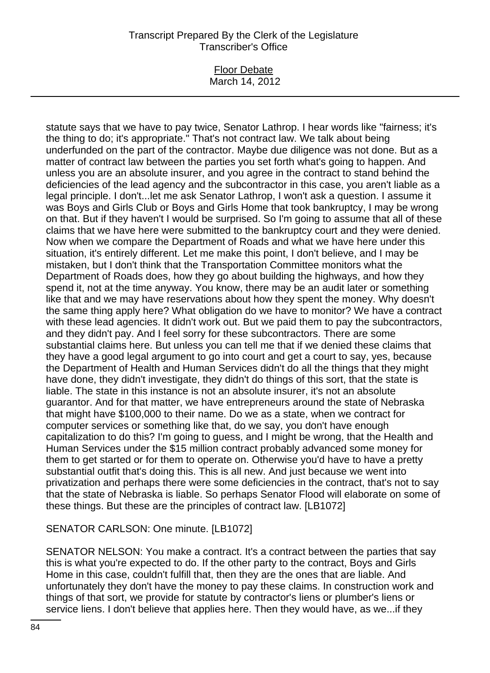### Floor Debate March 14, 2012

statute says that we have to pay twice, Senator Lathrop. I hear words like "fairness; it's the thing to do; it's appropriate." That's not contract law. We talk about being underfunded on the part of the contractor. Maybe due diligence was not done. But as a matter of contract law between the parties you set forth what's going to happen. And unless you are an absolute insurer, and you agree in the contract to stand behind the deficiencies of the lead agency and the subcontractor in this case, you aren't liable as a legal principle. I don't...let me ask Senator Lathrop, I won't ask a question. I assume it was Boys and Girls Club or Boys and Girls Home that took bankruptcy, I may be wrong on that. But if they haven't I would be surprised. So I'm going to assume that all of these claims that we have here were submitted to the bankruptcy court and they were denied. Now when we compare the Department of Roads and what we have here under this situation, it's entirely different. Let me make this point, I don't believe, and I may be mistaken, but I don't think that the Transportation Committee monitors what the Department of Roads does, how they go about building the highways, and how they spend it, not at the time anyway. You know, there may be an audit later or something like that and we may have reservations about how they spent the money. Why doesn't the same thing apply here? What obligation do we have to monitor? We have a contract with these lead agencies. It didn't work out. But we paid them to pay the subcontractors, and they didn't pay. And I feel sorry for these subcontractors. There are some substantial claims here. But unless you can tell me that if we denied these claims that they have a good legal argument to go into court and get a court to say, yes, because the Department of Health and Human Services didn't do all the things that they might have done, they didn't investigate, they didn't do things of this sort, that the state is liable. The state in this instance is not an absolute insurer, it's not an absolute guarantor. And for that matter, we have entrepreneurs around the state of Nebraska that might have \$100,000 to their name. Do we as a state, when we contract for computer services or something like that, do we say, you don't have enough capitalization to do this? I'm going to guess, and I might be wrong, that the Health and Human Services under the \$15 million contract probably advanced some money for them to get started or for them to operate on. Otherwise you'd have to have a pretty substantial outfit that's doing this. This is all new. And just because we went into privatization and perhaps there were some deficiencies in the contract, that's not to say that the state of Nebraska is liable. So perhaps Senator Flood will elaborate on some of these things. But these are the principles of contract law. [LB1072]

# SENATOR CARLSON: One minute. [LB1072]

SENATOR NELSON: You make a contract. It's a contract between the parties that say this is what you're expected to do. If the other party to the contract, Boys and Girls Home in this case, couldn't fulfill that, then they are the ones that are liable. And unfortunately they don't have the money to pay these claims. In construction work and things of that sort, we provide for statute by contractor's liens or plumber's liens or service liens. I don't believe that applies here. Then they would have, as we...if they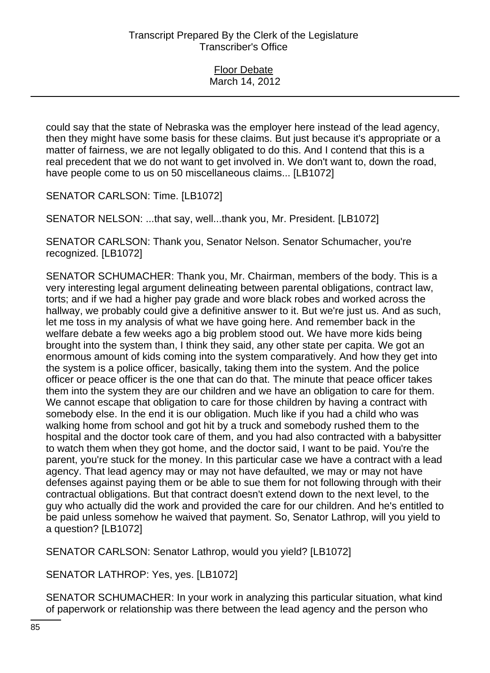| <b>Floor Debate</b> |
|---------------------|
| March 14, 2012      |

could say that the state of Nebraska was the employer here instead of the lead agency, then they might have some basis for these claims. But just because it's appropriate or a matter of fairness, we are not legally obligated to do this. And I contend that this is a real precedent that we do not want to get involved in. We don't want to, down the road, have people come to us on 50 miscellaneous claims... [LB1072]

SENATOR CARLSON: Time. [LB1072]

SENATOR NELSON: ...that say, well...thank you, Mr. President. [LB1072]

SENATOR CARLSON: Thank you, Senator Nelson. Senator Schumacher, you're recognized. [LB1072]

SENATOR SCHUMACHER: Thank you, Mr. Chairman, members of the body. This is a very interesting legal argument delineating between parental obligations, contract law, torts; and if we had a higher pay grade and wore black robes and worked across the hallway, we probably could give a definitive answer to it. But we're just us. And as such, let me toss in my analysis of what we have going here. And remember back in the welfare debate a few weeks ago a big problem stood out. We have more kids being brought into the system than, I think they said, any other state per capita. We got an enormous amount of kids coming into the system comparatively. And how they get into the system is a police officer, basically, taking them into the system. And the police officer or peace officer is the one that can do that. The minute that peace officer takes them into the system they are our children and we have an obligation to care for them. We cannot escape that obligation to care for those children by having a contract with somebody else. In the end it is our obligation. Much like if you had a child who was walking home from school and got hit by a truck and somebody rushed them to the hospital and the doctor took care of them, and you had also contracted with a babysitter to watch them when they got home, and the doctor said, I want to be paid. You're the parent, you're stuck for the money. In this particular case we have a contract with a lead agency. That lead agency may or may not have defaulted, we may or may not have defenses against paying them or be able to sue them for not following through with their contractual obligations. But that contract doesn't extend down to the next level, to the guy who actually did the work and provided the care for our children. And he's entitled to be paid unless somehow he waived that payment. So, Senator Lathrop, will you yield to a question? [LB1072]

SENATOR CARLSON: Senator Lathrop, would you yield? [LB1072]

SENATOR LATHROP: Yes, yes. [LB1072]

SENATOR SCHUMACHER: In your work in analyzing this particular situation, what kind of paperwork or relationship was there between the lead agency and the person who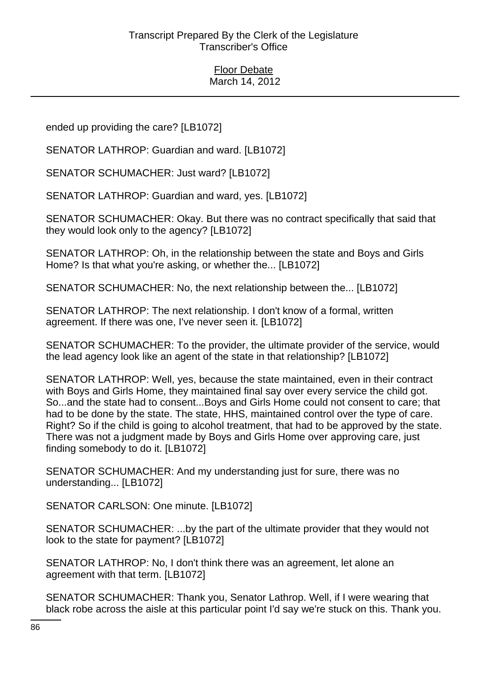ended up providing the care? [LB1072]

SENATOR LATHROP: Guardian and ward. [LB1072]

SENATOR SCHUMACHER: Just ward? [LB1072]

SENATOR LATHROP: Guardian and ward, yes. [LB1072]

SENATOR SCHUMACHER: Okay. But there was no contract specifically that said that they would look only to the agency? [LB1072]

SENATOR LATHROP: Oh, in the relationship between the state and Boys and Girls Home? Is that what you're asking, or whether the... [LB1072]

SENATOR SCHUMACHER: No, the next relationship between the... [LB1072]

SENATOR LATHROP: The next relationship. I don't know of a formal, written agreement. If there was one, I've never seen it. [LB1072]

SENATOR SCHUMACHER: To the provider, the ultimate provider of the service, would the lead agency look like an agent of the state in that relationship? [LB1072]

SENATOR LATHROP: Well, yes, because the state maintained, even in their contract with Boys and Girls Home, they maintained final say over every service the child got. So...and the state had to consent...Boys and Girls Home could not consent to care; that had to be done by the state. The state, HHS, maintained control over the type of care. Right? So if the child is going to alcohol treatment, that had to be approved by the state. There was not a judgment made by Boys and Girls Home over approving care, just finding somebody to do it. [LB1072]

SENATOR SCHUMACHER: And my understanding just for sure, there was no understanding... [LB1072]

SENATOR CARLSON: One minute. [LB1072]

SENATOR SCHUMACHER: ...by the part of the ultimate provider that they would not look to the state for payment? [LB1072]

SENATOR LATHROP: No, I don't think there was an agreement, let alone an agreement with that term. [LB1072]

SENATOR SCHUMACHER: Thank you, Senator Lathrop. Well, if I were wearing that black robe across the aisle at this particular point I'd say we're stuck on this. Thank you.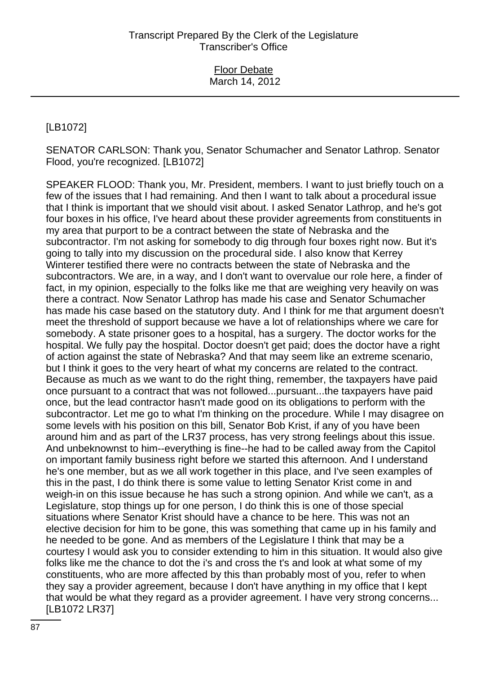# [LB1072]

SENATOR CARLSON: Thank you, Senator Schumacher and Senator Lathrop. Senator Flood, you're recognized. [LB1072]

SPEAKER FLOOD: Thank you, Mr. President, members. I want to just briefly touch on a few of the issues that I had remaining. And then I want to talk about a procedural issue that I think is important that we should visit about. I asked Senator Lathrop, and he's got four boxes in his office, I've heard about these provider agreements from constituents in my area that purport to be a contract between the state of Nebraska and the subcontractor. I'm not asking for somebody to dig through four boxes right now. But it's going to tally into my discussion on the procedural side. I also know that Kerrey Winterer testified there were no contracts between the state of Nebraska and the subcontractors. We are, in a way, and I don't want to overvalue our role here, a finder of fact, in my opinion, especially to the folks like me that are weighing very heavily on was there a contract. Now Senator Lathrop has made his case and Senator Schumacher has made his case based on the statutory duty. And I think for me that argument doesn't meet the threshold of support because we have a lot of relationships where we care for somebody. A state prisoner goes to a hospital, has a surgery. The doctor works for the hospital. We fully pay the hospital. Doctor doesn't get paid; does the doctor have a right of action against the state of Nebraska? And that may seem like an extreme scenario, but I think it goes to the very heart of what my concerns are related to the contract. Because as much as we want to do the right thing, remember, the taxpayers have paid once pursuant to a contract that was not followed...pursuant...the taxpayers have paid once, but the lead contractor hasn't made good on its obligations to perform with the subcontractor. Let me go to what I'm thinking on the procedure. While I may disagree on some levels with his position on this bill, Senator Bob Krist, if any of you have been around him and as part of the LR37 process, has very strong feelings about this issue. And unbeknownst to him--everything is fine--he had to be called away from the Capitol on important family business right before we started this afternoon. And I understand he's one member, but as we all work together in this place, and I've seen examples of this in the past, I do think there is some value to letting Senator Krist come in and weigh-in on this issue because he has such a strong opinion. And while we can't, as a Legislature, stop things up for one person, I do think this is one of those special situations where Senator Krist should have a chance to be here. This was not an elective decision for him to be gone, this was something that came up in his family and he needed to be gone. And as members of the Legislature I think that may be a courtesy I would ask you to consider extending to him in this situation. It would also give folks like me the chance to dot the i's and cross the t's and look at what some of my constituents, who are more affected by this than probably most of you, refer to when they say a provider agreement, because I don't have anything in my office that I kept that would be what they regard as a provider agreement. I have very strong concerns... [LB1072 LR37]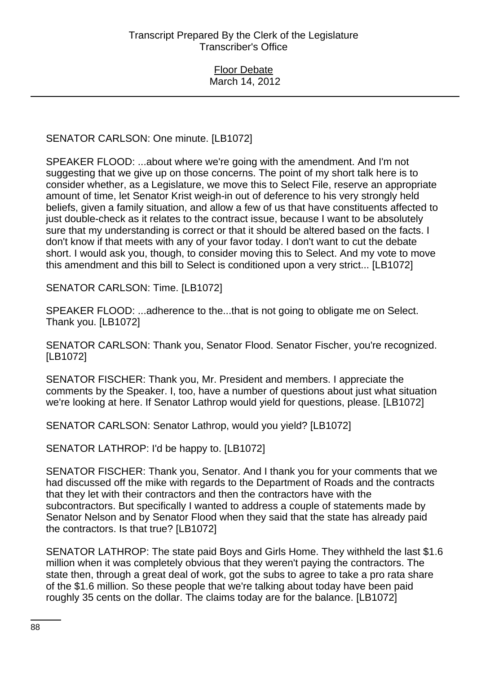SENATOR CARLSON: One minute. [LB1072]

SPEAKER FLOOD: ...about where we're going with the amendment. And I'm not suggesting that we give up on those concerns. The point of my short talk here is to consider whether, as a Legislature, we move this to Select File, reserve an appropriate amount of time, let Senator Krist weigh-in out of deference to his very strongly held beliefs, given a family situation, and allow a few of us that have constituents affected to just double-check as it relates to the contract issue, because I want to be absolutely sure that my understanding is correct or that it should be altered based on the facts. I don't know if that meets with any of your favor today. I don't want to cut the debate short. I would ask you, though, to consider moving this to Select. And my vote to move this amendment and this bill to Select is conditioned upon a very strict... [LB1072]

SENATOR CARLSON: Time. [LB1072]

SPEAKER FLOOD: ...adherence to the...that is not going to obligate me on Select. Thank you. [LB1072]

SENATOR CARLSON: Thank you, Senator Flood. Senator Fischer, you're recognized. [LB1072]

SENATOR FISCHER: Thank you, Mr. President and members. I appreciate the comments by the Speaker. I, too, have a number of questions about just what situation we're looking at here. If Senator Lathrop would yield for questions, please. [LB1072]

SENATOR CARLSON: Senator Lathrop, would you yield? [LB1072]

SENATOR LATHROP: I'd be happy to. [LB1072]

SENATOR FISCHER: Thank you, Senator. And I thank you for your comments that we had discussed off the mike with regards to the Department of Roads and the contracts that they let with their contractors and then the contractors have with the subcontractors. But specifically I wanted to address a couple of statements made by Senator Nelson and by Senator Flood when they said that the state has already paid the contractors. Is that true? [LB1072]

SENATOR LATHROP: The state paid Boys and Girls Home. They withheld the last \$1.6 million when it was completely obvious that they weren't paying the contractors. The state then, through a great deal of work, got the subs to agree to take a pro rata share of the \$1.6 million. So these people that we're talking about today have been paid roughly 35 cents on the dollar. The claims today are for the balance. [LB1072]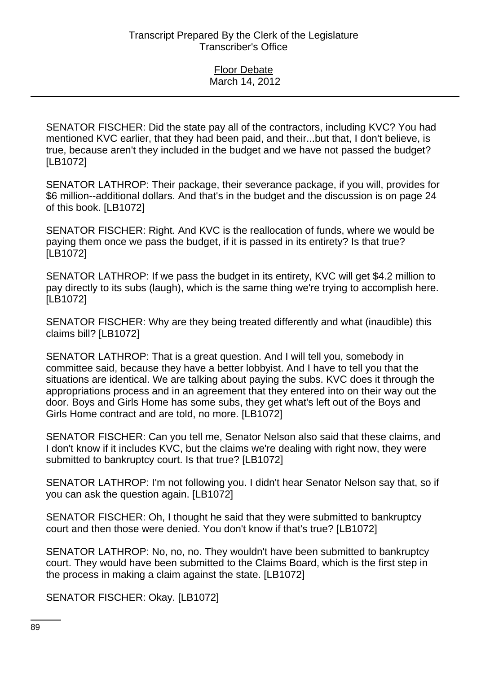SENATOR FISCHER: Did the state pay all of the contractors, including KVC? You had mentioned KVC earlier, that they had been paid, and their...but that, I don't believe, is true, because aren't they included in the budget and we have not passed the budget? [LB1072]

SENATOR LATHROP: Their package, their severance package, if you will, provides for \$6 million--additional dollars. And that's in the budget and the discussion is on page 24 of this book. [LB1072]

SENATOR FISCHER: Right. And KVC is the reallocation of funds, where we would be paying them once we pass the budget, if it is passed in its entirety? Is that true? [LB1072]

SENATOR LATHROP: If we pass the budget in its entirety, KVC will get \$4.2 million to pay directly to its subs (laugh), which is the same thing we're trying to accomplish here. [LB1072]

SENATOR FISCHER: Why are they being treated differently and what (inaudible) this claims bill? [LB1072]

SENATOR LATHROP: That is a great question. And I will tell you, somebody in committee said, because they have a better lobbyist. And I have to tell you that the situations are identical. We are talking about paying the subs. KVC does it through the appropriations process and in an agreement that they entered into on their way out the door. Boys and Girls Home has some subs, they get what's left out of the Boys and Girls Home contract and are told, no more. [LB1072]

SENATOR FISCHER: Can you tell me, Senator Nelson also said that these claims, and I don't know if it includes KVC, but the claims we're dealing with right now, they were submitted to bankruptcy court. Is that true? [LB1072]

SENATOR LATHROP: I'm not following you. I didn't hear Senator Nelson say that, so if you can ask the question again. [LB1072]

SENATOR FISCHER: Oh, I thought he said that they were submitted to bankruptcy court and then those were denied. You don't know if that's true? [LB1072]

SENATOR LATHROP: No, no, no. They wouldn't have been submitted to bankruptcy court. They would have been submitted to the Claims Board, which is the first step in the process in making a claim against the state. [LB1072]

SENATOR FISCHER: Okay. [LB1072]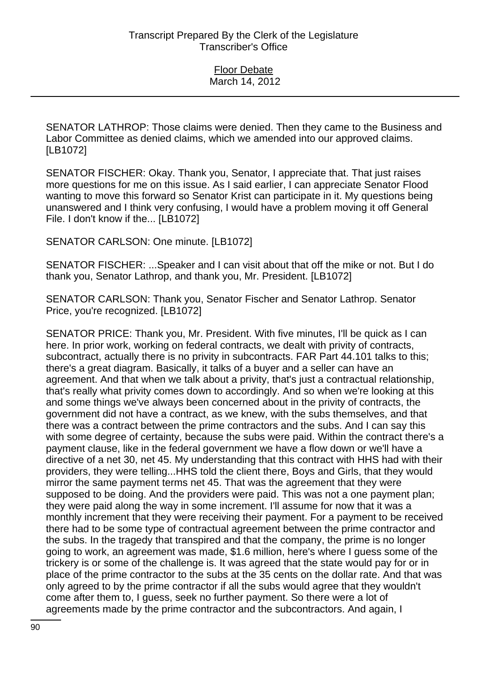SENATOR LATHROP: Those claims were denied. Then they came to the Business and Labor Committee as denied claims, which we amended into our approved claims. [LB1072]

SENATOR FISCHER: Okay. Thank you, Senator, I appreciate that. That just raises more questions for me on this issue. As I said earlier, I can appreciate Senator Flood wanting to move this forward so Senator Krist can participate in it. My questions being unanswered and I think very confusing, I would have a problem moving it off General File. I don't know if the... [LB1072]

SENATOR CARLSON: One minute. [LB1072]

SENATOR FISCHER: ...Speaker and I can visit about that off the mike or not. But I do thank you, Senator Lathrop, and thank you, Mr. President. [LB1072]

SENATOR CARLSON: Thank you, Senator Fischer and Senator Lathrop. Senator Price, you're recognized. [LB1072]

SENATOR PRICE: Thank you, Mr. President. With five minutes, I'll be quick as I can here. In prior work, working on federal contracts, we dealt with privity of contracts, subcontract, actually there is no privity in subcontracts. FAR Part 44.101 talks to this; there's a great diagram. Basically, it talks of a buyer and a seller can have an agreement. And that when we talk about a privity, that's just a contractual relationship, that's really what privity comes down to accordingly. And so when we're looking at this and some things we've always been concerned about in the privity of contracts, the government did not have a contract, as we knew, with the subs themselves, and that there was a contract between the prime contractors and the subs. And I can say this with some degree of certainty, because the subs were paid. Within the contract there's a payment clause, like in the federal government we have a flow down or we'll have a directive of a net 30, net 45. My understanding that this contract with HHS had with their providers, they were telling...HHS told the client there, Boys and Girls, that they would mirror the same payment terms net 45. That was the agreement that they were supposed to be doing. And the providers were paid. This was not a one payment plan; they were paid along the way in some increment. I'll assume for now that it was a monthly increment that they were receiving their payment. For a payment to be received there had to be some type of contractual agreement between the prime contractor and the subs. In the tragedy that transpired and that the company, the prime is no longer going to work, an agreement was made, \$1.6 million, here's where I guess some of the trickery is or some of the challenge is. It was agreed that the state would pay for or in place of the prime contractor to the subs at the 35 cents on the dollar rate. And that was only agreed to by the prime contractor if all the subs would agree that they wouldn't come after them to, I guess, seek no further payment. So there were a lot of agreements made by the prime contractor and the subcontractors. And again, I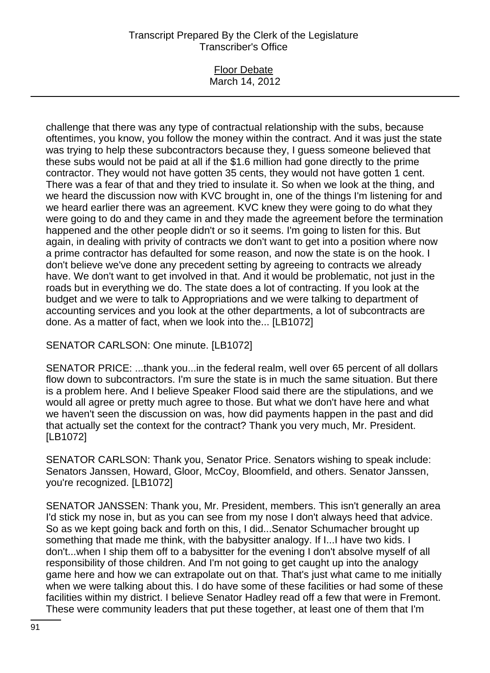#### Floor Debate March 14, 2012

challenge that there was any type of contractual relationship with the subs, because oftentimes, you know, you follow the money within the contract. And it was just the state was trying to help these subcontractors because they, I guess someone believed that these subs would not be paid at all if the \$1.6 million had gone directly to the prime contractor. They would not have gotten 35 cents, they would not have gotten 1 cent. There was a fear of that and they tried to insulate it. So when we look at the thing, and we heard the discussion now with KVC brought in, one of the things I'm listening for and we heard earlier there was an agreement. KVC knew they were going to do what they were going to do and they came in and they made the agreement before the termination happened and the other people didn't or so it seems. I'm going to listen for this. But again, in dealing with privity of contracts we don't want to get into a position where now a prime contractor has defaulted for some reason, and now the state is on the hook. I don't believe we've done any precedent setting by agreeing to contracts we already have. We don't want to get involved in that. And it would be problematic, not just in the roads but in everything we do. The state does a lot of contracting. If you look at the budget and we were to talk to Appropriations and we were talking to department of accounting services and you look at the other departments, a lot of subcontracts are done. As a matter of fact, when we look into the... [LB1072]

SENATOR CARLSON: One minute. [LB1072]

SENATOR PRICE: ...thank you...in the federal realm, well over 65 percent of all dollars flow down to subcontractors. I'm sure the state is in much the same situation. But there is a problem here. And I believe Speaker Flood said there are the stipulations, and we would all agree or pretty much agree to those. But what we don't have here and what we haven't seen the discussion on was, how did payments happen in the past and did that actually set the context for the contract? Thank you very much, Mr. President. [LB1072]

SENATOR CARLSON: Thank you, Senator Price. Senators wishing to speak include: Senators Janssen, Howard, Gloor, McCoy, Bloomfield, and others. Senator Janssen, you're recognized. [LB1072]

SENATOR JANSSEN: Thank you, Mr. President, members. This isn't generally an area I'd stick my nose in, but as you can see from my nose I don't always heed that advice. So as we kept going back and forth on this, I did...Senator Schumacher brought up something that made me think, with the babysitter analogy. If I...I have two kids. I don't...when I ship them off to a babysitter for the evening I don't absolve myself of all responsibility of those children. And I'm not going to get caught up into the analogy game here and how we can extrapolate out on that. That's just what came to me initially when we were talking about this. I do have some of these facilities or had some of these facilities within my district. I believe Senator Hadley read off a few that were in Fremont. These were community leaders that put these together, at least one of them that I'm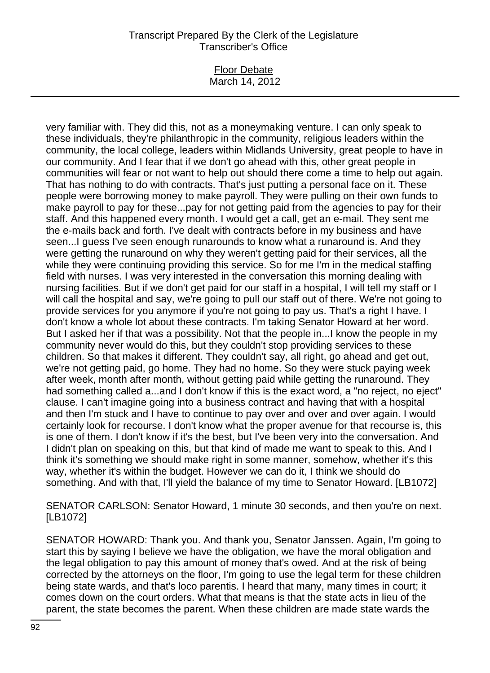#### Floor Debate March 14, 2012

very familiar with. They did this, not as a moneymaking venture. I can only speak to these individuals, they're philanthropic in the community, religious leaders within the community, the local college, leaders within Midlands University, great people to have in our community. And I fear that if we don't go ahead with this, other great people in communities will fear or not want to help out should there come a time to help out again. That has nothing to do with contracts. That's just putting a personal face on it. These people were borrowing money to make payroll. They were pulling on their own funds to make payroll to pay for these...pay for not getting paid from the agencies to pay for their staff. And this happened every month. I would get a call, get an e-mail. They sent me the e-mails back and forth. I've dealt with contracts before in my business and have seen...I guess I've seen enough runarounds to know what a runaround is. And they were getting the runaround on why they weren't getting paid for their services, all the while they were continuing providing this service. So for me I'm in the medical staffing field with nurses. I was very interested in the conversation this morning dealing with nursing facilities. But if we don't get paid for our staff in a hospital, I will tell my staff or I will call the hospital and say, we're going to pull our staff out of there. We're not going to provide services for you anymore if you're not going to pay us. That's a right I have. I don't know a whole lot about these contracts. I'm taking Senator Howard at her word. But I asked her if that was a possibility. Not that the people in...I know the people in my community never would do this, but they couldn't stop providing services to these children. So that makes it different. They couldn't say, all right, go ahead and get out, we're not getting paid, go home. They had no home. So they were stuck paying week after week, month after month, without getting paid while getting the runaround. They had something called a...and I don't know if this is the exact word, a "no reject, no eject" clause. I can't imagine going into a business contract and having that with a hospital and then I'm stuck and I have to continue to pay over and over and over again. I would certainly look for recourse. I don't know what the proper avenue for that recourse is, this is one of them. I don't know if it's the best, but I've been very into the conversation. And I didn't plan on speaking on this, but that kind of made me want to speak to this. And I think it's something we should make right in some manner, somehow, whether it's this way, whether it's within the budget. However we can do it, I think we should do something. And with that, I'll yield the balance of my time to Senator Howard. [LB1072]

SENATOR CARLSON: Senator Howard, 1 minute 30 seconds, and then you're on next. [LB1072]

SENATOR HOWARD: Thank you. And thank you, Senator Janssen. Again, I'm going to start this by saying I believe we have the obligation, we have the moral obligation and the legal obligation to pay this amount of money that's owed. And at the risk of being corrected by the attorneys on the floor, I'm going to use the legal term for these children being state wards, and that's loco parentis. I heard that many, many times in court; it comes down on the court orders. What that means is that the state acts in lieu of the parent, the state becomes the parent. When these children are made state wards the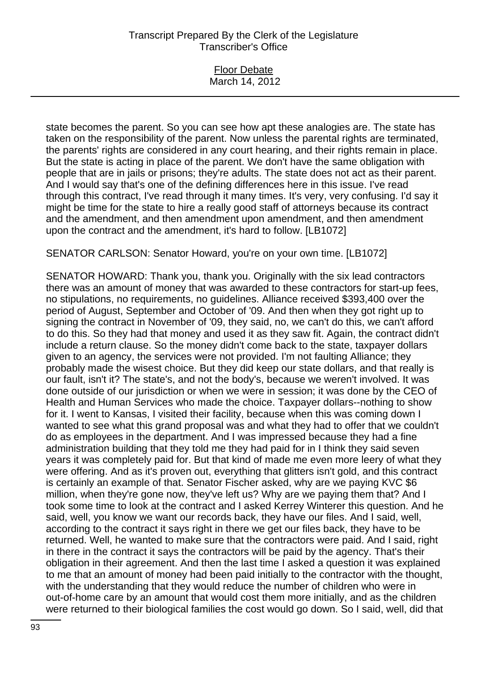| <b>Floor Debate</b> |  |
|---------------------|--|
| March 14, 2012      |  |

state becomes the parent. So you can see how apt these analogies are. The state has taken on the responsibility of the parent. Now unless the parental rights are terminated, the parents' rights are considered in any court hearing, and their rights remain in place. But the state is acting in place of the parent. We don't have the same obligation with people that are in jails or prisons; they're adults. The state does not act as their parent. And I would say that's one of the defining differences here in this issue. I've read through this contract, I've read through it many times. It's very, very confusing. I'd say it might be time for the state to hire a really good staff of attorneys because its contract and the amendment, and then amendment upon amendment, and then amendment upon the contract and the amendment, it's hard to follow. [LB1072]

SENATOR CARLSON: Senator Howard, you're on your own time. [LB1072]

SENATOR HOWARD: Thank you, thank you. Originally with the six lead contractors there was an amount of money that was awarded to these contractors for start-up fees, no stipulations, no requirements, no guidelines. Alliance received \$393,400 over the period of August, September and October of '09. And then when they got right up to signing the contract in November of '09, they said, no, we can't do this, we can't afford to do this. So they had that money and used it as they saw fit. Again, the contract didn't include a return clause. So the money didn't come back to the state, taxpayer dollars given to an agency, the services were not provided. I'm not faulting Alliance; they probably made the wisest choice. But they did keep our state dollars, and that really is our fault, isn't it? The state's, and not the body's, because we weren't involved. It was done outside of our jurisdiction or when we were in session; it was done by the CEO of Health and Human Services who made the choice. Taxpayer dollars--nothing to show for it. I went to Kansas, I visited their facility, because when this was coming down I wanted to see what this grand proposal was and what they had to offer that we couldn't do as employees in the department. And I was impressed because they had a fine administration building that they told me they had paid for in I think they said seven years it was completely paid for. But that kind of made me even more leery of what they were offering. And as it's proven out, everything that glitters isn't gold, and this contract is certainly an example of that. Senator Fischer asked, why are we paying KVC \$6 million, when they're gone now, they've left us? Why are we paying them that? And I took some time to look at the contract and I asked Kerrey Winterer this question. And he said, well, you know we want our records back, they have our files. And I said, well, according to the contract it says right in there we get our files back, they have to be returned. Well, he wanted to make sure that the contractors were paid. And I said, right in there in the contract it says the contractors will be paid by the agency. That's their obligation in their agreement. And then the last time I asked a question it was explained to me that an amount of money had been paid initially to the contractor with the thought, with the understanding that they would reduce the number of children who were in out-of-home care by an amount that would cost them more initially, and as the children were returned to their biological families the cost would go down. So I said, well, did that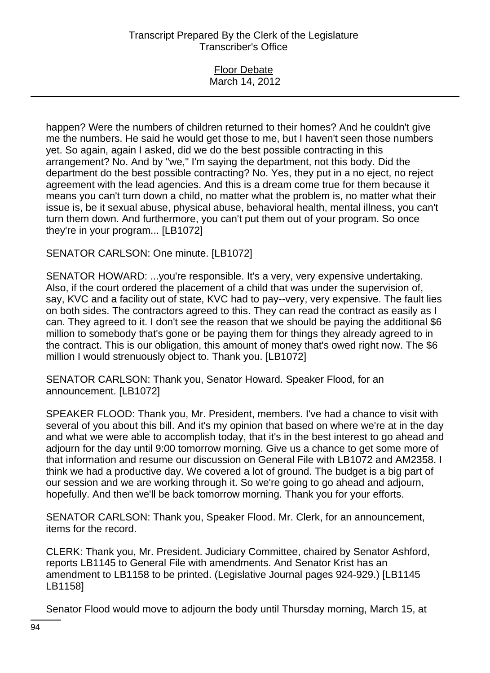| <b>Floor Debate</b> |
|---------------------|
| March 14, 2012      |
|                     |

happen? Were the numbers of children returned to their homes? And he couldn't give me the numbers. He said he would get those to me, but I haven't seen those numbers yet. So again, again I asked, did we do the best possible contracting in this arrangement? No. And by "we," I'm saying the department, not this body. Did the department do the best possible contracting? No. Yes, they put in a no eject, no reject agreement with the lead agencies. And this is a dream come true for them because it means you can't turn down a child, no matter what the problem is, no matter what their issue is, be it sexual abuse, physical abuse, behavioral health, mental illness, you can't turn them down. And furthermore, you can't put them out of your program. So once they're in your program... [LB1072]

### SENATOR CARLSON: One minute. [LB1072]

SENATOR HOWARD: ...you're responsible. It's a very, very expensive undertaking. Also, if the court ordered the placement of a child that was under the supervision of, say, KVC and a facility out of state, KVC had to pay--very, very expensive. The fault lies on both sides. The contractors agreed to this. They can read the contract as easily as I can. They agreed to it. I don't see the reason that we should be paying the additional \$6 million to somebody that's gone or be paying them for things they already agreed to in the contract. This is our obligation, this amount of money that's owed right now. The \$6 million I would strenuously object to. Thank you. [LB1072]

SENATOR CARLSON: Thank you, Senator Howard. Speaker Flood, for an announcement. [LB1072]

SPEAKER FLOOD: Thank you, Mr. President, members. I've had a chance to visit with several of you about this bill. And it's my opinion that based on where we're at in the day and what we were able to accomplish today, that it's in the best interest to go ahead and adjourn for the day until 9:00 tomorrow morning. Give us a chance to get some more of that information and resume our discussion on General File with LB1072 and AM2358. I think we had a productive day. We covered a lot of ground. The budget is a big part of our session and we are working through it. So we're going to go ahead and adjourn, hopefully. And then we'll be back tomorrow morning. Thank you for your efforts.

SENATOR CARLSON: Thank you, Speaker Flood. Mr. Clerk, for an announcement, items for the record.

CLERK: Thank you, Mr. President. Judiciary Committee, chaired by Senator Ashford, reports LB1145 to General File with amendments. And Senator Krist has an amendment to LB1158 to be printed. (Legislative Journal pages 924-929.) [LB1145 LB1158]

Senator Flood would move to adjourn the body until Thursday morning, March 15, at